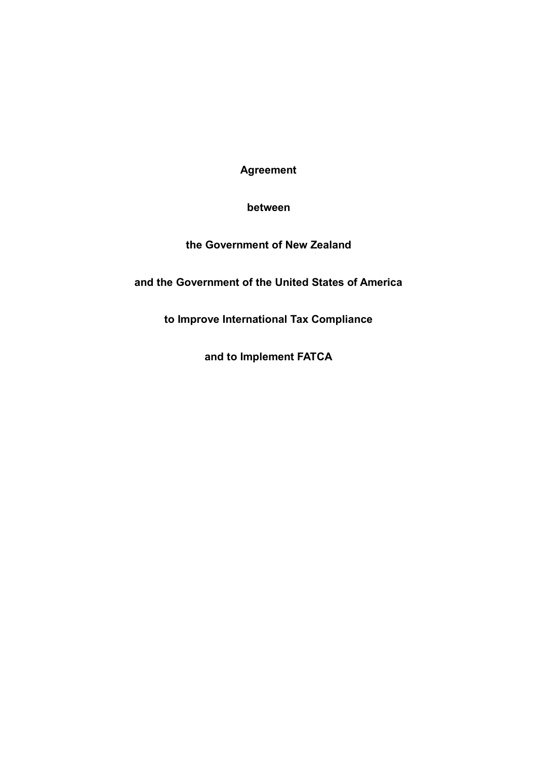**Agreement**

**between**

## **the Government of New Zealand**

**and the Government of the United States of America**

**to Improve International Tax Compliance**

**and to Implement FATCA**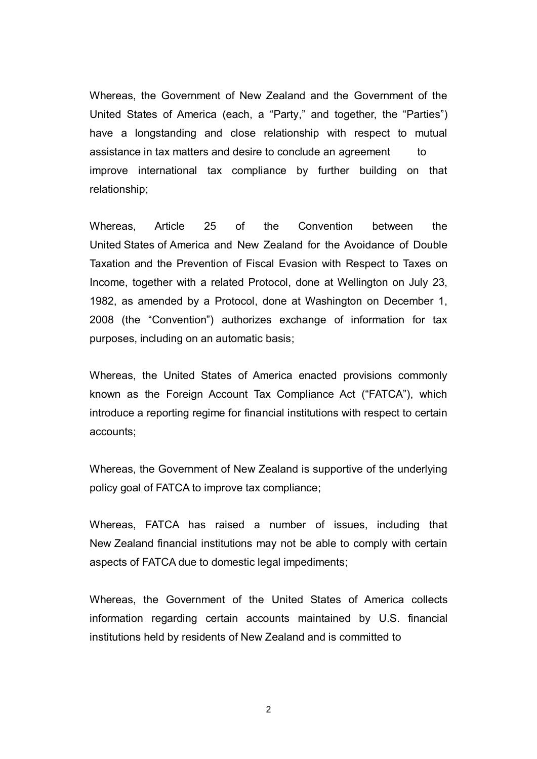Whereas, the Government of New Zealand and the Government of the United States of America (each, a "Party," and together, the "Parties") have a longstanding and close relationship with respect to mutual assistance in tax matters and desire to conclude an agreement to improve international tax compliance by further building on that relationship;

Whereas, Article 25 of the Convention between the United States of America and New Zealand for the Avoidance of Double Taxation and the Prevention of Fiscal Evasion with Respect to Taxes on Income, together with a related Protocol, done at Wellington on July 23, 1982, as amended by a Protocol, done at Washington on December 1, 2008 (the "Convention") authorizes exchange of information for tax purposes, including on an automatic basis;

Whereas, the United States of America enacted provisions commonly known as the Foreign Account Tax Compliance Act ("FATCA"), which introduce a reporting regime for financial institutions with respect to certain accounts;

Whereas, the Government of New Zealand is supportive of the underlying policy goal of FATCA to improve tax compliance;

Whereas, FATCA has raised a number of issues, including that New Zealand financial institutions may not be able to comply with certain aspects of FATCA due to domestic legal impediments;

Whereas, the Government of the United States of America collects information regarding certain accounts maintained by U.S. financial institutions held by residents of New Zealand and is committed to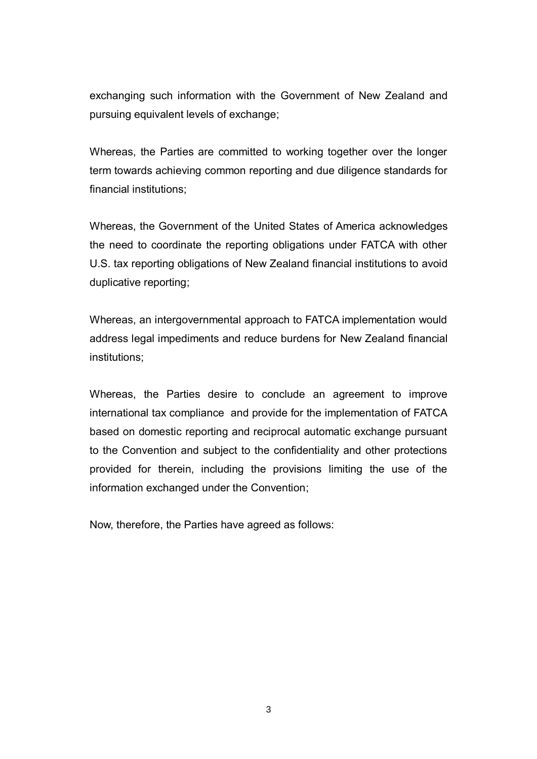exchanging such information with the Government of New Zealand and pursuing equivalent levels of exchange;

Whereas, the Parties are committed to working together over the longer term towards achieving common reporting and due diligence standards for financial institutions;

Whereas, the Government of the United States of America acknowledges the need to coordinate the reporting obligations under FATCA with other U.S. tax reporting obligations of New Zealand financial institutions to avoid duplicative reporting;

Whereas, an intergovernmental approach to FATCA implementation would address legal impediments and reduce burdens for New Zealand financial institutions;

Whereas, the Parties desire to conclude an agreement to improve international tax compliance and provide for the implementation of FATCA based on domestic reporting and reciprocal automatic exchange pursuant to the Convention and subject to the confidentiality and other protections provided for therein, including the provisions limiting the use of the information exchanged under the Convention;

Now, therefore, the Parties have agreed as follows: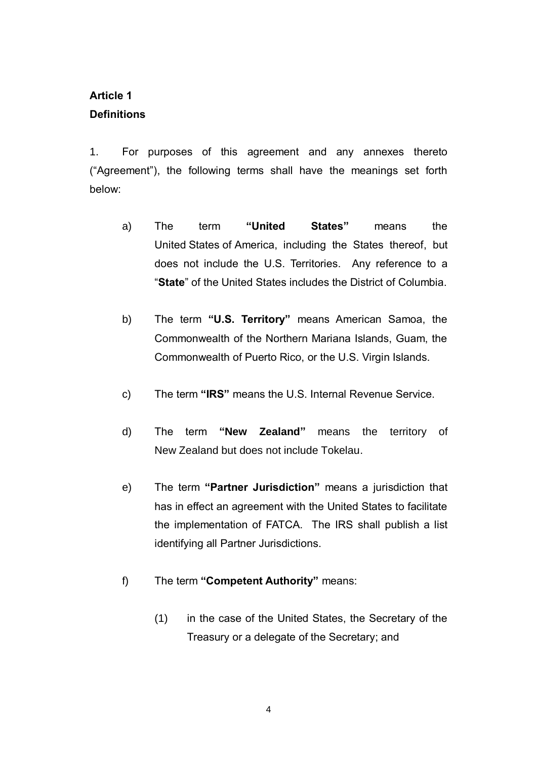# **Article 1 Definitions**

1. For purposes of this agreement and any annexes thereto ("Agreement"), the following terms shall have the meanings set forth below:

- a) The term **"United States"** means the United States of America, including the States thereof, but does not include the U.S. Territories. Any reference to a "**State**" of the United States includes the District of Columbia.
- b) The term **"U.S. Territory"** means American Samoa, the Commonwealth of the Northern Mariana Islands, Guam, the Commonwealth of Puerto Rico, or the U.S. Virgin Islands.
- c) The term **"IRS"** means the U.S. Internal Revenue Service.
- d) The term **"New Zealand"** means the territory of New Zealand but does not include Tokelau.
- e) The term **"Partner Jurisdiction"** means a jurisdiction that has in effect an agreement with the United States to facilitate the implementation of FATCA. The IRS shall publish a list identifying all Partner Jurisdictions.
- f) The term **"Competent Authority"** means:
	- (1) in the case of the United States, the Secretary of the Treasury or a delegate of the Secretary; and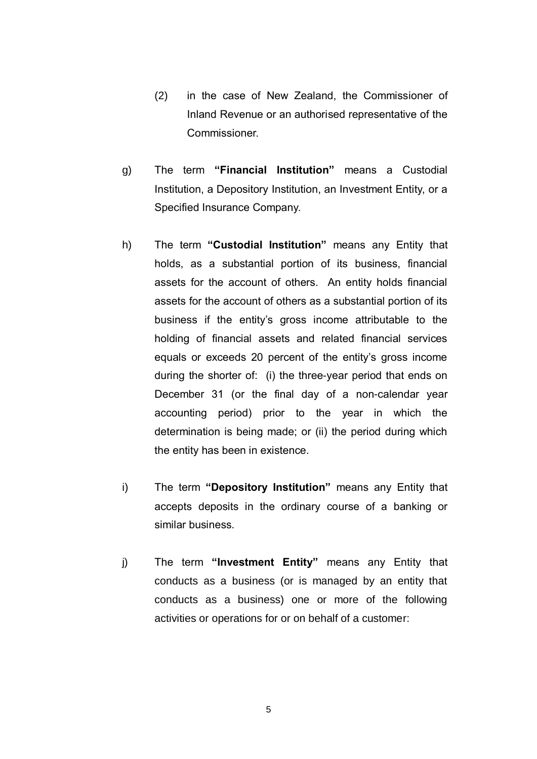- (2) in the case of New Zealand, the Commissioner of Inland Revenue or an authorised representative of the Commissioner.
- g) The term **"Financial Institution"** means a Custodial Institution, a Depository Institution, an Investment Entity, or a Specified Insurance Company.
- h) The term **"Custodial Institution"** means any Entity that holds, as a substantial portion of its business, financial assets for the account of others. An entity holds financial assets for the account of others as a substantial portion of its business if the entity's gross income attributable to the holding of financial assets and related financial services equals or exceeds 20 percent of the entity's gross income during the shorter of: (i) the three-year period that ends on December 31 (or the final day of a non-calendar year accounting period) prior to the year in which the determination is being made; or (ii) the period during which the entity has been in existence.
- i) The term **"Depository Institution"** means any Entity that accepts deposits in the ordinary course of a banking or similar business.
- j) The term **"Investment Entity"** means any Entity that conducts as a business (or is managed by an entity that conducts as a business) one or more of the following activities or operations for or on behalf of a customer: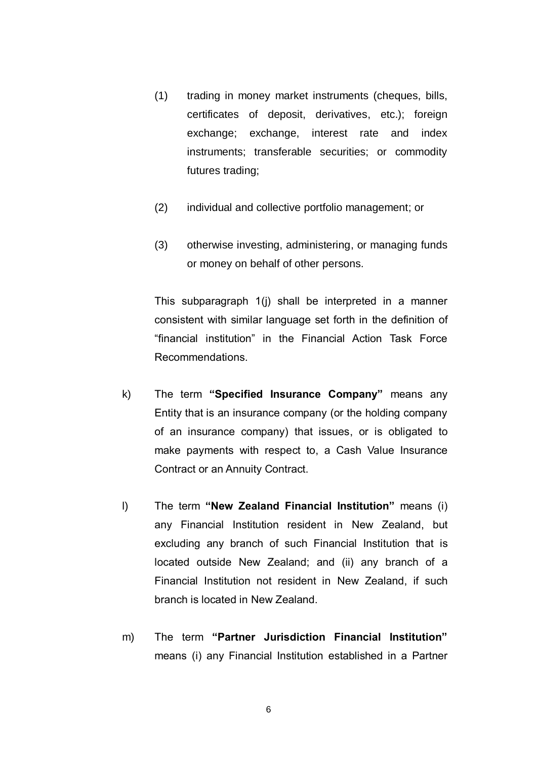- (1) trading in money market instruments (cheques, bills, certificates of deposit, derivatives, etc.); foreign exchange; exchange, interest rate and index instruments; transferable securities; or commodity futures trading;
- (2) individual and collective portfolio management; or
- (3) otherwise investing, administering, or managing funds or money on behalf of other persons.

This subparagraph 1(j) shall be interpreted in a manner consistent with similar language set forth in the definition of "financial institution" in the Financial Action Task Force Recommendations.

- k) The term **"Specified Insurance Company"** means any Entity that is an insurance company (or the holding company of an insurance company) that issues, or is obligated to make payments with respect to, a Cash Value Insurance Contract or an Annuity Contract.
- l) The term **"New Zealand Financial Institution"** means (i) any Financial Institution resident in New Zealand, but excluding any branch of such Financial Institution that is located outside New Zealand; and (ii) any branch of a Financial Institution not resident in New Zealand, if such branch is located in New Zealand.
- m) The term **"Partner Jurisdiction Financial Institution"** means (i) any Financial Institution established in a Partner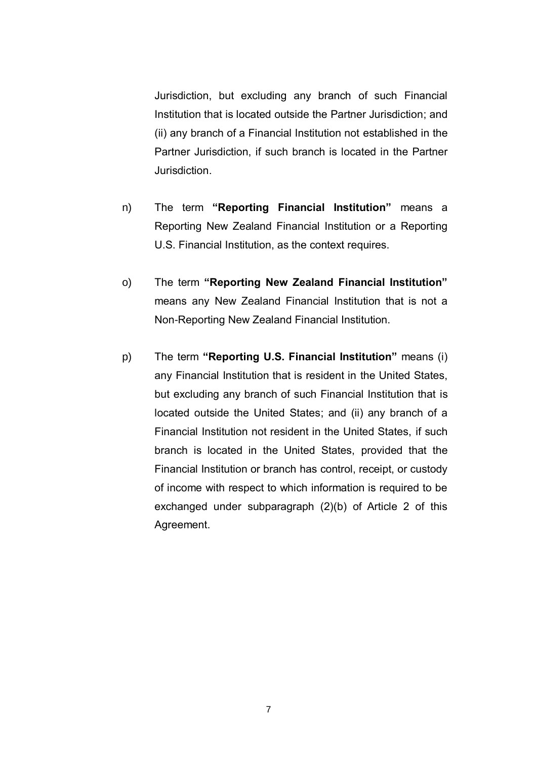Jurisdiction, but excluding any branch of such Financial Institution that is located outside the Partner Jurisdiction; and (ii) any branch of a Financial Institution not established in the Partner Jurisdiction, if such branch is located in the Partner Jurisdiction.

- n) The term **"Reporting Financial Institution"** means a Reporting New Zealand Financial Institution or a Reporting U.S. Financial Institution, as the context requires.
- o) The term **"Reporting New Zealand Financial Institution"** means any New Zealand Financial Institution that is not a Non-Reporting New Zealand Financial Institution.
- p) The term **"Reporting U.S. Financial Institution"** means (i) any Financial Institution that is resident in the United States, but excluding any branch of such Financial Institution that is located outside the United States; and (ii) any branch of a Financial Institution not resident in the United States, if such branch is located in the United States, provided that the Financial Institution or branch has control, receipt, or custody of income with respect to which information is required to be exchanged under subparagraph (2)(b) of Article 2 of this Agreement.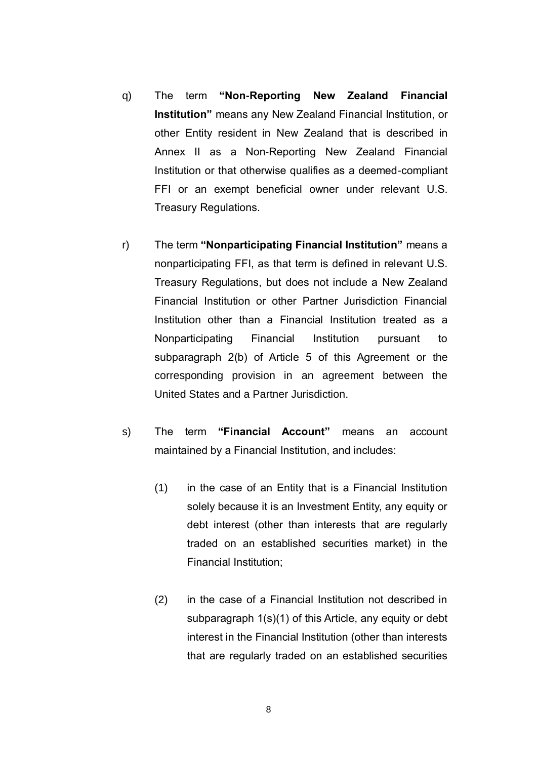- q) The term **"Non-Reporting New Zealand Financial Institution"** means any New Zealand Financial Institution, or other Entity resident in New Zealand that is described in Annex II as a Non-Reporting New Zealand Financial Institution or that otherwise qualifies as a deemed-compliant FFI or an exempt beneficial owner under relevant U.S. Treasury Regulations.
- r) The term **"Nonparticipating Financial Institution"** means a nonparticipating FFI, as that term is defined in relevant U.S. Treasury Regulations, but does not include a New Zealand Financial Institution or other Partner Jurisdiction Financial Institution other than a Financial Institution treated as a Nonparticipating Financial Institution pursuant to subparagraph 2(b) of Article 5 of this Agreement or the corresponding provision in an agreement between the United States and a Partner Jurisdiction.
- s) The term **"Financial Account"** means an account maintained by a Financial Institution, and includes:
	- (1) in the case of an Entity that is a Financial Institution solely because it is an Investment Entity, any equity or debt interest (other than interests that are regularly traded on an established securities market) in the Financial Institution;
	- (2) in the case of a Financial Institution not described in subparagraph 1(s)(1) of this Article, any equity or debt interest in the Financial Institution (other than interests that are regularly traded on an established securities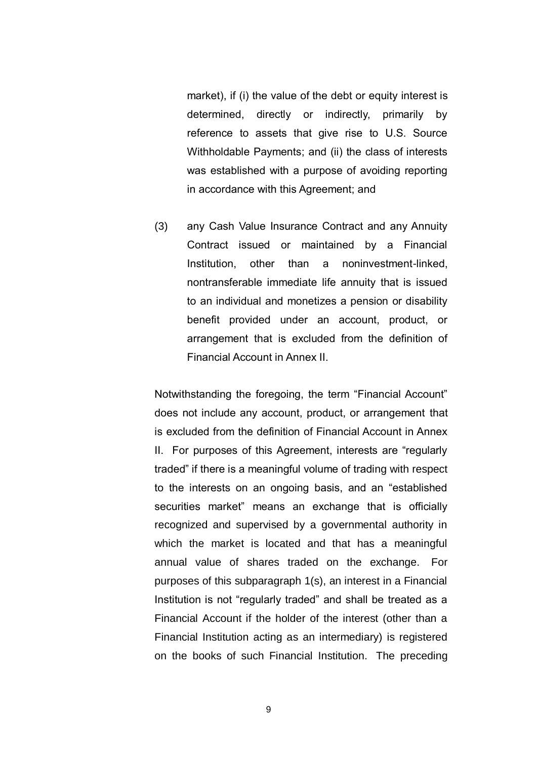market), if (i) the value of the debt or equity interest is determined, directly or indirectly, primarily by reference to assets that give rise to U.S. Source Withholdable Payments; and (ii) the class of interests was established with a purpose of avoiding reporting in accordance with this Agreement; and

(3) any Cash Value Insurance Contract and any Annuity Contract issued or maintained by a Financial Institution, other than a noninvestment-linked, nontransferable immediate life annuity that is issued to an individual and monetizes a pension or disability benefit provided under an account, product, or arrangement that is excluded from the definition of Financial Account in Annex II.

Notwithstanding the foregoing, the term "Financial Account" does not include any account, product, or arrangement that is excluded from the definition of Financial Account in Annex II. For purposes of this Agreement, interests are "regularly traded" if there is a meaningful volume of trading with respect to the interests on an ongoing basis, and an "established securities market" means an exchange that is officially recognized and supervised by a governmental authority in which the market is located and that has a meaningful annual value of shares traded on the exchange. For purposes of this subparagraph 1(s), an interest in a Financial Institution is not "regularly traded" and shall be treated as a Financial Account if the holder of the interest (other than a Financial Institution acting as an intermediary) is registered on the books of such Financial Institution. The preceding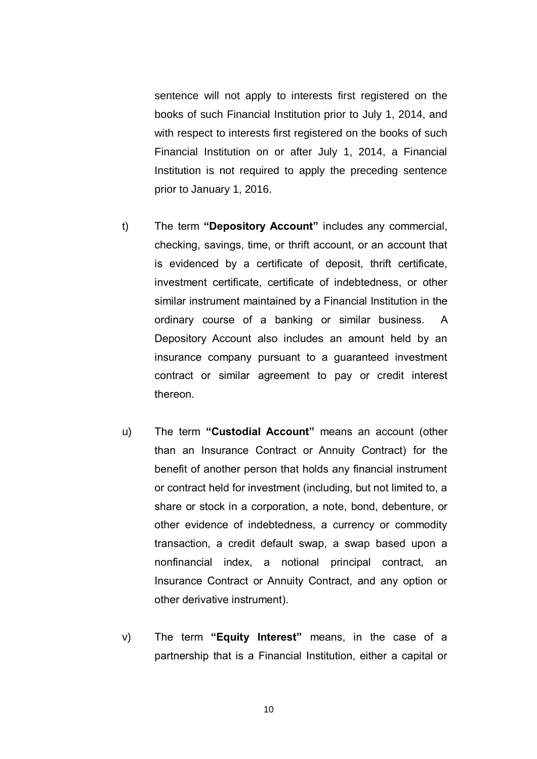sentence will not apply to interests first registered on the books of such Financial Institution prior to July 1, 2014, and with respect to interests first registered on the books of such Financial Institution on or after July 1, 2014, a Financial Institution is not required to apply the preceding sentence prior to January 1, 2016.

- t) The term **"Depository Account"** includes any commercial, checking, savings, time, or thrift account, or an account that is evidenced by a certificate of deposit, thrift certificate, investment certificate, certificate of indebtedness, or other similar instrument maintained by a Financial Institution in the ordinary course of a banking or similar business. A Depository Account also includes an amount held by an insurance company pursuant to a guaranteed investment contract or similar agreement to pay or credit interest thereon.
- u) The term **"Custodial Account"** means an account (other than an Insurance Contract or Annuity Contract) for the benefit of another person that holds any financial instrument or contract held for investment (including, but not limited to, a share or stock in a corporation, a note, bond, debenture, or other evidence of indebtedness, a currency or commodity transaction, a credit default swap, a swap based upon a nonfinancial index, a notional principal contract, an Insurance Contract or Annuity Contract, and any option or other derivative instrument).
- v) The term **"Equity Interest"** means, in the case of a partnership that is a Financial Institution, either a capital or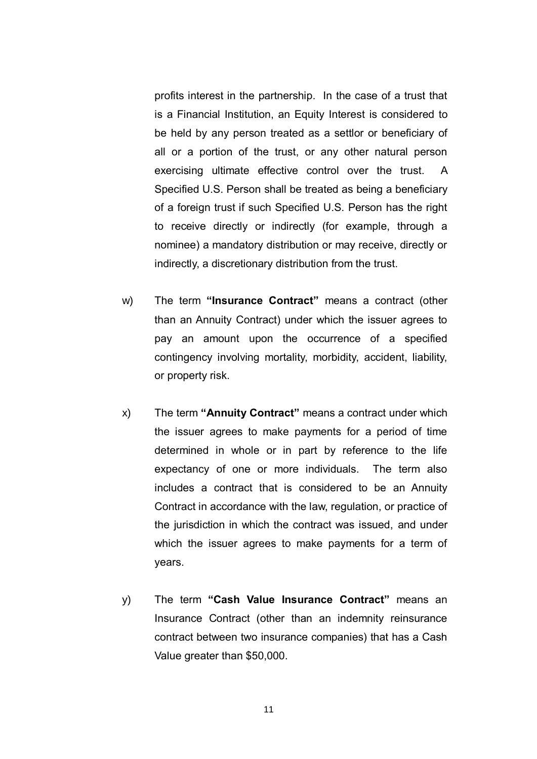profits interest in the partnership. In the case of a trust that is a Financial Institution, an Equity Interest is considered to be held by any person treated as a settlor or beneficiary of all or a portion of the trust, or any other natural person exercising ultimate effective control over the trust. A Specified U.S. Person shall be treated as being a beneficiary of a foreign trust if such Specified U.S. Person has the right to receive directly or indirectly (for example, through a nominee) a mandatory distribution or may receive, directly or indirectly, a discretionary distribution from the trust.

- w) The term **"Insurance Contract"** means a contract (other than an Annuity Contract) under which the issuer agrees to pay an amount upon the occurrence of a specified contingency involving mortality, morbidity, accident, liability, or property risk.
- x) The term **"Annuity Contract"** means a contract under which the issuer agrees to make payments for a period of time determined in whole or in part by reference to the life expectancy of one or more individuals. The term also includes a contract that is considered to be an Annuity Contract in accordance with the law, regulation, or practice of the jurisdiction in which the contract was issued, and under which the issuer agrees to make payments for a term of years.
- y) The term **"Cash Value Insurance Contract"** means an Insurance Contract (other than an indemnity reinsurance contract between two insurance companies) that has a Cash Value greater than \$50,000.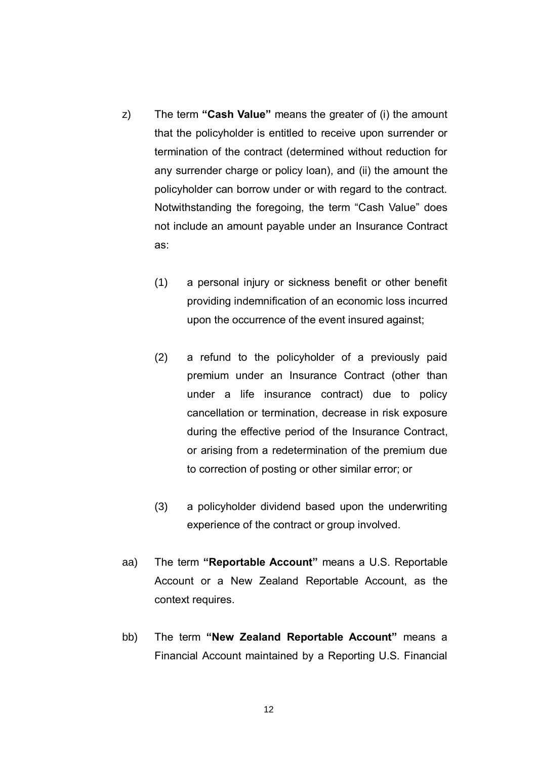- z) The term **"Cash Value"** means the greater of (i) the amount that the policyholder is entitled to receive upon surrender or termination of the contract (determined without reduction for any surrender charge or policy loan), and (ii) the amount the policyholder can borrow under or with regard to the contract. Notwithstanding the foregoing, the term "Cash Value" does not include an amount payable under an Insurance Contract as:
	- (1) a personal injury or sickness benefit or other benefit providing indemnification of an economic loss incurred upon the occurrence of the event insured against;
	- (2) a refund to the policyholder of a previously paid premium under an Insurance Contract (other than under a life insurance contract) due to policy cancellation or termination, decrease in risk exposure during the effective period of the Insurance Contract, or arising from a redetermination of the premium due to correction of posting or other similar error; or
	- (3) a policyholder dividend based upon the underwriting experience of the contract or group involved.
- aa) The term **"Reportable Account"** means a U.S. Reportable Account or a New Zealand Reportable Account, as the context requires.
- bb) The term **"New Zealand Reportable Account"** means a Financial Account maintained by a Reporting U.S. Financial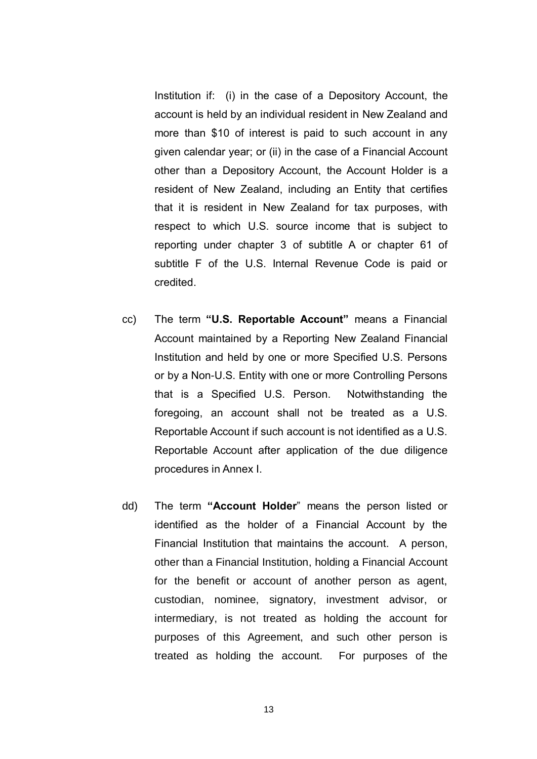Institution if: (i) in the case of a Depository Account, the account is held by an individual resident in New Zealand and more than \$10 of interest is paid to such account in any given calendar year; or (ii) in the case of a Financial Account other than a Depository Account, the Account Holder is a resident of New Zealand, including an Entity that certifies that it is resident in New Zealand for tax purposes, with respect to which U.S. source income that is subject to reporting under chapter 3 of subtitle A or chapter 61 of subtitle F of the U.S. Internal Revenue Code is paid or credited.

- cc) The term **"U.S. Reportable Account"** means a Financial Account maintained by a Reporting New Zealand Financial Institution and held by one or more Specified U.S. Persons or by a Non-U.S. Entity with one or more Controlling Persons that is a Specified U.S. Person. Notwithstanding the foregoing, an account shall not be treated as a U.S. Reportable Account if such account is not identified as a U.S. Reportable Account after application of the due diligence procedures in Annex I.
- dd) The term **"Account Holder**" means the person listed or identified as the holder of a Financial Account by the Financial Institution that maintains the account. A person, other than a Financial Institution, holding a Financial Account for the benefit or account of another person as agent, custodian, nominee, signatory, investment advisor, or intermediary, is not treated as holding the account for purposes of this Agreement, and such other person is treated as holding the account. For purposes of the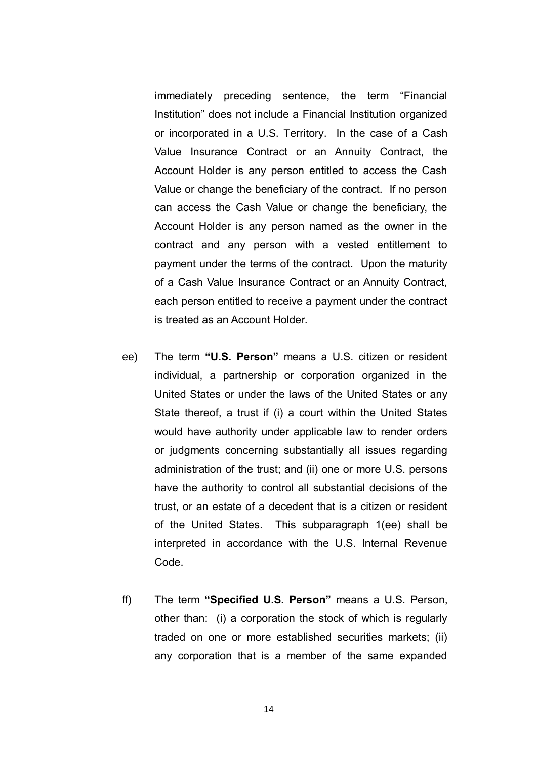immediately preceding sentence, the term "Financial Institution" does not include a Financial Institution organized or incorporated in a U.S. Territory. In the case of a Cash Value Insurance Contract or an Annuity Contract, the Account Holder is any person entitled to access the Cash Value or change the beneficiary of the contract. If no person can access the Cash Value or change the beneficiary, the Account Holder is any person named as the owner in the contract and any person with a vested entitlement to payment under the terms of the contract. Upon the maturity of a Cash Value Insurance Contract or an Annuity Contract, each person entitled to receive a payment under the contract is treated as an Account Holder.

- ee) The term **"U.S. Person"** means a U.S. citizen or resident individual, a partnership or corporation organized in the United States or under the laws of the United States or any State thereof, a trust if (i) a court within the United States would have authority under applicable law to render orders or judgments concerning substantially all issues regarding administration of the trust; and (ii) one or more U.S. persons have the authority to control all substantial decisions of the trust, or an estate of a decedent that is a citizen or resident of the United States. This subparagraph 1(ee) shall be interpreted in accordance with the U.S. Internal Revenue Code.
- ff) The term **"Specified U.S. Person"** means a U.S. Person, other than: (i) a corporation the stock of which is regularly traded on one or more established securities markets; (ii) any corporation that is a member of the same expanded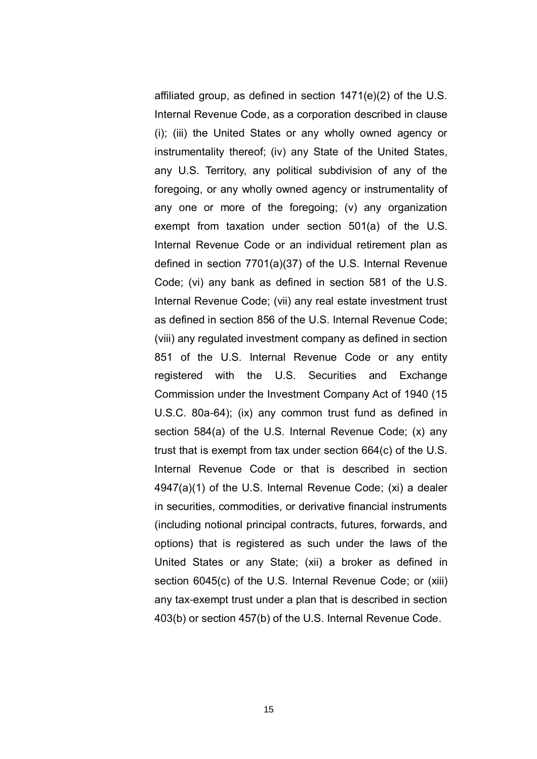affiliated group, as defined in section 1471(e)(2) of the U.S. Internal Revenue Code, as a corporation described in clause (i); (iii) the United States or any wholly owned agency or instrumentality thereof; (iv) any State of the United States, any U.S. Territory, any political subdivision of any of the foregoing, or any wholly owned agency or instrumentality of any one or more of the foregoing; (v) any organization exempt from taxation under section 501(a) of the U.S. Internal Revenue Code or an individual retirement plan as defined in section 7701(a)(37) of the U.S. Internal Revenue Code; (vi) any bank as defined in section 581 of the U.S. Internal Revenue Code; (vii) any real estate investment trust as defined in section 856 of the U.S. Internal Revenue Code; (viii) any regulated investment company as defined in section 851 of the U.S. Internal Revenue Code or any entity registered with the U.S. Securities and Exchange Commission under the Investment Company Act of 1940 (15 U.S.C. 80a-64); (ix) any common trust fund as defined in section 584(a) of the U.S. Internal Revenue Code; (x) any trust that is exempt from tax under section 664(c) of the U.S. Internal Revenue Code or that is described in section 4947(a)(1) of the U.S. Internal Revenue Code; (xi) a dealer in securities, commodities, or derivative financial instruments (including notional principal contracts, futures, forwards, and options) that is registered as such under the laws of the United States or any State; (xii) a broker as defined in section 6045(c) of the U.S. Internal Revenue Code; or (xiii) any tax-exempt trust under a plan that is described in section 403(b) or section 457(b) of the U.S. Internal Revenue Code.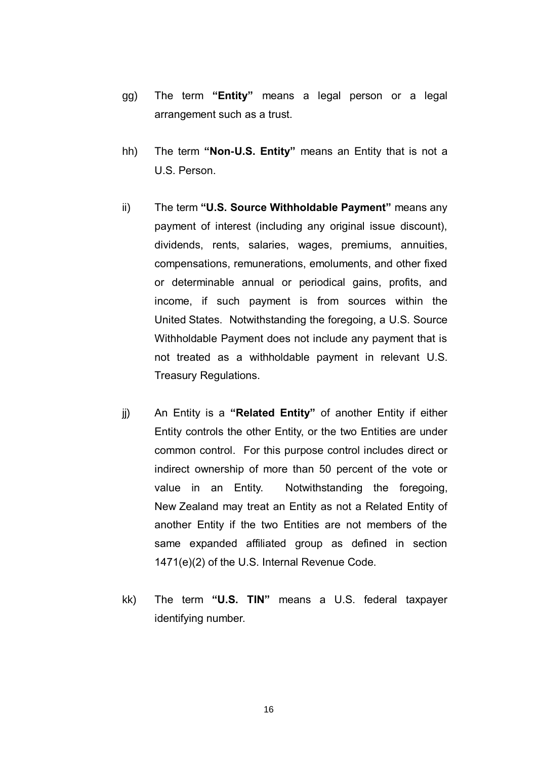- gg) The term **"Entity"** means a legal person or a legal arrangement such as a trust.
- hh) The term **"Non-U.S. Entity"** means an Entity that is not a U.S. Person.
- ii) The term **"U.S. Source Withholdable Payment"** means any payment of interest (including any original issue discount), dividends, rents, salaries, wages, premiums, annuities, compensations, remunerations, emoluments, and other fixed or determinable annual or periodical gains, profits, and income, if such payment is from sources within the United States. Notwithstanding the foregoing, a U.S. Source Withholdable Payment does not include any payment that is not treated as a withholdable payment in relevant U.S. Treasury Regulations.
- jj) An Entity is a **"Related Entity"** of another Entity if either Entity controls the other Entity, or the two Entities are under common control. For this purpose control includes direct or indirect ownership of more than 50 percent of the vote or value in an Entity. Notwithstanding the foregoing, New Zealand may treat an Entity as not a Related Entity of another Entity if the two Entities are not members of the same expanded affiliated group as defined in section 1471(e)(2) of the U.S. Internal Revenue Code.
- kk) The term **"U.S. TIN"** means a U.S. federal taxpayer identifying number.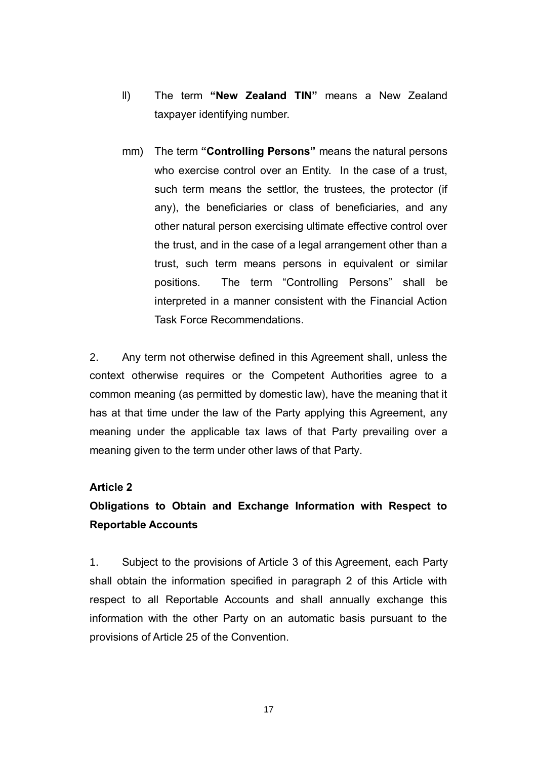- ll) The term **"New Zealand TIN"** means a New Zealand taxpayer identifying number.
- mm) The term **"Controlling Persons"** means the natural persons who exercise control over an Entity. In the case of a trust, such term means the settlor, the trustees, the protector (if any), the beneficiaries or class of beneficiaries, and any other natural person exercising ultimate effective control over the trust, and in the case of a legal arrangement other than a trust, such term means persons in equivalent or similar positions. The term "Controlling Persons" shall be interpreted in a manner consistent with the Financial Action Task Force Recommendations.

2. Any term not otherwise defined in this Agreement shall, unless the context otherwise requires or the Competent Authorities agree to a common meaning (as permitted by domestic law), have the meaning that it has at that time under the law of the Party applying this Agreement, any meaning under the applicable tax laws of that Party prevailing over a meaning given to the term under other laws of that Party.

### **Article 2**

## **Obligations to Obtain and Exchange Information with Respect to Reportable Accounts**

1. Subject to the provisions of Article 3 of this Agreement, each Party shall obtain the information specified in paragraph 2 of this Article with respect to all Reportable Accounts and shall annually exchange this information with the other Party on an automatic basis pursuant to the provisions of Article 25 of the Convention.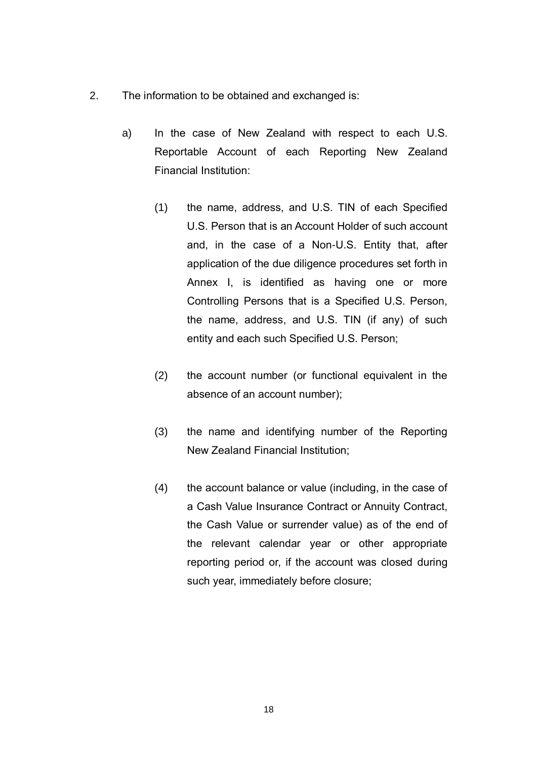- 2. The information to be obtained and exchanged is:
	- a) In the case of New Zealand with respect to each U.S. Reportable Account of each Reporting New Zealand Financial Institution:
		- (1) the name, address, and U.S. TIN of each Specified U.S. Person that is an Account Holder of such account and, in the case of a Non-U.S. Entity that, after application of the due diligence procedures set forth in Annex I, is identified as having one or more Controlling Persons that is a Specified U.S. Person, the name, address, and U.S. TIN (if any) of such entity and each such Specified U.S. Person;
		- (2) the account number (or functional equivalent in the absence of an account number);
		- (3) the name and identifying number of the Reporting New Zealand Financial Institution;
		- (4) the account balance or value (including, in the case of a Cash Value Insurance Contract or Annuity Contract, the Cash Value or surrender value) as of the end of the relevant calendar year or other appropriate reporting period or, if the account was closed during such year, immediately before closure;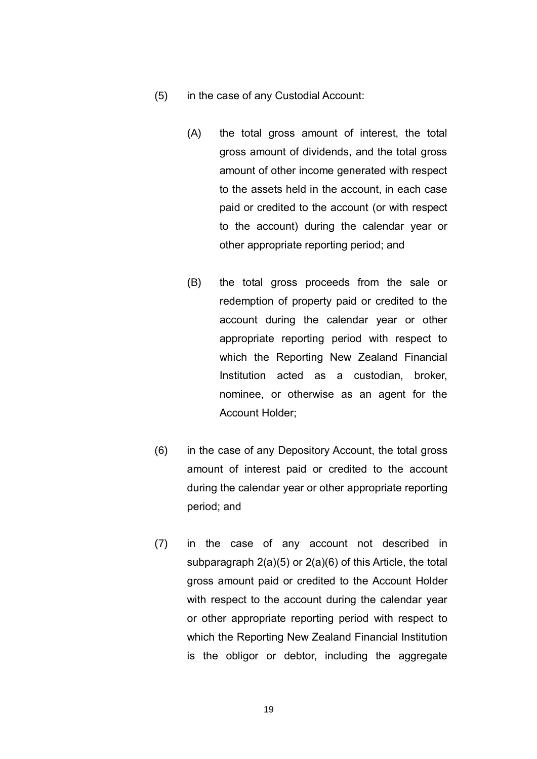- (5) in the case of any Custodial Account:
	- (A) the total gross amount of interest, the total gross amount of dividends, and the total gross amount of other income generated with respect to the assets held in the account, in each case paid or credited to the account (or with respect to the account) during the calendar year or other appropriate reporting period; and
	- (B) the total gross proceeds from the sale or redemption of property paid or credited to the account during the calendar year or other appropriate reporting period with respect to which the Reporting New Zealand Financial Institution acted as a custodian, broker, nominee, or otherwise as an agent for the Account Holder;
- (6) in the case of any Depository Account, the total gross amount of interest paid or credited to the account during the calendar year or other appropriate reporting period; and
- (7) in the case of any account not described in subparagraph 2(a)(5) or 2(a)(6) of this Article, the total gross amount paid or credited to the Account Holder with respect to the account during the calendar year or other appropriate reporting period with respect to which the Reporting New Zealand Financial Institution is the obligor or debtor, including the aggregate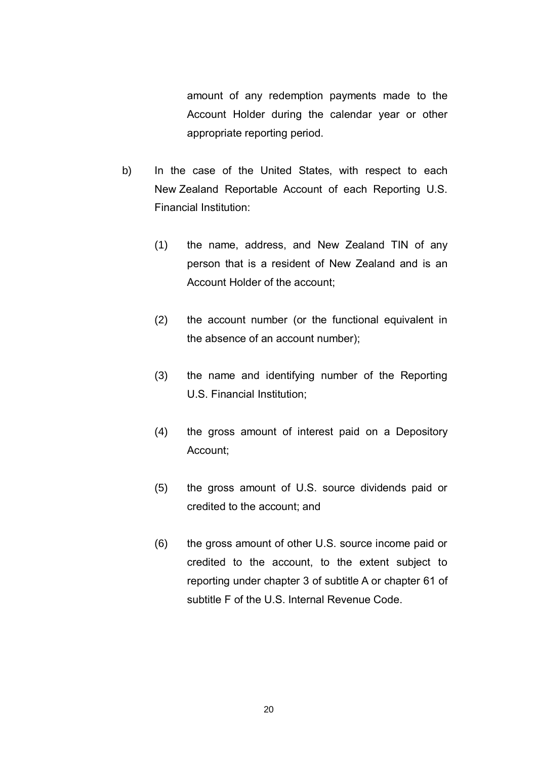amount of any redemption payments made to the Account Holder during the calendar year or other appropriate reporting period.

- b) In the case of the United States, with respect to each New Zealand Reportable Account of each Reporting U.S. Financial Institution:
	- (1) the name, address, and New Zealand TIN of any person that is a resident of New Zealand and is an Account Holder of the account;
	- (2) the account number (or the functional equivalent in the absence of an account number);
	- (3) the name and identifying number of the Reporting U.S. Financial Institution;
	- (4) the gross amount of interest paid on a Depository Account;
	- (5) the gross amount of U.S. source dividends paid or credited to the account; and
	- (6) the gross amount of other U.S. source income paid or credited to the account, to the extent subject to reporting under chapter 3 of subtitle A or chapter 61 of subtitle F of the U.S. Internal Revenue Code.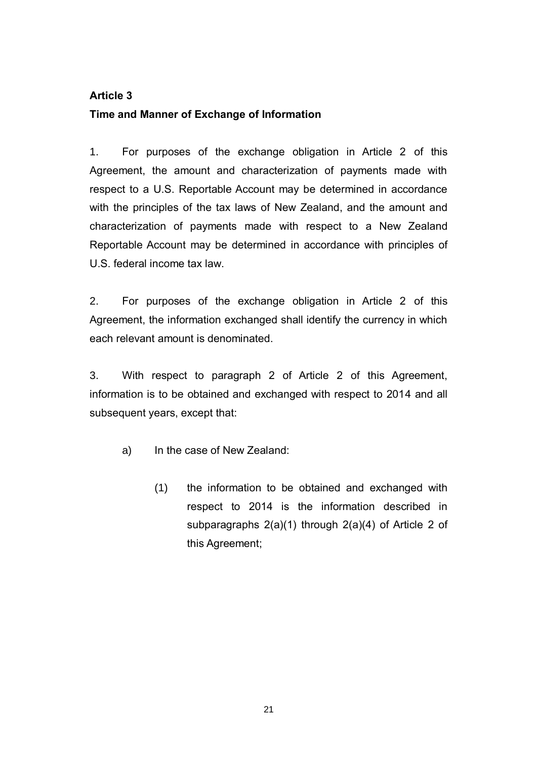### **Article 3**

### **Time and Manner of Exchange of Information**

1. For purposes of the exchange obligation in Article 2 of this Agreement, the amount and characterization of payments made with respect to a U.S. Reportable Account may be determined in accordance with the principles of the tax laws of New Zealand, and the amount and characterization of payments made with respect to a New Zealand Reportable Account may be determined in accordance with principles of U.S. federal income tax law.

2. For purposes of the exchange obligation in Article 2 of this Agreement, the information exchanged shall identify the currency in which each relevant amount is denominated.

3. With respect to paragraph 2 of Article 2 of this Agreement, information is to be obtained and exchanged with respect to 2014 and all subsequent years, except that:

- a) In the case of New Zealand:
	- (1) the information to be obtained and exchanged with respect to 2014 is the information described in subparagraphs 2(a)(1) through 2(a)(4) of Article 2 of this Agreement;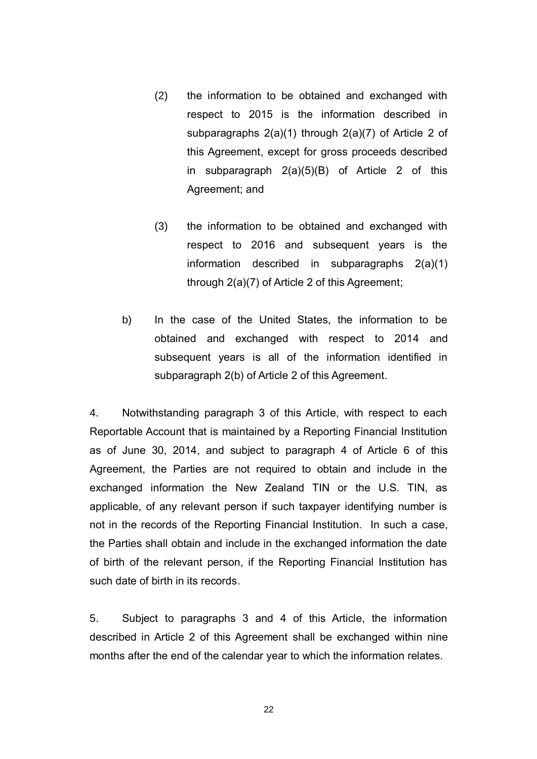- (2) the information to be obtained and exchanged with respect to 2015 is the information described in subparagraphs 2(a)(1) through 2(a)(7) of Article 2 of this Agreement, except for gross proceeds described in subparagraph 2(a)(5)(B) of Article 2 of this Agreement; and
- (3) the information to be obtained and exchanged with respect to 2016 and subsequent years is the information described in subparagraphs 2(a)(1) through 2(a)(7) of Article 2 of this Agreement;
- b) In the case of the United States, the information to be obtained and exchanged with respect to 2014 and subsequent years is all of the information identified in subparagraph 2(b) of Article 2 of this Agreement.

4. Notwithstanding paragraph 3 of this Article, with respect to each Reportable Account that is maintained by a Reporting Financial Institution as of June 30, 2014, and subject to paragraph 4 of Article 6 of this Agreement, the Parties are not required to obtain and include in the exchanged information the New Zealand TIN or the U.S. TIN, as applicable, of any relevant person if such taxpayer identifying number is not in the records of the Reporting Financial Institution. In such a case, the Parties shall obtain and include in the exchanged information the date of birth of the relevant person, if the Reporting Financial Institution has such date of birth in its records.

5. Subject to paragraphs 3 and 4 of this Article, the information described in Article 2 of this Agreement shall be exchanged within nine months after the end of the calendar year to which the information relates.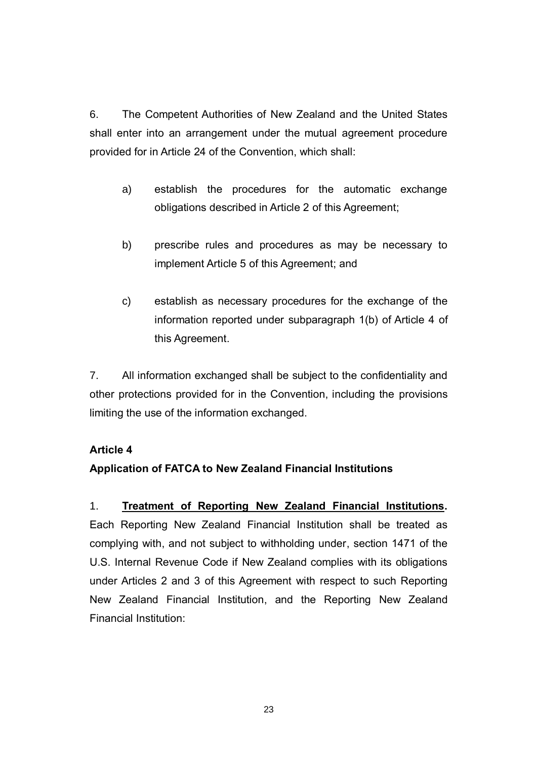6. The Competent Authorities of New Zealand and the United States shall enter into an arrangement under the mutual agreement procedure provided for in Article 24 of the Convention, which shall:

- a) establish the procedures for the automatic exchange obligations described in Article 2 of this Agreement;
- b) prescribe rules and procedures as may be necessary to implement Article 5 of this Agreement; and
- c) establish as necessary procedures for the exchange of the information reported under subparagraph 1(b) of Article 4 of this Agreement.

7. All information exchanged shall be subject to the confidentiality and other protections provided for in the Convention, including the provisions limiting the use of the information exchanged.

### **Article 4**

## **Application of FATCA to New Zealand Financial Institutions**

1. **Treatment of Reporting New Zealand Financial Institutions.** Each Reporting New Zealand Financial Institution shall be treated as complying with, and not subject to withholding under, section 1471 of the U.S. Internal Revenue Code if New Zealand complies with its obligations under Articles 2 and 3 of this Agreement with respect to such Reporting New Zealand Financial Institution, and the Reporting New Zealand Financial Institution: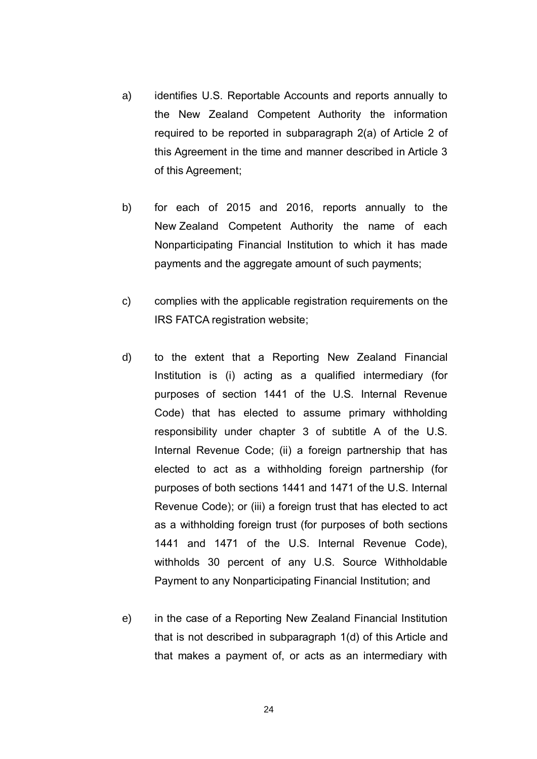- a) identifies U.S. Reportable Accounts and reports annually to the New Zealand Competent Authority the information required to be reported in subparagraph 2(a) of Article 2 of this Agreement in the time and manner described in Article 3 of this Agreement;
- b) for each of 2015 and 2016, reports annually to the New Zealand Competent Authority the name of each Nonparticipating Financial Institution to which it has made payments and the aggregate amount of such payments;
- c) complies with the applicable registration requirements on the IRS FATCA registration website;
- d) to the extent that a Reporting New Zealand Financial Institution is (i) acting as a qualified intermediary (for purposes of section 1441 of the U.S. Internal Revenue Code) that has elected to assume primary withholding responsibility under chapter 3 of subtitle A of the U.S. Internal Revenue Code; (ii) a foreign partnership that has elected to act as a withholding foreign partnership (for purposes of both sections 1441 and 1471 of the U.S. Internal Revenue Code); or (iii) a foreign trust that has elected to act as a withholding foreign trust (for purposes of both sections 1441 and 1471 of the U.S. Internal Revenue Code), withholds 30 percent of any U.S. Source Withholdable Payment to any Nonparticipating Financial Institution; and
- e) in the case of a Reporting New Zealand Financial Institution that is not described in subparagraph 1(d) of this Article and that makes a payment of, or acts as an intermediary with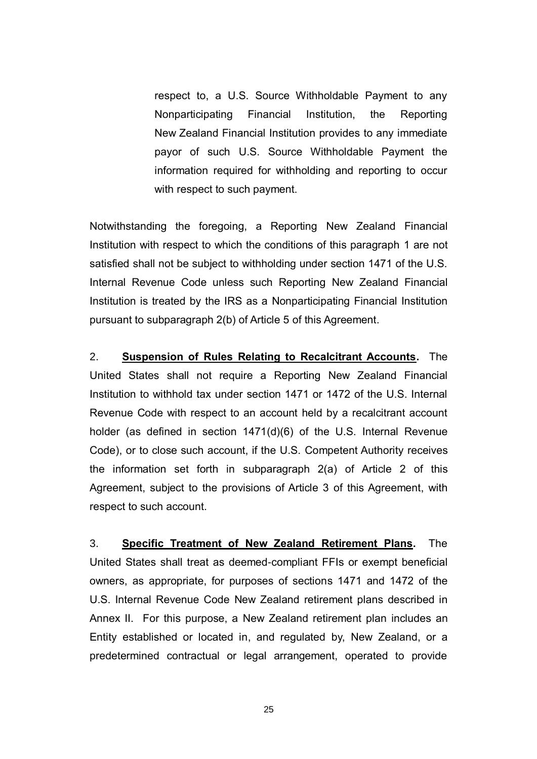respect to, a U.S. Source Withholdable Payment to any Nonparticipating Financial Institution, the Reporting New Zealand Financial Institution provides to any immediate payor of such U.S. Source Withholdable Payment the information required for withholding and reporting to occur with respect to such payment.

Notwithstanding the foregoing, a Reporting New Zealand Financial Institution with respect to which the conditions of this paragraph 1 are not satisfied shall not be subject to withholding under section 1471 of the U.S. Internal Revenue Code unless such Reporting New Zealand Financial Institution is treated by the IRS as a Nonparticipating Financial Institution pursuant to subparagraph 2(b) of Article 5 of this Agreement.

2. **Suspension of Rules Relating to Recalcitrant Accounts.** The United States shall not require a Reporting New Zealand Financial Institution to withhold tax under section 1471 or 1472 of the U.S. Internal Revenue Code with respect to an account held by a recalcitrant account holder (as defined in section 1471(d)(6) of the U.S. Internal Revenue Code), or to close such account, if the U.S. Competent Authority receives the information set forth in subparagraph 2(a) of Article 2 of this Agreement, subject to the provisions of Article 3 of this Agreement, with respect to such account.

3. **Specific Treatment of New Zealand Retirement Plans.** The United States shall treat as deemed-compliant FFIs or exempt beneficial owners, as appropriate, for purposes of sections 1471 and 1472 of the U.S. Internal Revenue Code New Zealand retirement plans described in Annex II. For this purpose, a New Zealand retirement plan includes an Entity established or located in, and regulated by, New Zealand, or a predetermined contractual or legal arrangement, operated to provide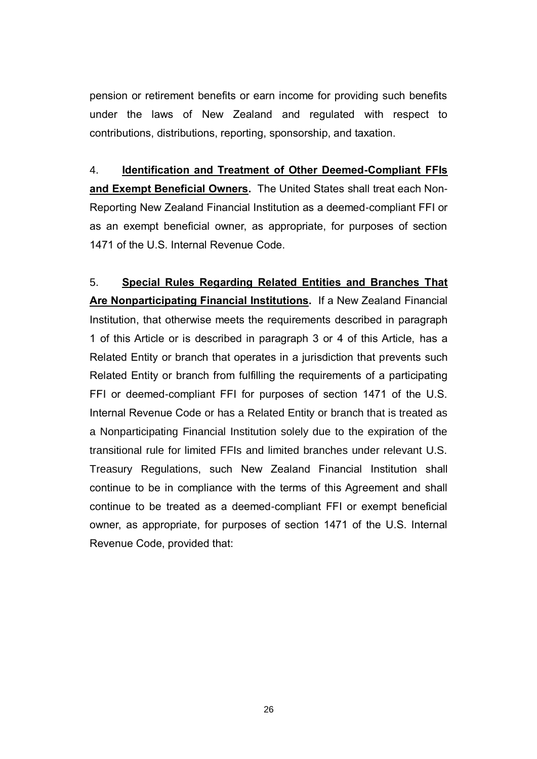pension or retirement benefits or earn income for providing such benefits under the laws of New Zealand and regulated with respect to contributions, distributions, reporting, sponsorship, and taxation.

4. **Identification and Treatment of Other Deemed-Compliant FFIs and Exempt Beneficial Owners.** The United States shall treat each Non-Reporting New Zealand Financial Institution as a deemed-compliant FFI or as an exempt beneficial owner, as appropriate, for purposes of section 1471 of the U.S. Internal Revenue Code.

5. **Special Rules Regarding Related Entities and Branches That Are Nonparticipating Financial Institutions.** If a New Zealand Financial Institution, that otherwise meets the requirements described in paragraph 1 of this Article or is described in paragraph 3 or 4 of this Article, has a Related Entity or branch that operates in a jurisdiction that prevents such Related Entity or branch from fulfilling the requirements of a participating FFI or deemed-compliant FFI for purposes of section 1471 of the U.S. Internal Revenue Code or has a Related Entity or branch that is treated as a Nonparticipating Financial Institution solely due to the expiration of the transitional rule for limited FFIs and limited branches under relevant U.S. Treasury Regulations, such New Zealand Financial Institution shall continue to be in compliance with the terms of this Agreement and shall continue to be treated as a deemed-compliant FFI or exempt beneficial owner, as appropriate, for purposes of section 1471 of the U.S. Internal Revenue Code, provided that: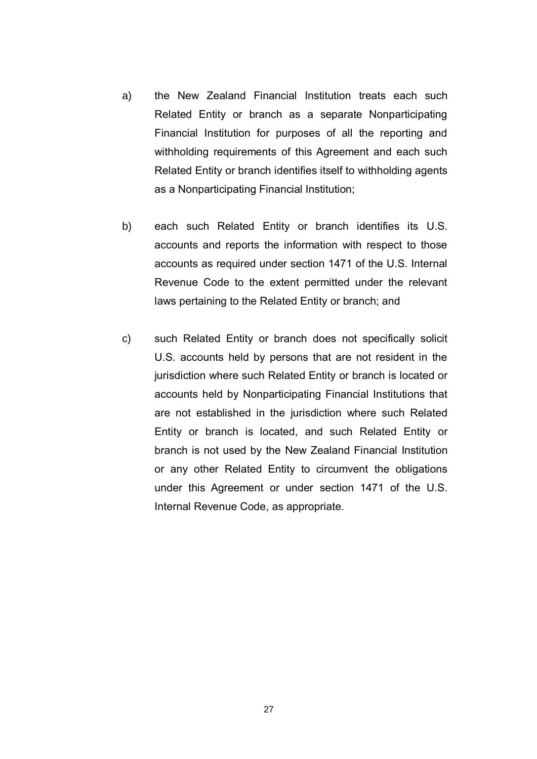- a) the New Zealand Financial Institution treats each such Related Entity or branch as a separate Nonparticipating Financial Institution for purposes of all the reporting and withholding requirements of this Agreement and each such Related Entity or branch identifies itself to withholding agents as a Nonparticipating Financial Institution;
- b) each such Related Entity or branch identifies its U.S. accounts and reports the information with respect to those accounts as required under section 1471 of the U.S. Internal Revenue Code to the extent permitted under the relevant laws pertaining to the Related Entity or branch; and
- c) such Related Entity or branch does not specifically solicit U.S. accounts held by persons that are not resident in the jurisdiction where such Related Entity or branch is located or accounts held by Nonparticipating Financial Institutions that are not established in the jurisdiction where such Related Entity or branch is located, and such Related Entity or branch is not used by the New Zealand Financial Institution or any other Related Entity to circumvent the obligations under this Agreement or under section 1471 of the U.S. Internal Revenue Code, as appropriate.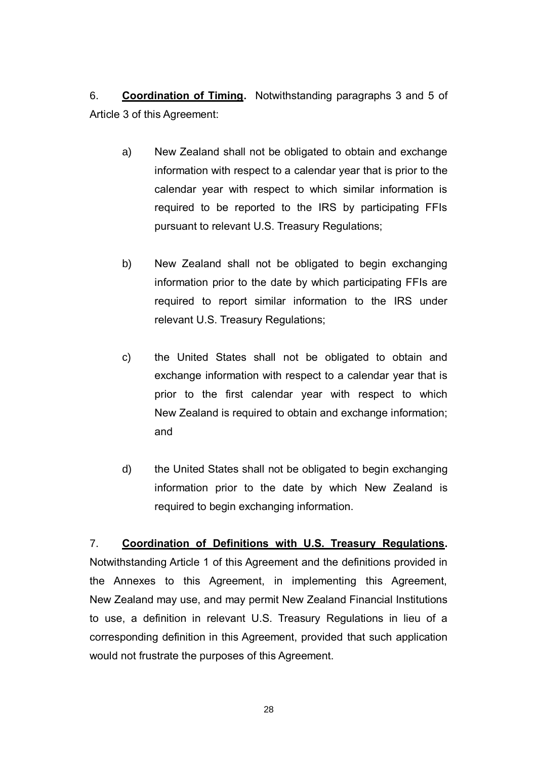6. **Coordination of Timing.** Notwithstanding paragraphs 3 and 5 of Article 3 of this Agreement:

- a) New Zealand shall not be obligated to obtain and exchange information with respect to a calendar year that is prior to the calendar year with respect to which similar information is required to be reported to the IRS by participating FFIs pursuant to relevant U.S. Treasury Regulations;
- b) New Zealand shall not be obligated to begin exchanging information prior to the date by which participating FFIs are required to report similar information to the IRS under relevant U.S. Treasury Regulations;
- c) the United States shall not be obligated to obtain and exchange information with respect to a calendar year that is prior to the first calendar year with respect to which New Zealand is required to obtain and exchange information; and
- d) the United States shall not be obligated to begin exchanging information prior to the date by which New Zealand is required to begin exchanging information.

### 7. **Coordination of Definitions with U.S. Treasury Regulations.**

Notwithstanding Article 1 of this Agreement and the definitions provided in the Annexes to this Agreement, in implementing this Agreement, New Zealand may use, and may permit New Zealand Financial Institutions to use, a definition in relevant U.S. Treasury Regulations in lieu of a corresponding definition in this Agreement, provided that such application would not frustrate the purposes of this Agreement.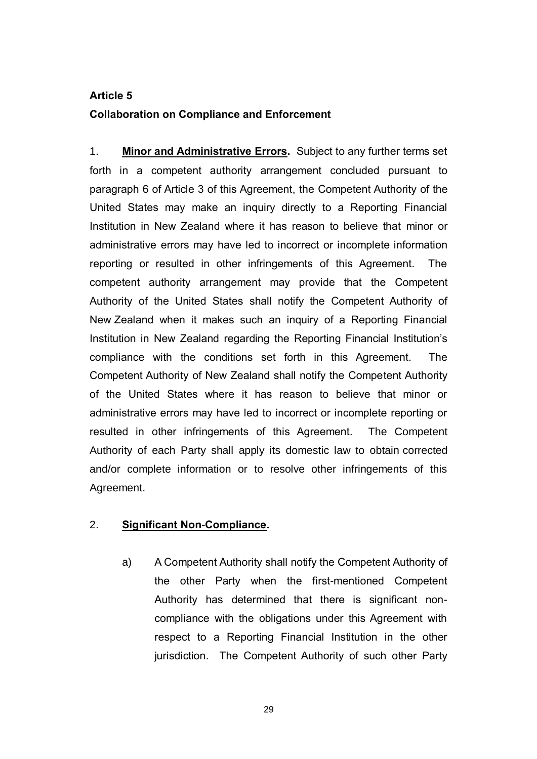# **Article 5 Collaboration on Compliance and Enforcement**

1. **Minor and Administrative Errors.** Subject to any further terms set forth in a competent authority arrangement concluded pursuant to paragraph 6 of Article 3 of this Agreement, the Competent Authority of the United States may make an inquiry directly to a Reporting Financial Institution in New Zealand where it has reason to believe that minor or administrative errors may have led to incorrect or incomplete information reporting or resulted in other infringements of this Agreement. The competent authority arrangement may provide that the Competent Authority of the United States shall notify the Competent Authority of New Zealand when it makes such an inquiry of a Reporting Financial Institution in New Zealand regarding the Reporting Financial Institution's compliance with the conditions set forth in this Agreement. The Competent Authority of New Zealand shall notify the Competent Authority of the United States where it has reason to believe that minor or administrative errors may have led to incorrect or incomplete reporting or resulted in other infringements of this Agreement. The Competent Authority of each Party shall apply its domestic law to obtain corrected and/or complete information or to resolve other infringements of this Agreement.

### 2. **Significant Non-Compliance.**

a) A Competent Authority shall notify the Competent Authority of the other Party when the first-mentioned Competent Authority has determined that there is significant noncompliance with the obligations under this Agreement with respect to a Reporting Financial Institution in the other jurisdiction. The Competent Authority of such other Party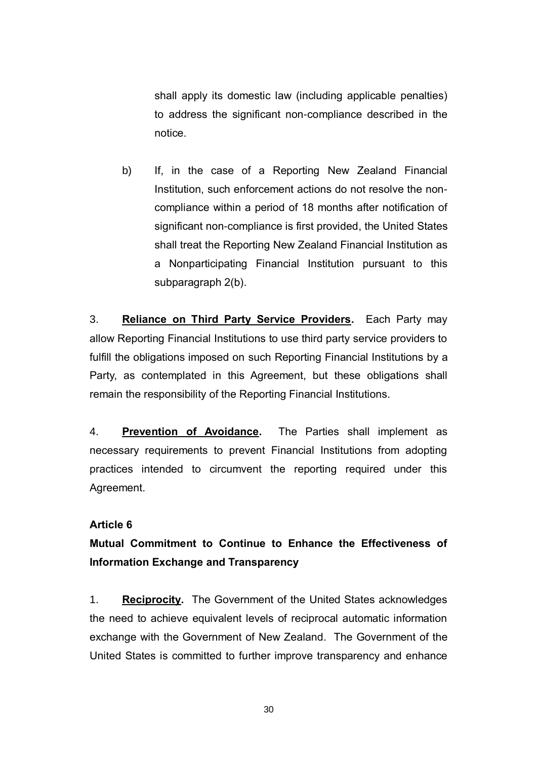shall apply its domestic law (including applicable penalties) to address the significant non-compliance described in the notice.

b) If, in the case of a Reporting New Zealand Financial Institution, such enforcement actions do not resolve the noncompliance within a period of 18 months after notification of significant non-compliance is first provided, the United States shall treat the Reporting New Zealand Financial Institution as a Nonparticipating Financial Institution pursuant to this subparagraph 2(b).

3. **Reliance on Third Party Service Providers.** Each Party may allow Reporting Financial Institutions to use third party service providers to fulfill the obligations imposed on such Reporting Financial Institutions by a Party, as contemplated in this Agreement, but these obligations shall remain the responsibility of the Reporting Financial Institutions.

4. **Prevention of Avoidance.** The Parties shall implement as necessary requirements to prevent Financial Institutions from adopting practices intended to circumvent the reporting required under this Agreement.

### **Article 6**

## **Mutual Commitment to Continue to Enhance the Effectiveness of Information Exchange and Transparency**

1. **Reciprocity.** The Government of the United States acknowledges the need to achieve equivalent levels of reciprocal automatic information exchange with the Government of New Zealand. The Government of the United States is committed to further improve transparency and enhance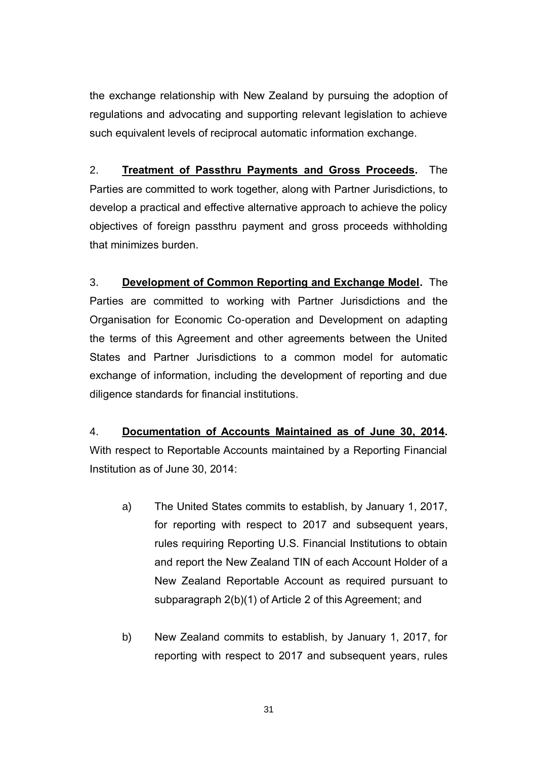the exchange relationship with New Zealand by pursuing the adoption of regulations and advocating and supporting relevant legislation to achieve such equivalent levels of reciprocal automatic information exchange.

2. **Treatment of Passthru Payments and Gross Proceeds.** The Parties are committed to work together, along with Partner Jurisdictions, to develop a practical and effective alternative approach to achieve the policy objectives of foreign passthru payment and gross proceeds withholding that minimizes burden.

3. **Development of Common Reporting and Exchange Model.** The Parties are committed to working with Partner Jurisdictions and the Organisation for Economic Co-operation and Development on adapting the terms of this Agreement and other agreements between the United States and Partner Jurisdictions to a common model for automatic exchange of information, including the development of reporting and due diligence standards for financial institutions.

## 4. **Documentation of Accounts Maintained as of June 30, 2014.** With respect to Reportable Accounts maintained by a Reporting Financial Institution as of June 30, 2014:

- a) The United States commits to establish, by January 1, 2017, for reporting with respect to 2017 and subsequent years, rules requiring Reporting U.S. Financial Institutions to obtain and report the New Zealand TIN of each Account Holder of a New Zealand Reportable Account as required pursuant to subparagraph 2(b)(1) of Article 2 of this Agreement; and
- b) New Zealand commits to establish, by January 1, 2017, for reporting with respect to 2017 and subsequent years, rules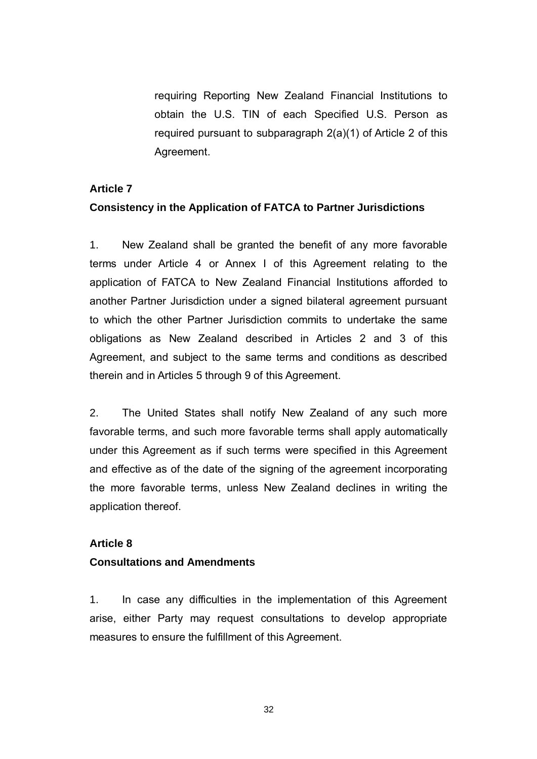requiring Reporting New Zealand Financial Institutions to obtain the U.S. TIN of each Specified U.S. Person as required pursuant to subparagraph 2(a)(1) of Article 2 of this Agreement.

#### **Article 7**

### **Consistency in the Application of FATCA to Partner Jurisdictions**

1. New Zealand shall be granted the benefit of any more favorable terms under Article 4 or Annex I of this Agreement relating to the application of FATCA to New Zealand Financial Institutions afforded to another Partner Jurisdiction under a signed bilateral agreement pursuant to which the other Partner Jurisdiction commits to undertake the same obligations as New Zealand described in Articles 2 and 3 of this Agreement, and subject to the same terms and conditions as described therein and in Articles 5 through 9 of this Agreement.

2. The United States shall notify New Zealand of any such more favorable terms, and such more favorable terms shall apply automatically under this Agreement as if such terms were specified in this Agreement and effective as of the date of the signing of the agreement incorporating the more favorable terms, unless New Zealand declines in writing the application thereof.

### **Article 8**

### **Consultations and Amendments**

1. In case any difficulties in the implementation of this Agreement arise, either Party may request consultations to develop appropriate measures to ensure the fulfillment of this Agreement.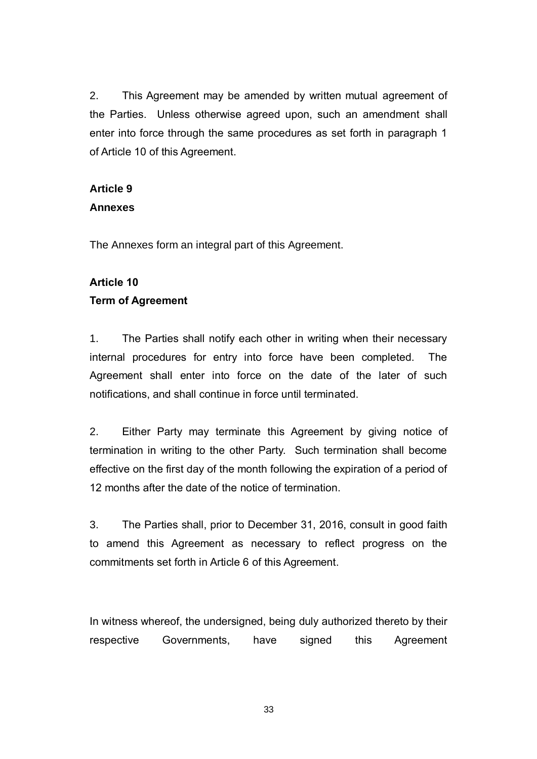2. This Agreement may be amended by written mutual agreement of the Parties. Unless otherwise agreed upon, such an amendment shall enter into force through the same procedures as set forth in paragraph 1 of Article 10 of this Agreement.

## **Article 9**

### **Annexes**

The Annexes form an integral part of this Agreement.

## **Article 10**

## **Term of Agreement**

1. The Parties shall notify each other in writing when their necessary internal procedures for entry into force have been completed. The Agreement shall enter into force on the date of the later of such notifications, and shall continue in force until terminated.

2. Either Party may terminate this Agreement by giving notice of termination in writing to the other Party. Such termination shall become effective on the first day of the month following the expiration of a period of 12 months after the date of the notice of termination.

3. The Parties shall, prior to December 31, 2016, consult in good faith to amend this Agreement as necessary to reflect progress on the commitments set forth in Article 6 of this Agreement.

In witness whereof, the undersigned, being duly authorized thereto by their respective Governments, have signed this Agreement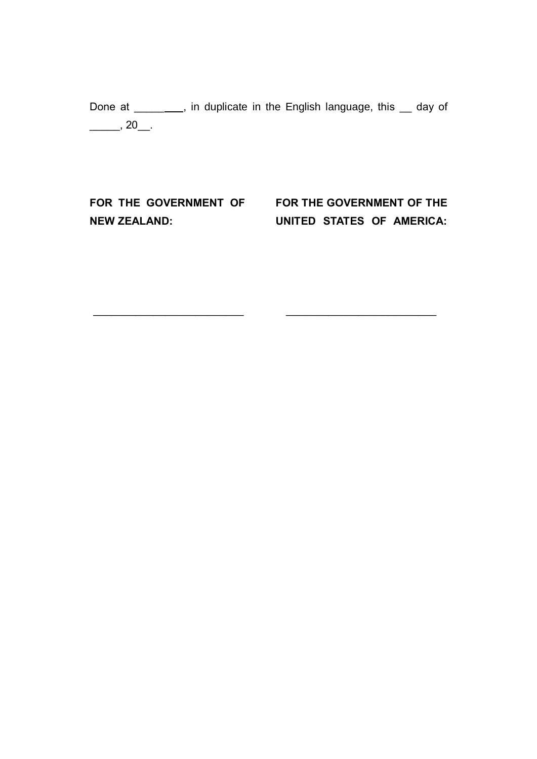Done at \_\_\_\_\_\_\_, in duplicate in the English language, this \_\_ day of  $\frac{1}{\sqrt{20}}$ , 20

\_\_\_\_\_\_\_\_\_\_\_\_\_\_\_\_\_\_\_\_\_\_\_\_\_ \_\_\_\_\_\_\_\_\_\_\_\_\_\_\_\_\_\_\_\_\_\_\_\_\_

**NEW ZEALAND:** 

**FOR THE GOVERNMENT OF FOR THE GOVERNMENT OF THE UNITED STATES OF AMERICA:**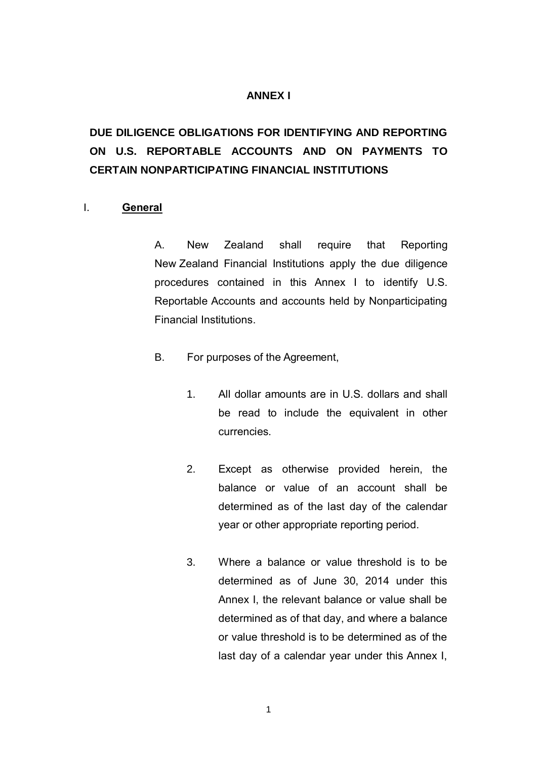### **ANNEX I**

# **DUE DILIGENCE OBLIGATIONS FOR IDENTIFYING AND REPORTING ON U.S. REPORTABLE ACCOUNTS AND ON PAYMENTS TO CERTAIN NONPARTICIPATING FINANCIAL INSTITUTIONS**

#### I. **General**

A. New Zealand shall require that Reporting New Zealand Financial Institutions apply the due diligence procedures contained in this Annex I to identify U.S. Reportable Accounts and accounts held by Nonparticipating Financial Institutions.

- B. For purposes of the Agreement,
	- 1. All dollar amounts are in U.S. dollars and shall be read to include the equivalent in other currencies.
	- 2. Except as otherwise provided herein, the balance or value of an account shall be determined as of the last day of the calendar year or other appropriate reporting period.
	- 3. Where a balance or value threshold is to be determined as of June 30, 2014 under this Annex I, the relevant balance or value shall be determined as of that day, and where a balance or value threshold is to be determined as of the last day of a calendar year under this Annex I,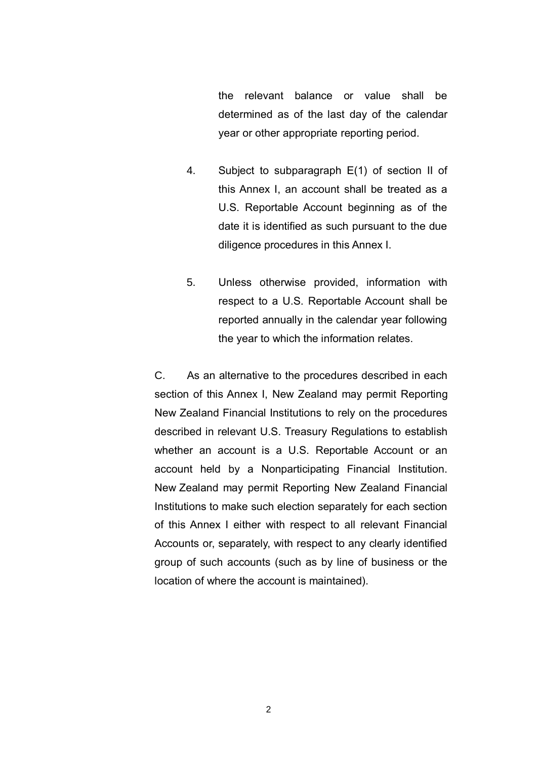the relevant balance or value shall be determined as of the last day of the calendar year or other appropriate reporting period.

- 4. Subject to subparagraph E(1) of section II of this Annex I, an account shall be treated as a U.S. Reportable Account beginning as of the date it is identified as such pursuant to the due diligence procedures in this Annex I.
- 5. Unless otherwise provided, information with respect to a U.S. Reportable Account shall be reported annually in the calendar year following the year to which the information relates.

C. As an alternative to the procedures described in each section of this Annex I, New Zealand may permit Reporting New Zealand Financial Institutions to rely on the procedures described in relevant U.S. Treasury Regulations to establish whether an account is a U.S. Reportable Account or an account held by a Nonparticipating Financial Institution. New Zealand may permit Reporting New Zealand Financial Institutions to make such election separately for each section of this Annex I either with respect to all relevant Financial Accounts or, separately, with respect to any clearly identified group of such accounts (such as by line of business or the location of where the account is maintained).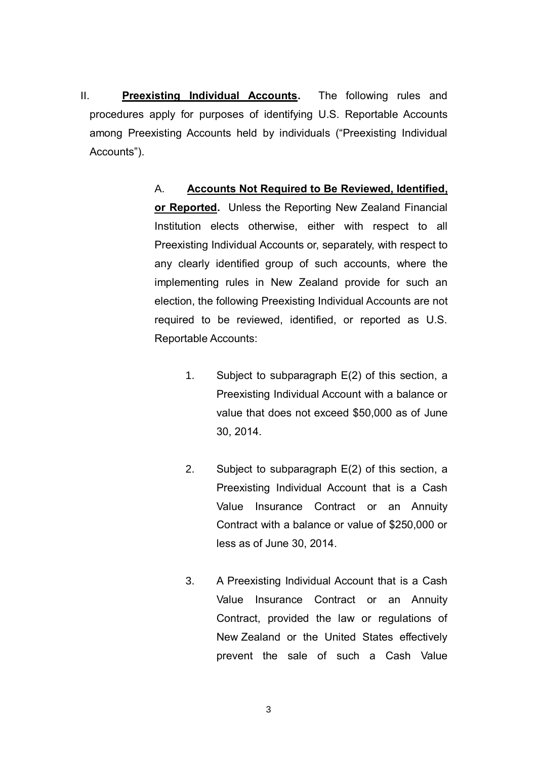II. **Preexisting Individual Accounts.** The following rules and procedures apply for purposes of identifying U.S. Reportable Accounts among Preexisting Accounts held by individuals ("Preexisting Individual Accounts").

> A. **Accounts Not Required to Be Reviewed, Identified, or Reported.** Unless the Reporting New Zealand Financial Institution elects otherwise, either with respect to all Preexisting Individual Accounts or, separately, with respect to any clearly identified group of such accounts, where the implementing rules in New Zealand provide for such an election, the following Preexisting Individual Accounts are not required to be reviewed, identified, or reported as U.S. Reportable Accounts:

- 1. Subject to subparagraph E(2) of this section, a Preexisting Individual Account with a balance or value that does not exceed \$50,000 as of June 30, 2014.
- 2. Subject to subparagraph E(2) of this section, a Preexisting Individual Account that is a Cash Value Insurance Contract or an Annuity Contract with a balance or value of \$250,000 or less as of June 30, 2014.
- 3. A Preexisting Individual Account that is a Cash Value Insurance Contract or an Annuity Contract, provided the law or regulations of New Zealand or the United States effectively prevent the sale of such a Cash Value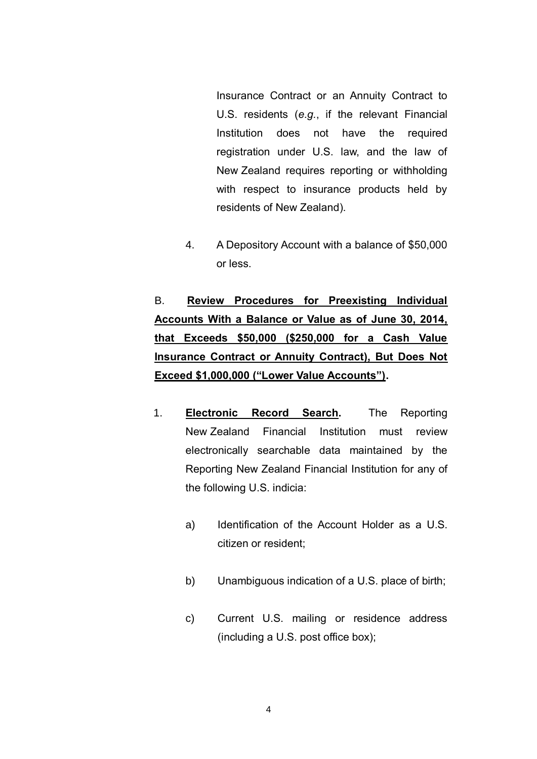Insurance Contract or an Annuity Contract to U.S. residents (*e.g.*, if the relevant Financial Institution does not have the required registration under U.S. law, and the law of New Zealand requires reporting or withholding with respect to insurance products held by residents of New Zealand).

4. A Depository Account with a balance of \$50,000 or less.

B. **Review Procedures for Preexisting Individual Accounts With a Balance or Value as of June 30, 2014, that Exceeds \$50,000 (\$250,000 for a Cash Value Insurance Contract or Annuity Contract), But Does Not Exceed \$1,000,000 ("Lower Value Accounts").**

- 1. **Electronic Record Search.** The Reporting New Zealand Financial Institution must review electronically searchable data maintained by the Reporting New Zealand Financial Institution for any of the following U.S. indicia:
	- a) Identification of the Account Holder as a U.S. citizen or resident;
	- b) Unambiguous indication of a U.S. place of birth;
	- c) Current U.S. mailing or residence address (including a U.S. post office box);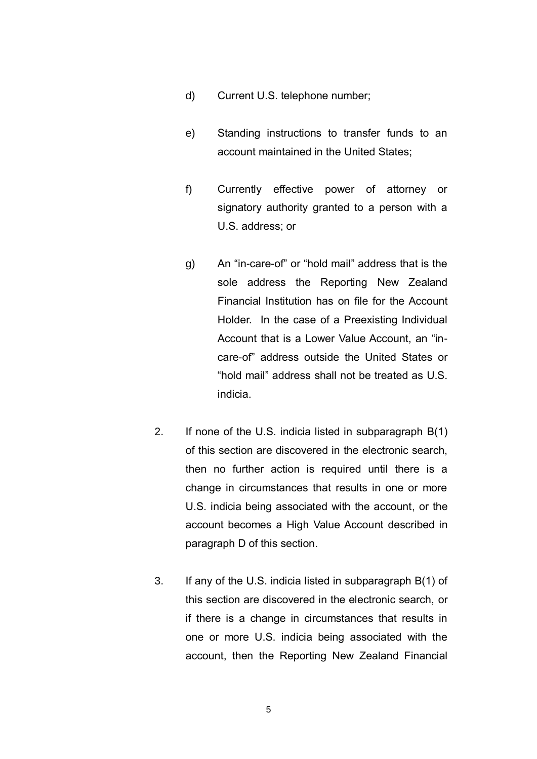- d) Current U.S. telephone number;
- e) Standing instructions to transfer funds to an account maintained in the United States;
- f) Currently effective power of attorney or signatory authority granted to a person with a U.S. address; or
- g) An "in-care-of" or "hold mail" address that is the sole address the Reporting New Zealand Financial Institution has on file for the Account Holder. In the case of a Preexisting Individual Account that is a Lower Value Account, an "incare-of" address outside the United States or "hold mail" address shall not be treated as U.S. indicia.
- 2. If none of the U.S. indicia listed in subparagraph B(1) of this section are discovered in the electronic search, then no further action is required until there is a change in circumstances that results in one or more U.S. indicia being associated with the account, or the account becomes a High Value Account described in paragraph D of this section.
- 3. If any of the U.S. indicia listed in subparagraph B(1) of this section are discovered in the electronic search, or if there is a change in circumstances that results in one or more U.S. indicia being associated with the account, then the Reporting New Zealand Financial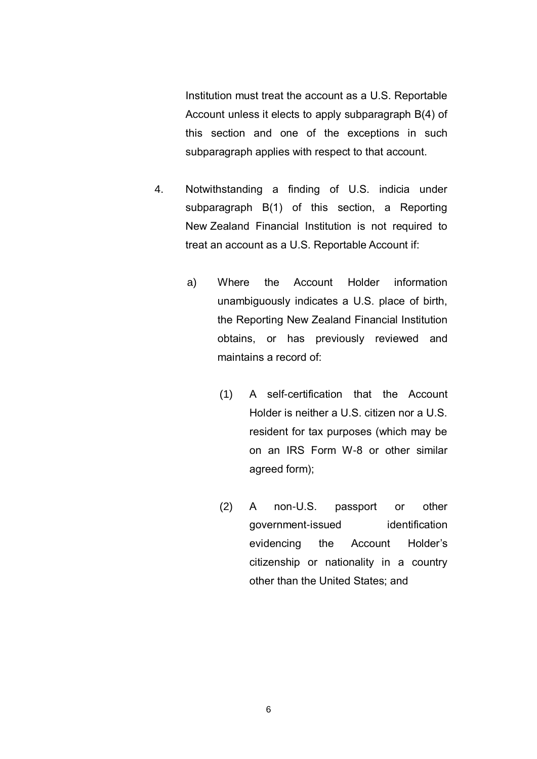Institution must treat the account as a U.S. Reportable Account unless it elects to apply subparagraph B(4) of this section and one of the exceptions in such subparagraph applies with respect to that account.

- 4. Notwithstanding a finding of U.S. indicia under subparagraph B(1) of this section, a Reporting New Zealand Financial Institution is not required to treat an account as a U.S. Reportable Account if:
	- a) Where the Account Holder information unambiguously indicates a U.S. place of birth, the Reporting New Zealand Financial Institution obtains, or has previously reviewed and maintains a record of:
		- (1) A self-certification that the Account Holder is neither a U.S. citizen nor a U.S. resident for tax purposes (which may be on an IRS Form W-8 or other similar agreed form);
		- (2) A non-U.S. passport or other government-issued identification evidencing the Account Holder's citizenship or nationality in a country other than the United States; and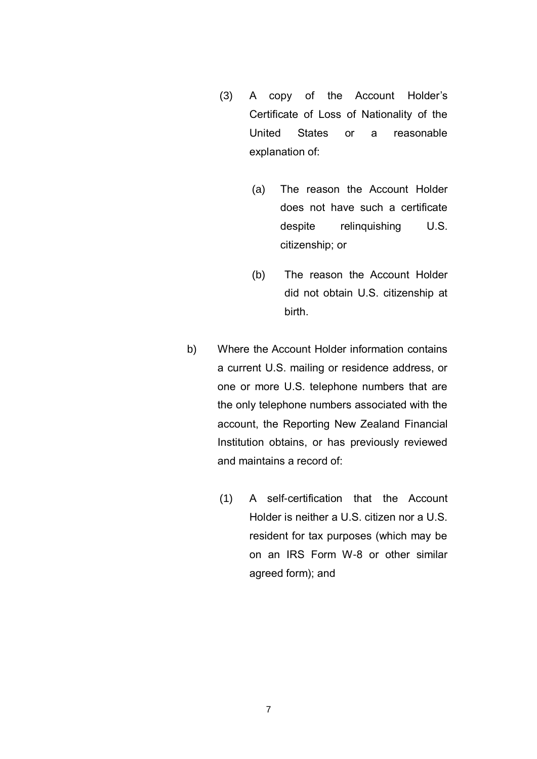- (3) A copy of the Account Holder's Certificate of Loss of Nationality of the United States or a reasonable explanation of:
	- (a) The reason the Account Holder does not have such a certificate despite relinquishing U.S. citizenship; or
	- (b) The reason the Account Holder did not obtain U.S. citizenship at birth.
- b) Where the Account Holder information contains a current U.S. mailing or residence address, or one or more U.S. telephone numbers that are the only telephone numbers associated with the account, the Reporting New Zealand Financial Institution obtains, or has previously reviewed and maintains a record of:
	- (1) A self-certification that the Account Holder is neither a U.S. citizen nor a U.S. resident for tax purposes (which may be on an IRS Form W-8 or other similar agreed form); and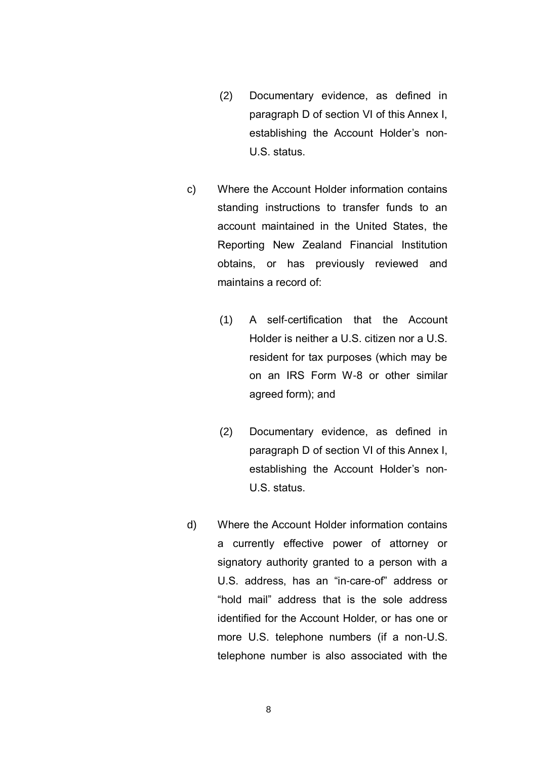- (2) Documentary evidence, as defined in paragraph D of section VI of this Annex I, establishing the Account Holder's non-U.S. status.
- c) Where the Account Holder information contains standing instructions to transfer funds to an account maintained in the United States, the Reporting New Zealand Financial Institution obtains, or has previously reviewed and maintains a record of:
	- (1) A self-certification that the Account Holder is neither a U.S. citizen nor a U.S. resident for tax purposes (which may be on an IRS Form W-8 or other similar agreed form); and
	- (2) Documentary evidence, as defined in paragraph D of section VI of this Annex I, establishing the Account Holder's non-U.S. status.
- d) Where the Account Holder information contains a currently effective power of attorney or signatory authority granted to a person with a U.S. address, has an "in-care-of" address or "hold mail" address that is the sole address identified for the Account Holder, or has one or more U.S. telephone numbers (if a non-U.S. telephone number is also associated with the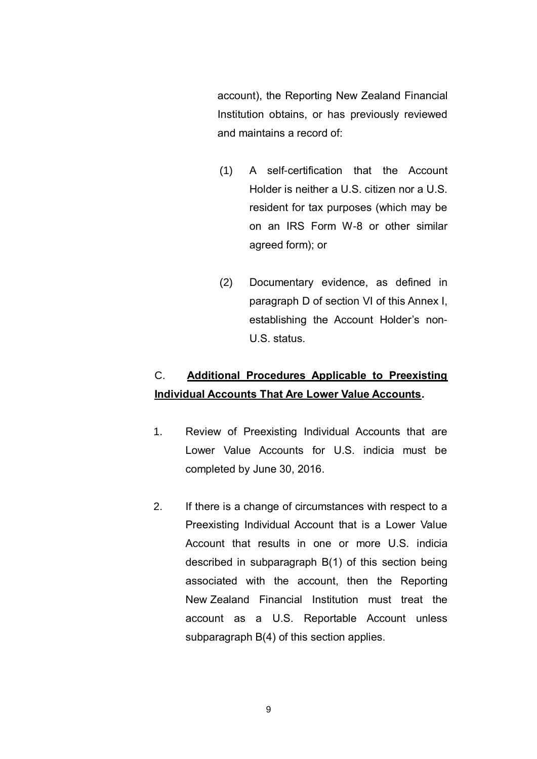account), the Reporting New Zealand Financial Institution obtains, or has previously reviewed and maintains a record of:

- (1) A self-certification that the Account Holder is neither a U.S. citizen nor a U.S. resident for tax purposes (which may be on an IRS Form W-8 or other similar agreed form); or
- (2) Documentary evidence, as defined in paragraph D of section VI of this Annex I, establishing the Account Holder's non-U.S. status.

# C. **Additional Procedures Applicable to Preexisting Individual Accounts That Are Lower Value Accounts.**

- 1. Review of Preexisting Individual Accounts that are Lower Value Accounts for U.S. indicia must be completed by June 30, 2016.
- 2. If there is a change of circumstances with respect to a Preexisting Individual Account that is a Lower Value Account that results in one or more U.S. indicia described in subparagraph B(1) of this section being associated with the account, then the Reporting New Zealand Financial Institution must treat the account as a U.S. Reportable Account unless subparagraph B(4) of this section applies.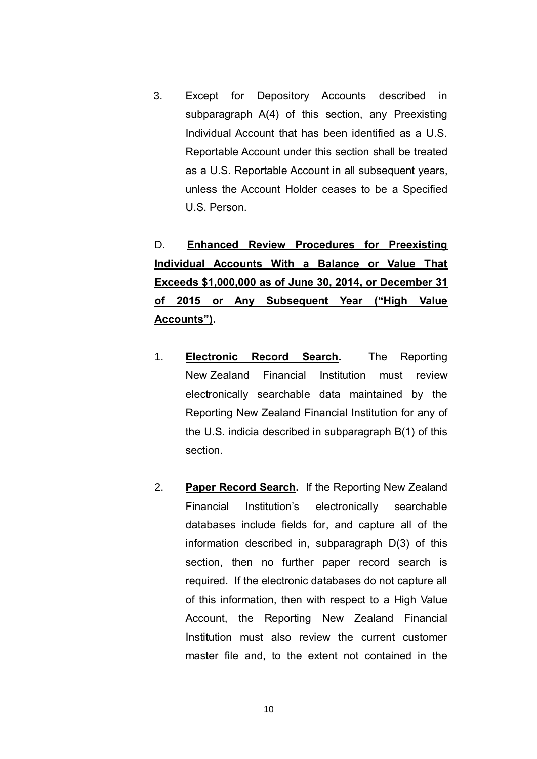3. Except for Depository Accounts described in subparagraph A(4) of this section, any Preexisting Individual Account that has been identified as a U.S. Reportable Account under this section shall be treated as a U.S. Reportable Account in all subsequent years, unless the Account Holder ceases to be a Specified U.S. Person.

D. **Enhanced Review Procedures for Preexisting Individual Accounts With a Balance or Value That Exceeds \$1,000,000 as of June 30, 2014, or December 31 of 2015 or Any Subsequent Year ("High Value Accounts").**

- 1. **Electronic Record Search.** The Reporting New Zealand Financial Institution must review electronically searchable data maintained by the Reporting New Zealand Financial Institution for any of the U.S. indicia described in subparagraph B(1) of this section.
- 2. **Paper Record Search.** If the Reporting New Zealand Financial Institution's electronically searchable databases include fields for, and capture all of the information described in, subparagraph D(3) of this section, then no further paper record search is required. If the electronic databases do not capture all of this information, then with respect to a High Value Account, the Reporting New Zealand Financial Institution must also review the current customer master file and, to the extent not contained in the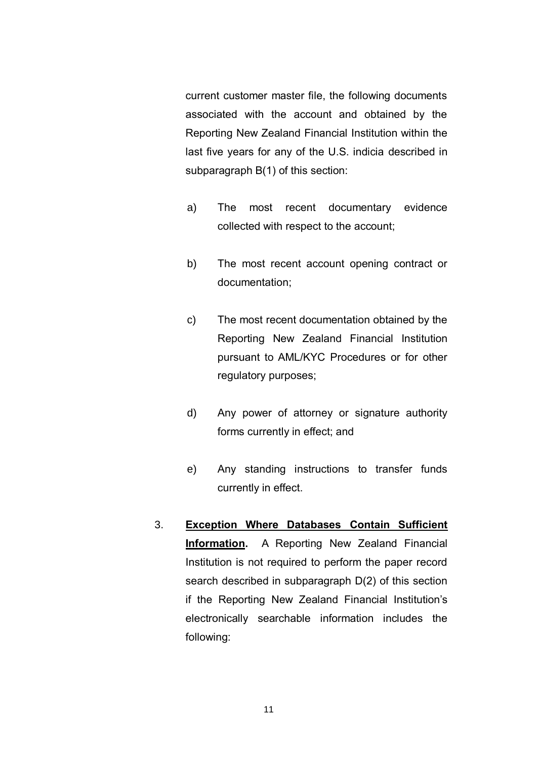current customer master file, the following documents associated with the account and obtained by the Reporting New Zealand Financial Institution within the last five years for any of the U.S. indicia described in subparagraph B(1) of this section:

- a) The most recent documentary evidence collected with respect to the account;
- b) The most recent account opening contract or documentation;
- c) The most recent documentation obtained by the Reporting New Zealand Financial Institution pursuant to AML/KYC Procedures or for other regulatory purposes;
- d) Any power of attorney or signature authority forms currently in effect; and
- e) Any standing instructions to transfer funds currently in effect.
- 3. **Exception Where Databases Contain Sufficient Information.** A Reporting New Zealand Financial Institution is not required to perform the paper record search described in subparagraph D(2) of this section if the Reporting New Zealand Financial Institution's electronically searchable information includes the following: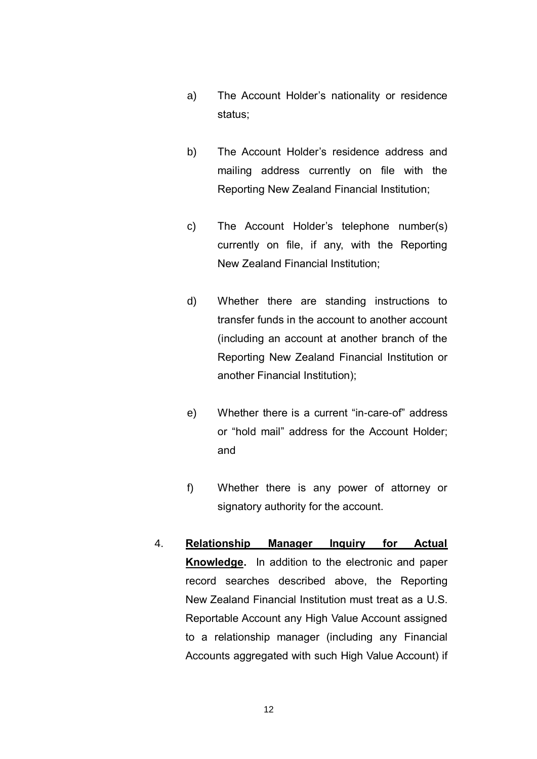- a) The Account Holder's nationality or residence status;
- b) The Account Holder's residence address and mailing address currently on file with the Reporting New Zealand Financial Institution;
- c) The Account Holder's telephone number(s) currently on file, if any, with the Reporting New Zealand Financial Institution;
- d) Whether there are standing instructions to transfer funds in the account to another account (including an account at another branch of the Reporting New Zealand Financial Institution or another Financial Institution);
- e) Whether there is a current "in-care-of" address or "hold mail" address for the Account Holder; and
- f) Whether there is any power of attorney or signatory authority for the account.
- 4. **Relationship Manager Inquiry for Actual Knowledge.** In addition to the electronic and paper record searches described above, the Reporting New Zealand Financial Institution must treat as a U.S. Reportable Account any High Value Account assigned to a relationship manager (including any Financial Accounts aggregated with such High Value Account) if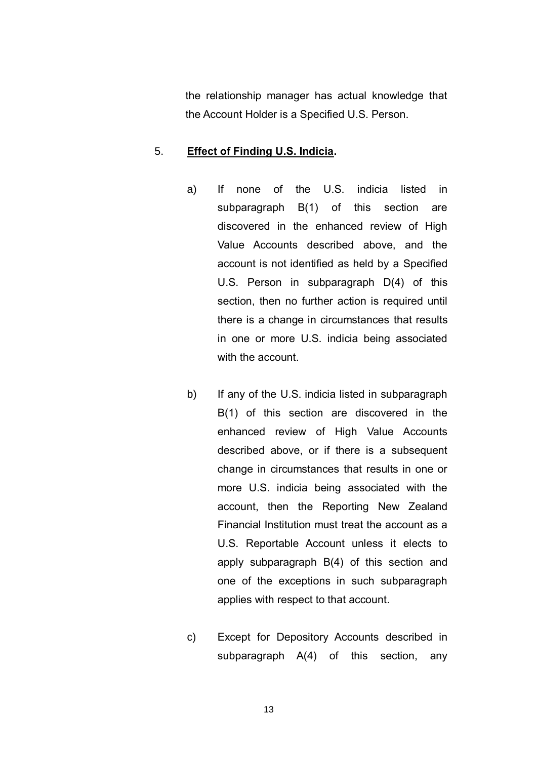the relationship manager has actual knowledge that the Account Holder is a Specified U.S. Person.

#### 5. **Effect of Finding U.S. Indicia.**

- a) If none of the U.S. indicia listed in subparagraph B(1) of this section are discovered in the enhanced review of High Value Accounts described above, and the account is not identified as held by a Specified U.S. Person in subparagraph D(4) of this section, then no further action is required until there is a change in circumstances that results in one or more U.S. indicia being associated with the account.
- b) If any of the U.S. indicia listed in subparagraph B(1) of this section are discovered in the enhanced review of High Value Accounts described above, or if there is a subsequent change in circumstances that results in one or more U.S. indicia being associated with the account, then the Reporting New Zealand Financial Institution must treat the account as a U.S. Reportable Account unless it elects to apply subparagraph B(4) of this section and one of the exceptions in such subparagraph applies with respect to that account.
- c) Except for Depository Accounts described in subparagraph A(4) of this section, any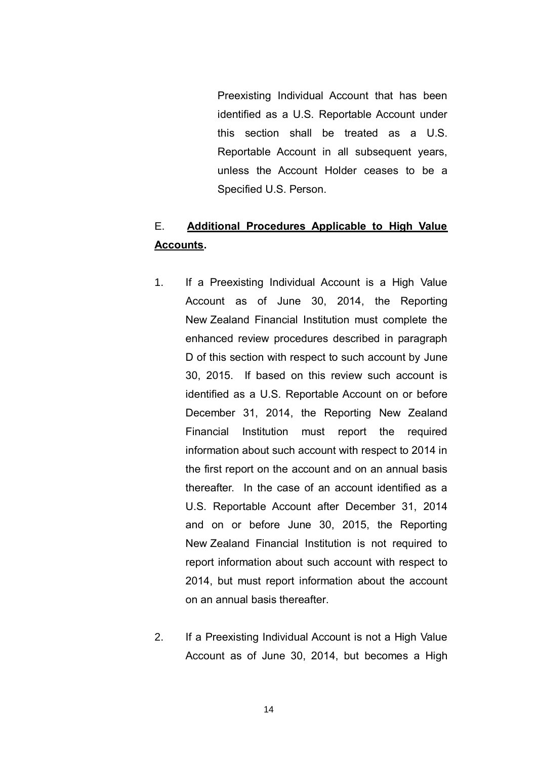Preexisting Individual Account that has been identified as a U.S. Reportable Account under this section shall be treated as a U.S. Reportable Account in all subsequent years, unless the Account Holder ceases to be a Specified U.S. Person.

# E. **Additional Procedures Applicable to High Value Accounts.**

- 1. If a Preexisting Individual Account is a High Value Account as of June 30, 2014, the Reporting New Zealand Financial Institution must complete the enhanced review procedures described in paragraph D of this section with respect to such account by June 30, 2015. If based on this review such account is identified as a U.S. Reportable Account on or before December 31, 2014, the Reporting New Zealand Financial Institution must report the required information about such account with respect to 2014 in the first report on the account and on an annual basis thereafter. In the case of an account identified as a U.S. Reportable Account after December 31, 2014 and on or before June 30, 2015, the Reporting New Zealand Financial Institution is not required to report information about such account with respect to 2014, but must report information about the account on an annual basis thereafter.
- 2. If a Preexisting Individual Account is not a High Value Account as of June 30, 2014, but becomes a High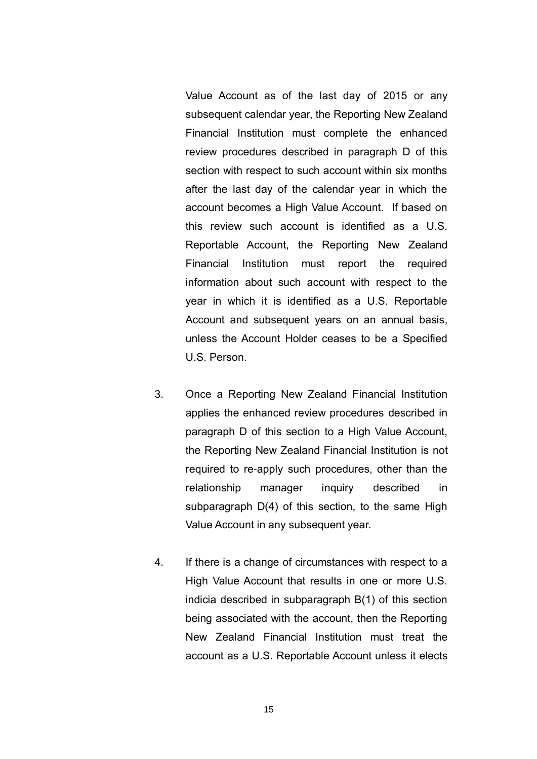Value Account as of the last day of 2015 or any subsequent calendar year, the Reporting New Zealand Financial Institution must complete the enhanced review procedures described in paragraph D of this section with respect to such account within six months after the last day of the calendar year in which the account becomes a High Value Account. If based on this review such account is identified as a U.S. Reportable Account, the Reporting New Zealand Financial Institution must report the required information about such account with respect to the year in which it is identified as a U.S. Reportable Account and subsequent years on an annual basis, unless the Account Holder ceases to be a Specified U.S. Person.

- 3. Once a Reporting New Zealand Financial Institution applies the enhanced review procedures described in paragraph D of this section to a High Value Account, the Reporting New Zealand Financial Institution is not required to re-apply such procedures, other than the relationship manager inquiry described in subparagraph D(4) of this section, to the same High Value Account in any subsequent year.
- 4. If there is a change of circumstances with respect to a High Value Account that results in one or more U.S. indicia described in subparagraph B(1) of this section being associated with the account, then the Reporting New Zealand Financial Institution must treat the account as a U.S. Reportable Account unless it elects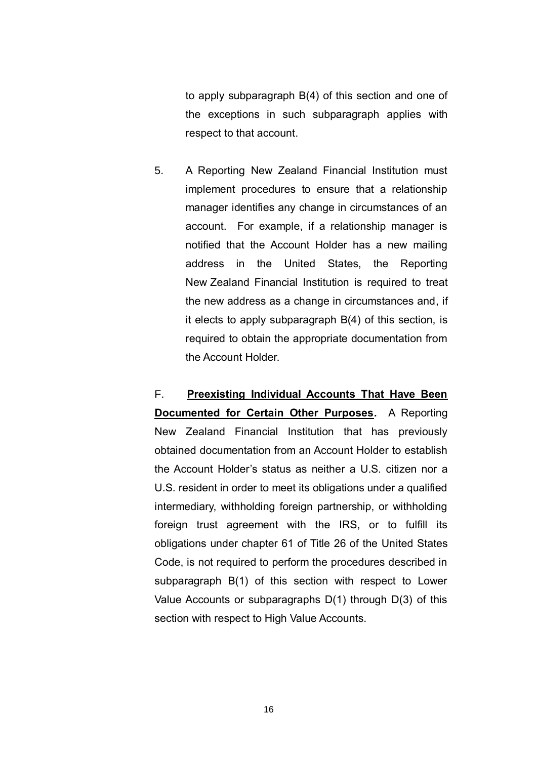to apply subparagraph B(4) of this section and one of the exceptions in such subparagraph applies with respect to that account.

5. A Reporting New Zealand Financial Institution must implement procedures to ensure that a relationship manager identifies any change in circumstances of an account. For example, if a relationship manager is notified that the Account Holder has a new mailing address in the United States, the Reporting New Zealand Financial Institution is required to treat the new address as a change in circumstances and, if it elects to apply subparagraph B(4) of this section, is required to obtain the appropriate documentation from the Account Holder.

F. **Preexisting Individual Accounts That Have Been Documented for Certain Other Purposes.** A Reporting New Zealand Financial Institution that has previously obtained documentation from an Account Holder to establish the Account Holder's status as neither a U.S. citizen nor a U.S. resident in order to meet its obligations under a qualified intermediary, withholding foreign partnership, or withholding foreign trust agreement with the IRS, or to fulfill its obligations under chapter 61 of Title 26 of the United States Code, is not required to perform the procedures described in subparagraph B(1) of this section with respect to Lower Value Accounts or subparagraphs D(1) through D(3) of this section with respect to High Value Accounts.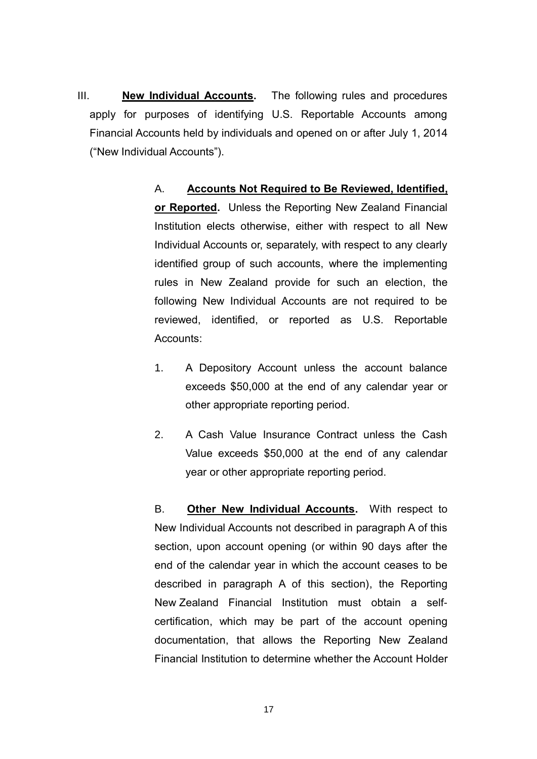III. **New Individual Accounts.** The following rules and procedures apply for purposes of identifying U.S. Reportable Accounts among Financial Accounts held by individuals and opened on or after July 1, 2014 ("New Individual Accounts").

> A. **Accounts Not Required to Be Reviewed, Identified, or Reported.** Unless the Reporting New Zealand Financial Institution elects otherwise, either with respect to all New Individual Accounts or, separately, with respect to any clearly identified group of such accounts, where the implementing rules in New Zealand provide for such an election, the following New Individual Accounts are not required to be reviewed, identified, or reported as U.S. Reportable Accounts:

- 1. A Depository Account unless the account balance exceeds \$50,000 at the end of any calendar year or other appropriate reporting period.
- 2. A Cash Value Insurance Contract unless the Cash Value exceeds \$50,000 at the end of any calendar year or other appropriate reporting period.

B. **Other New Individual Accounts.** With respect to New Individual Accounts not described in paragraph A of this section, upon account opening (or within 90 days after the end of the calendar year in which the account ceases to be described in paragraph A of this section), the Reporting New Zealand Financial Institution must obtain a selfcertification, which may be part of the account opening documentation, that allows the Reporting New Zealand Financial Institution to determine whether the Account Holder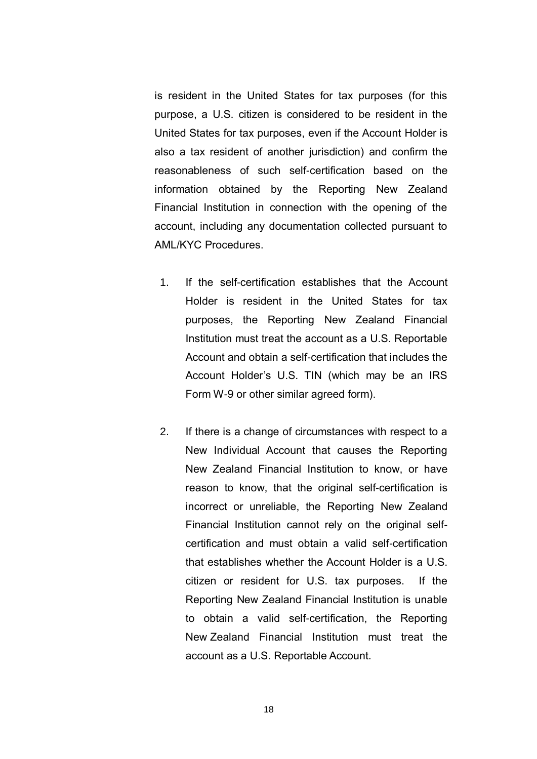is resident in the United States for tax purposes (for this purpose, a U.S. citizen is considered to be resident in the United States for tax purposes, even if the Account Holder is also a tax resident of another jurisdiction) and confirm the reasonableness of such self-certification based on the information obtained by the Reporting New Zealand Financial Institution in connection with the opening of the account, including any documentation collected pursuant to AML/KYC Procedures.

- 1. If the self-certification establishes that the Account Holder is resident in the United States for tax purposes, the Reporting New Zealand Financial Institution must treat the account as a U.S. Reportable Account and obtain a self-certification that includes the Account Holder's U.S. TIN (which may be an IRS Form W-9 or other similar agreed form).
- 2. If there is a change of circumstances with respect to a New Individual Account that causes the Reporting New Zealand Financial Institution to know, or have reason to know, that the original self-certification is incorrect or unreliable, the Reporting New Zealand Financial Institution cannot rely on the original selfcertification and must obtain a valid self-certification that establishes whether the Account Holder is a U.S. citizen or resident for U.S. tax purposes. If the Reporting New Zealand Financial Institution is unable to obtain a valid self-certification, the Reporting New Zealand Financial Institution must treat the account as a U.S. Reportable Account.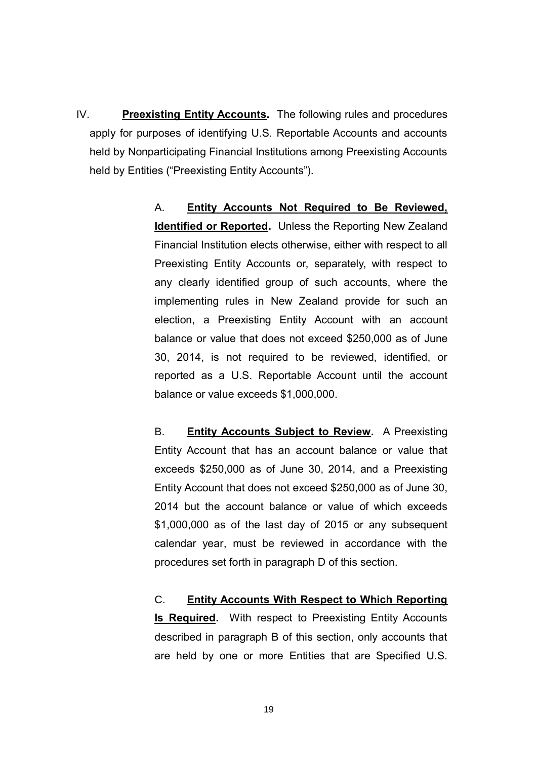IV. **Preexisting Entity Accounts.** The following rules and procedures apply for purposes of identifying U.S. Reportable Accounts and accounts held by Nonparticipating Financial Institutions among Preexisting Accounts held by Entities ("Preexisting Entity Accounts").

> A. **Entity Accounts Not Required to Be Reviewed, Identified or Reported.** Unless the Reporting New Zealand Financial Institution elects otherwise, either with respect to all Preexisting Entity Accounts or, separately, with respect to any clearly identified group of such accounts, where the implementing rules in New Zealand provide for such an election, a Preexisting Entity Account with an account balance or value that does not exceed \$250,000 as of June 30, 2014, is not required to be reviewed, identified, or reported as a U.S. Reportable Account until the account balance or value exceeds \$1,000,000.

> B. **Entity Accounts Subject to Review.** A Preexisting Entity Account that has an account balance or value that exceeds \$250,000 as of June 30, 2014, and a Preexisting Entity Account that does not exceed \$250,000 as of June 30, 2014 but the account balance or value of which exceeds \$1,000,000 as of the last day of 2015 or any subsequent calendar year, must be reviewed in accordance with the procedures set forth in paragraph D of this section.

> C. **Entity Accounts With Respect to Which Reporting Is Required.** With respect to Preexisting Entity Accounts described in paragraph B of this section, only accounts that are held by one or more Entities that are Specified U.S.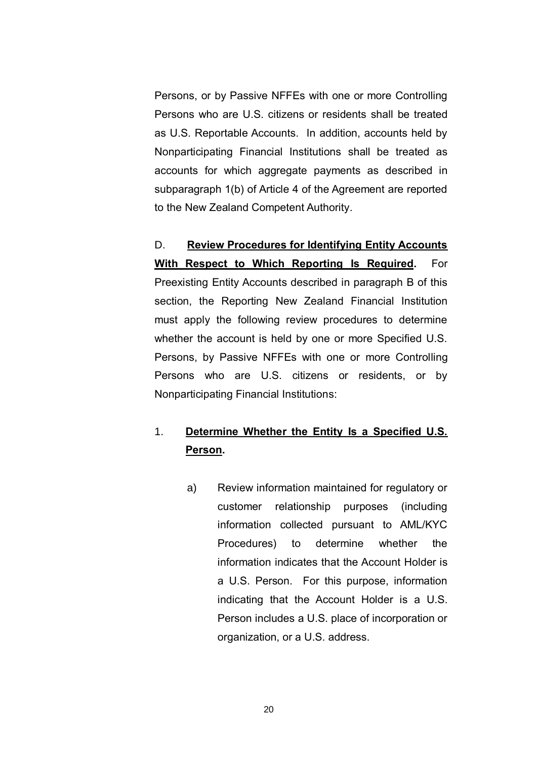Persons, or by Passive NFFEs with one or more Controlling Persons who are U.S. citizens or residents shall be treated as U.S. Reportable Accounts. In addition, accounts held by Nonparticipating Financial Institutions shall be treated as accounts for which aggregate payments as described in subparagraph 1(b) of Article 4 of the Agreement are reported to the New Zealand Competent Authority.

D. **Review Procedures for Identifying Entity Accounts With Respect to Which Reporting Is Required.** For Preexisting Entity Accounts described in paragraph B of this section, the Reporting New Zealand Financial Institution must apply the following review procedures to determine whether the account is held by one or more Specified U.S. Persons, by Passive NFFEs with one or more Controlling Persons who are U.S. citizens or residents, or by Nonparticipating Financial Institutions:

# 1. **Determine Whether the Entity Is a Specified U.S. Person.**

a) Review information maintained for regulatory or customer relationship purposes (including information collected pursuant to AML/KYC Procedures) to determine whether the information indicates that the Account Holder is a U.S. Person. For this purpose, information indicating that the Account Holder is a U.S. Person includes a U.S. place of incorporation or organization, or a U.S. address.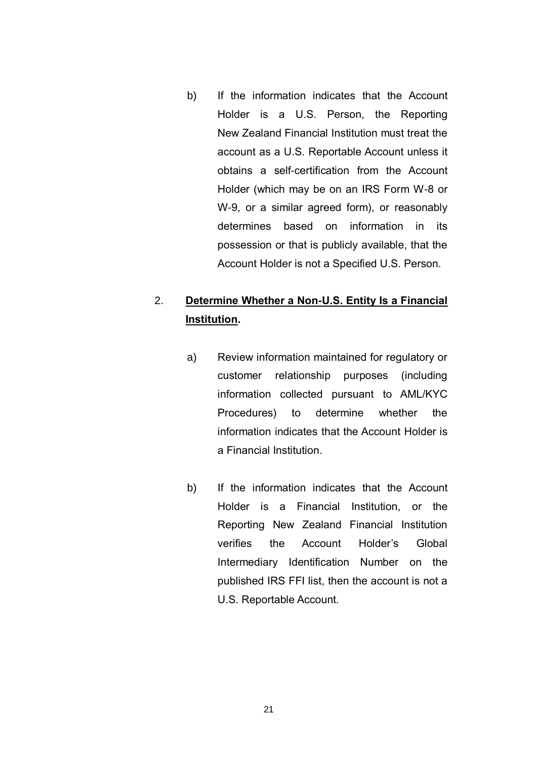b) If the information indicates that the Account Holder is a U.S. Person, the Reporting New Zealand Financial Institution must treat the account as a U.S. Reportable Account unless it obtains a self-certification from the Account Holder (which may be on an IRS Form W-8 or W-9, or a similar agreed form), or reasonably determines based on information in its possession or that is publicly available, that the Account Holder is not a Specified U.S. Person.

### 2. **Determine Whether a Non-U.S. Entity Is a Financial Institution.**

- a) Review information maintained for regulatory or customer relationship purposes (including information collected pursuant to AML/KYC Procedures) to determine whether the information indicates that the Account Holder is a Financial Institution.
- b) If the information indicates that the Account Holder is a Financial Institution, or the Reporting New Zealand Financial Institution verifies the Account Holder's Global Intermediary Identification Number on the published IRS FFI list, then the account is not a U.S. Reportable Account.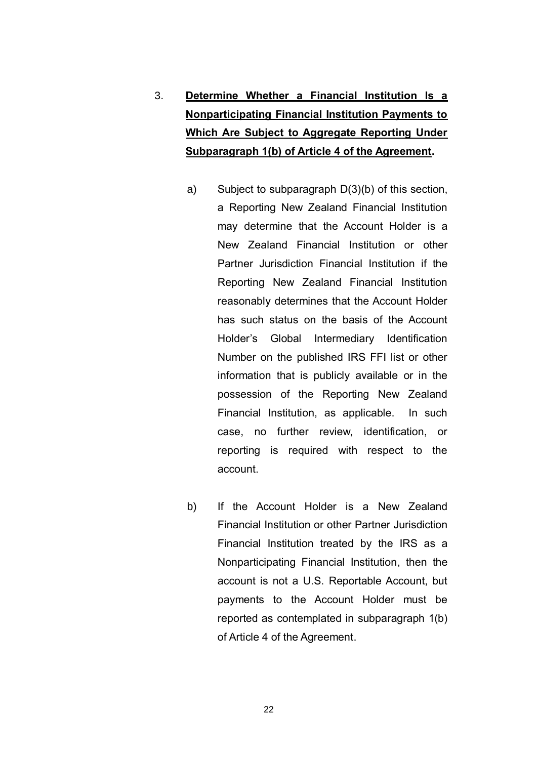- 3. **Determine Whether a Financial Institution Is a Nonparticipating Financial Institution Payments to Which Are Subject to Aggregate Reporting Under Subparagraph 1(b) of Article 4 of the Agreement.**
	- a) Subject to subparagraph D(3)(b) of this section, a Reporting New Zealand Financial Institution may determine that the Account Holder is a New Zealand Financial Institution or other Partner Jurisdiction Financial Institution if the Reporting New Zealand Financial Institution reasonably determines that the Account Holder has such status on the basis of the Account Holder's Global Intermediary Identification Number on the published IRS FFI list or other information that is publicly available or in the possession of the Reporting New Zealand Financial Institution, as applicable. In such case, no further review, identification, or reporting is required with respect to the account.
	- b) If the Account Holder is a New Zealand Financial Institution or other Partner Jurisdiction Financial Institution treated by the IRS as a Nonparticipating Financial Institution, then the account is not a U.S. Reportable Account, but payments to the Account Holder must be reported as contemplated in subparagraph 1(b) of Article 4 of the Agreement.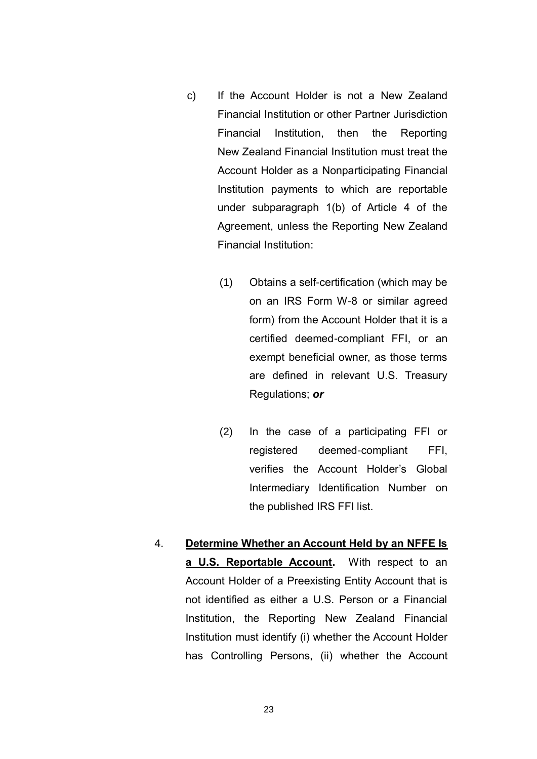- c) If the Account Holder is not a New Zealand Financial Institution or other Partner Jurisdiction Financial Institution, then the Reporting New Zealand Financial Institution must treat the Account Holder as a Nonparticipating Financial Institution payments to which are reportable under subparagraph 1(b) of Article 4 of the Agreement, unless the Reporting New Zealand Financial Institution:
	- (1) Obtains a self-certification (which may be on an IRS Form W-8 or similar agreed form) from the Account Holder that it is a certified deemed-compliant FFI, or an exempt beneficial owner, as those terms are defined in relevant U.S. Treasury Regulations; *or*
	- (2) In the case of a participating FFI or registered deemed-compliant FFI, verifies the Account Holder's Global Intermediary Identification Number on the published IRS FFI list.
- 4. **Determine Whether an Account Held by an NFFE Is a U.S. Reportable Account.** With respect to an Account Holder of a Preexisting Entity Account that is not identified as either a U.S. Person or a Financial Institution, the Reporting New Zealand Financial Institution must identify (i) whether the Account Holder has Controlling Persons, (ii) whether the Account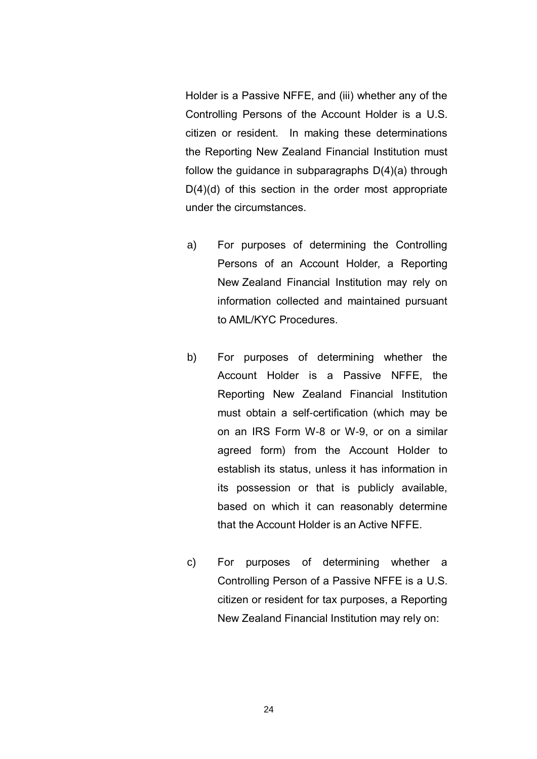Holder is a Passive NFFE, and (iii) whether any of the Controlling Persons of the Account Holder is a U.S. citizen or resident. In making these determinations the Reporting New Zealand Financial Institution must follow the guidance in subparagraphs D(4)(a) through  $D(4)(d)$  of this section in the order most appropriate under the circumstances.

- a) For purposes of determining the Controlling Persons of an Account Holder, a Reporting New Zealand Financial Institution may rely on information collected and maintained pursuant to AML/KYC Procedures.
- b) For purposes of determining whether the Account Holder is a Passive NFFE, the Reporting New Zealand Financial Institution must obtain a self-certification (which may be on an IRS Form W-8 or W-9, or on a similar agreed form) from the Account Holder to establish its status, unless it has information in its possession or that is publicly available, based on which it can reasonably determine that the Account Holder is an Active NFFE.
- c) For purposes of determining whether a Controlling Person of a Passive NFFE is a U.S. citizen or resident for tax purposes, a Reporting New Zealand Financial Institution may rely on: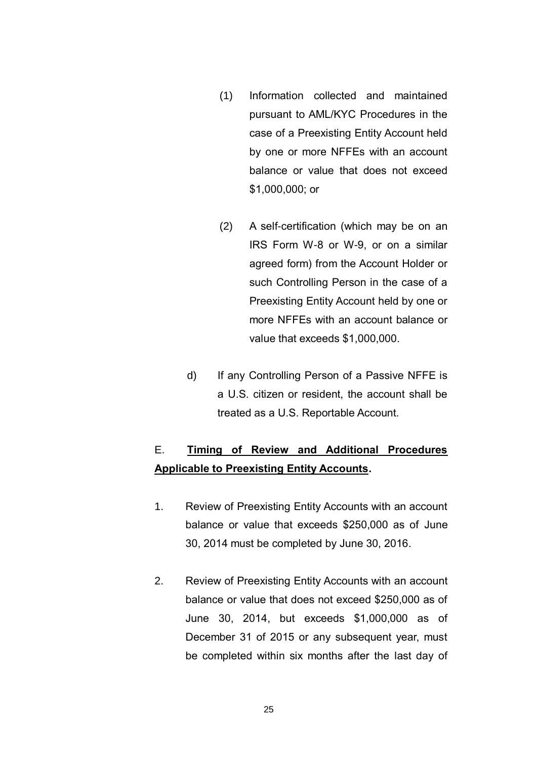- (1) Information collected and maintained pursuant to AML/KYC Procedures in the case of a Preexisting Entity Account held by one or more NFFEs with an account balance or value that does not exceed \$1,000,000; or
- (2) A self-certification (which may be on an IRS Form W-8 or W-9, or on a similar agreed form) from the Account Holder or such Controlling Person in the case of a Preexisting Entity Account held by one or more NFFEs with an account balance or value that exceeds \$1,000,000.
- d) If any Controlling Person of a Passive NFFE is a U.S. citizen or resident, the account shall be treated as a U.S. Reportable Account.

# E. **Timing of Review and Additional Procedures Applicable to Preexisting Entity Accounts.**

- 1. Review of Preexisting Entity Accounts with an account balance or value that exceeds \$250,000 as of June 30, 2014 must be completed by June 30, 2016.
- 2. Review of Preexisting Entity Accounts with an account balance or value that does not exceed \$250,000 as of June 30, 2014, but exceeds \$1,000,000 as of December 31 of 2015 or any subsequent year, must be completed within six months after the last day of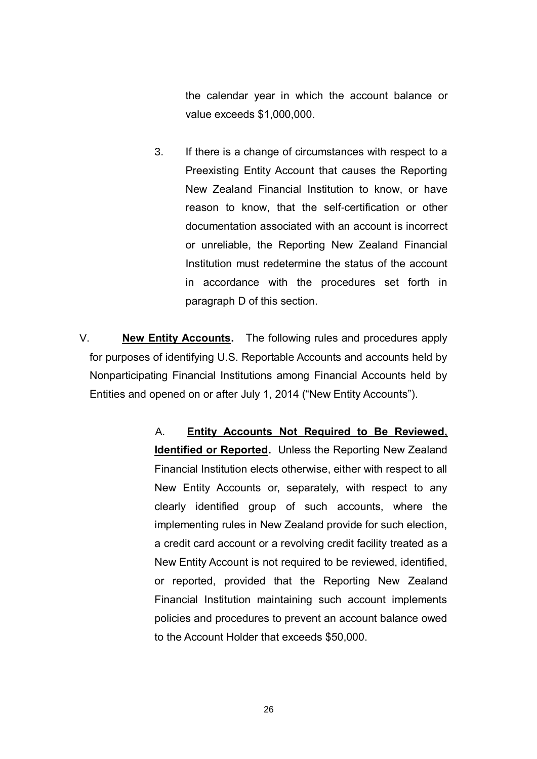the calendar year in which the account balance or value exceeds \$1,000,000.

3. If there is a change of circumstances with respect to a Preexisting Entity Account that causes the Reporting New Zealand Financial Institution to know, or have reason to know, that the self-certification or other documentation associated with an account is incorrect or unreliable, the Reporting New Zealand Financial Institution must redetermine the status of the account in accordance with the procedures set forth in paragraph D of this section.

V. **New Entity Accounts.** The following rules and procedures apply for purposes of identifying U.S. Reportable Accounts and accounts held by Nonparticipating Financial Institutions among Financial Accounts held by Entities and opened on or after July 1, 2014 ("New Entity Accounts").

> A. **Entity Accounts Not Required to Be Reviewed, Identified or Reported.** Unless the Reporting New Zealand Financial Institution elects otherwise, either with respect to all New Entity Accounts or, separately, with respect to any clearly identified group of such accounts, where the implementing rules in New Zealand provide for such election, a credit card account or a revolving credit facility treated as a New Entity Account is not required to be reviewed, identified, or reported, provided that the Reporting New Zealand Financial Institution maintaining such account implements policies and procedures to prevent an account balance owed to the Account Holder that exceeds \$50,000.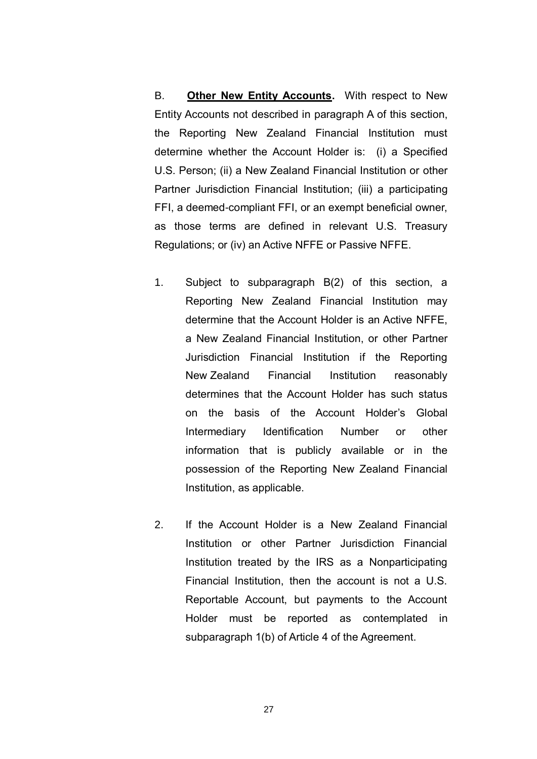B. **Other New Entity Accounts.** With respect to New Entity Accounts not described in paragraph A of this section, the Reporting New Zealand Financial Institution must determine whether the Account Holder is: (i) a Specified U.S. Person; (ii) a New Zealand Financial Institution or other Partner Jurisdiction Financial Institution; (iii) a participating FFI, a deemed-compliant FFI, or an exempt beneficial owner, as those terms are defined in relevant U.S. Treasury Regulations; or (iv) an Active NFFE or Passive NFFE.

- 1. Subject to subparagraph B(2) of this section, a Reporting New Zealand Financial Institution may determine that the Account Holder is an Active NFFE, a New Zealand Financial Institution, or other Partner Jurisdiction Financial Institution if the Reporting New Zealand Financial Institution reasonably determines that the Account Holder has such status on the basis of the Account Holder's Global Intermediary Identification Number or other information that is publicly available or in the possession of the Reporting New Zealand Financial Institution, as applicable.
- 2. If the Account Holder is a New Zealand Financial Institution or other Partner Jurisdiction Financial Institution treated by the IRS as a Nonparticipating Financial Institution, then the account is not a U.S. Reportable Account, but payments to the Account Holder must be reported as contemplated in subparagraph 1(b) of Article 4 of the Agreement.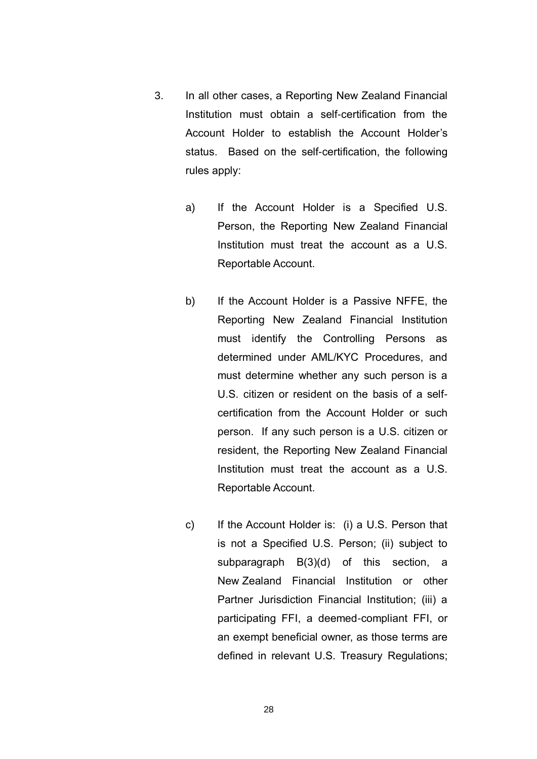- 3. In all other cases, a Reporting New Zealand Financial Institution must obtain a self-certification from the Account Holder to establish the Account Holder's status. Based on the self-certification, the following rules apply:
	- a) If the Account Holder is a Specified U.S. Person, the Reporting New Zealand Financial Institution must treat the account as a U.S. Reportable Account.
	- b) If the Account Holder is a Passive NFFE, the Reporting New Zealand Financial Institution must identify the Controlling Persons as determined under AML/KYC Procedures, and must determine whether any such person is a U.S. citizen or resident on the basis of a selfcertification from the Account Holder or such person. If any such person is a U.S. citizen or resident, the Reporting New Zealand Financial Institution must treat the account as a U.S. Reportable Account.
	- c) If the Account Holder is: (i) a U.S. Person that is not a Specified U.S. Person; (ii) subject to subparagraph B(3)(d) of this section, a New Zealand Financial Institution or other Partner Jurisdiction Financial Institution; (iii) a participating FFI, a deemed-compliant FFI, or an exempt beneficial owner, as those terms are defined in relevant U.S. Treasury Regulations;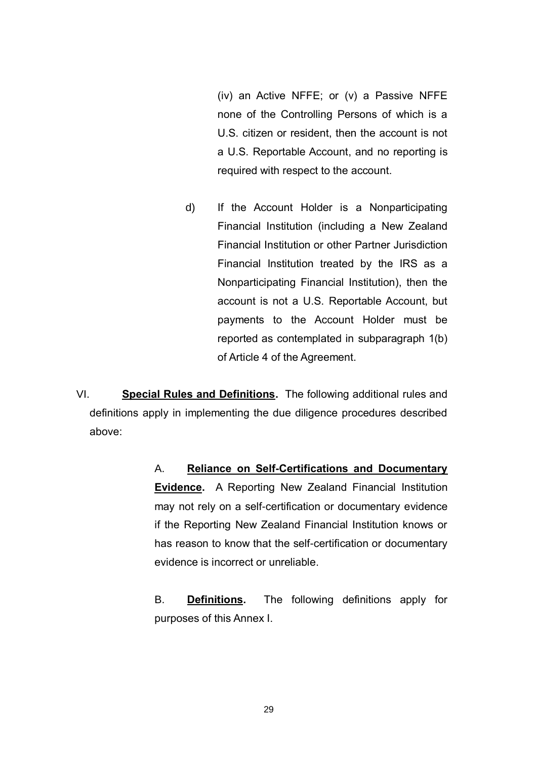(iv) an Active NFFE; or (v) a Passive NFFE none of the Controlling Persons of which is a U.S. citizen or resident, then the account is not a U.S. Reportable Account, and no reporting is required with respect to the account.

d) If the Account Holder is a Nonparticipating Financial Institution (including a New Zealand Financial Institution or other Partner Jurisdiction Financial Institution treated by the IRS as a Nonparticipating Financial Institution), then the account is not a U.S. Reportable Account, but payments to the Account Holder must be reported as contemplated in subparagraph 1(b) of Article 4 of the Agreement.

VI. **Special Rules and Definitions.** The following additional rules and definitions apply in implementing the due diligence procedures described above:

> A. **Reliance on Self-Certifications and Documentary Evidence.** A Reporting New Zealand Financial Institution may not rely on a self-certification or documentary evidence if the Reporting New Zealand Financial Institution knows or has reason to know that the self-certification or documentary evidence is incorrect or unreliable.

> B. **Definitions.** The following definitions apply for purposes of this Annex I.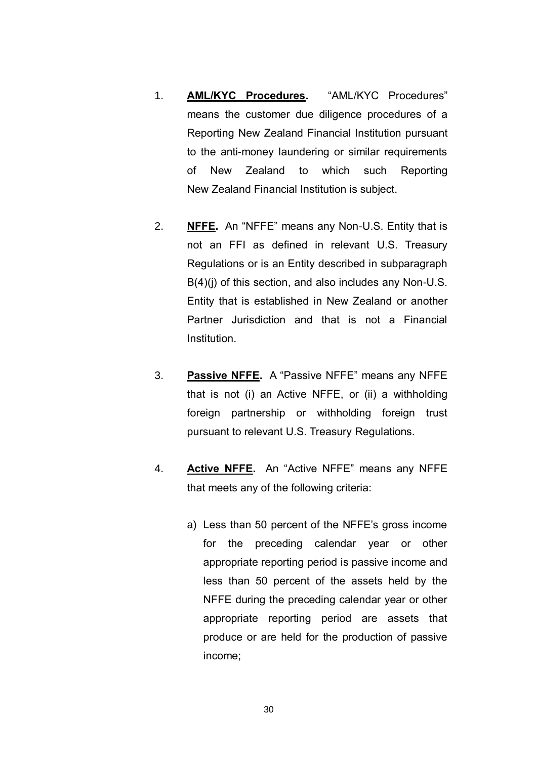- 1. **AML/KYC Procedures.** "AML/KYC Procedures" means the customer due diligence procedures of a Reporting New Zealand Financial Institution pursuant to the anti-money laundering or similar requirements of New Zealand to which such Reporting New Zealand Financial Institution is subject.
- 2. **NFFE.** An "NFFE" means any Non-U.S. Entity that is not an FFI as defined in relevant U.S. Treasury Regulations or is an Entity described in subparagraph B(4)(i) of this section, and also includes any Non-U.S. Entity that is established in New Zealand or another Partner Jurisdiction and that is not a Financial Institution.
- 3. **Passive NFFE.** A "Passive NFFE" means any NFFE that is not (i) an Active NFFE, or (ii) a withholding foreign partnership or withholding foreign trust pursuant to relevant U.S. Treasury Regulations.
- 4. **Active NFFE.** An "Active NFFE" means any NFFE that meets any of the following criteria:
	- a) Less than 50 percent of the NFFE's gross income for the preceding calendar year or other appropriate reporting period is passive income and less than 50 percent of the assets held by the NFFE during the preceding calendar year or other appropriate reporting period are assets that produce or are held for the production of passive income;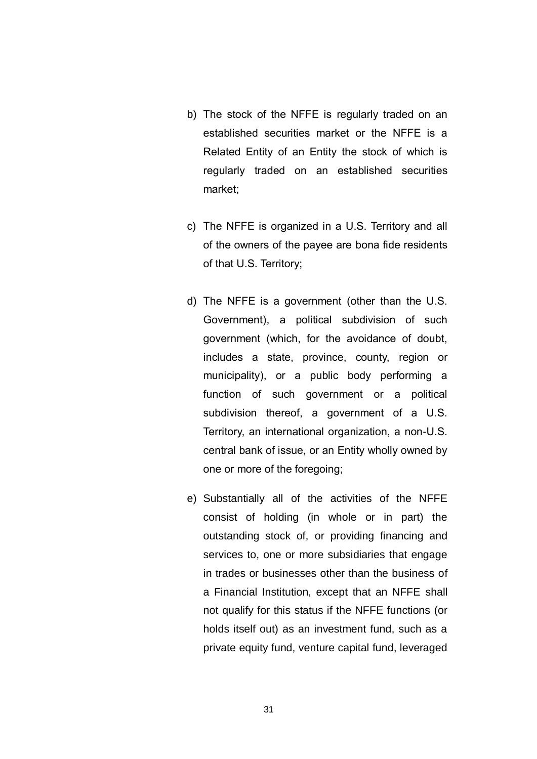- b) The stock of the NFFE is regularly traded on an established securities market or the NFFE is a Related Entity of an Entity the stock of which is regularly traded on an established securities market;
- c) The NFFE is organized in a U.S. Territory and all of the owners of the payee are bona fide residents of that U.S. Territory;
- d) The NFFE is a government (other than the U.S. Government), a political subdivision of such government (which, for the avoidance of doubt, includes a state, province, county, region or municipality), or a public body performing a function of such government or a political subdivision thereof, a government of a U.S. Territory, an international organization, a non-U.S. central bank of issue, or an Entity wholly owned by one or more of the foregoing;
- e) Substantially all of the activities of the NFFE consist of holding (in whole or in part) the outstanding stock of, or providing financing and services to, one or more subsidiaries that engage in trades or businesses other than the business of a Financial Institution, except that an NFFE shall not qualify for this status if the NFFE functions (or holds itself out) as an investment fund, such as a private equity fund, venture capital fund, leveraged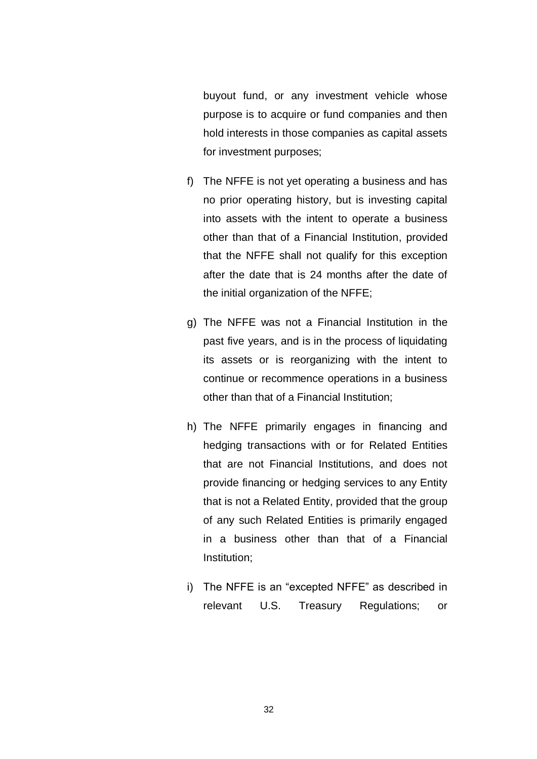buyout fund, or any investment vehicle whose purpose is to acquire or fund companies and then hold interests in those companies as capital assets for investment purposes;

- f) The NFFE is not yet operating a business and has no prior operating history, but is investing capital into assets with the intent to operate a business other than that of a Financial Institution, provided that the NFFE shall not qualify for this exception after the date that is 24 months after the date of the initial organization of the NFFE;
- g) The NFFE was not a Financial Institution in the past five years, and is in the process of liquidating its assets or is reorganizing with the intent to continue or recommence operations in a business other than that of a Financial Institution;
- h) The NFFE primarily engages in financing and hedging transactions with or for Related Entities that are not Financial Institutions, and does not provide financing or hedging services to any Entity that is not a Related Entity, provided that the group of any such Related Entities is primarily engaged in a business other than that of a Financial Institution;
- i) The NFFE is an "excepted NFFE" as described in relevant U.S. Treasury Regulations; or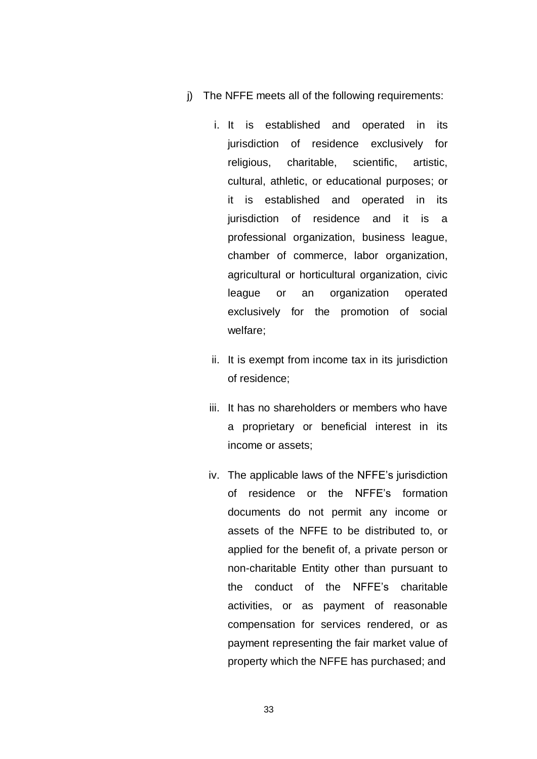- j) The NFFE meets all of the following requirements:
	- i. It is established and operated in its jurisdiction of residence exclusively for religious, charitable, scientific, artistic, cultural, athletic, or educational purposes; or it is established and operated in its jurisdiction of residence and it is a professional organization, business league, chamber of commerce, labor organization, agricultural or horticultural organization, civic league or an organization operated exclusively for the promotion of social welfare;
	- ii. It is exempt from income tax in its jurisdiction of residence;
	- iii. It has no shareholders or members who have a proprietary or beneficial interest in its income or assets;
	- iv. The applicable laws of the NFFE's jurisdiction of residence or the NFFE's formation documents do not permit any income or assets of the NFFE to be distributed to, or applied for the benefit of, a private person or non-charitable Entity other than pursuant to the conduct of the NFFE's charitable activities, or as payment of reasonable compensation for services rendered, or as payment representing the fair market value of property which the NFFE has purchased; and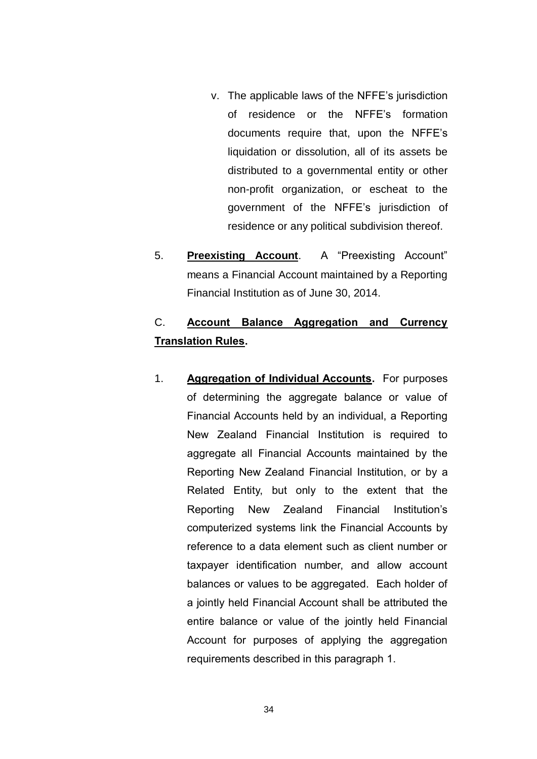- v. The applicable laws of the NFFE's jurisdiction of residence or the NFFE's formation documents require that, upon the NFFE's liquidation or dissolution, all of its assets be distributed to a governmental entity or other non-profit organization, or escheat to the government of the NFFE's jurisdiction of residence or any political subdivision thereof.
- 5. **Preexisting Account**. A "Preexisting Account" means a Financial Account maintained by a Reporting Financial Institution as of June 30, 2014.

#### C. **Account Balance Aggregation and Currency Translation Rules.**

1. **Aggregation of Individual Accounts.** For purposes of determining the aggregate balance or value of Financial Accounts held by an individual, a Reporting New Zealand Financial Institution is required to aggregate all Financial Accounts maintained by the Reporting New Zealand Financial Institution, or by a Related Entity, but only to the extent that the Reporting New Zealand Financial Institution's computerized systems link the Financial Accounts by reference to a data element such as client number or taxpayer identification number, and allow account balances or values to be aggregated. Each holder of a jointly held Financial Account shall be attributed the entire balance or value of the jointly held Financial Account for purposes of applying the aggregation requirements described in this paragraph 1.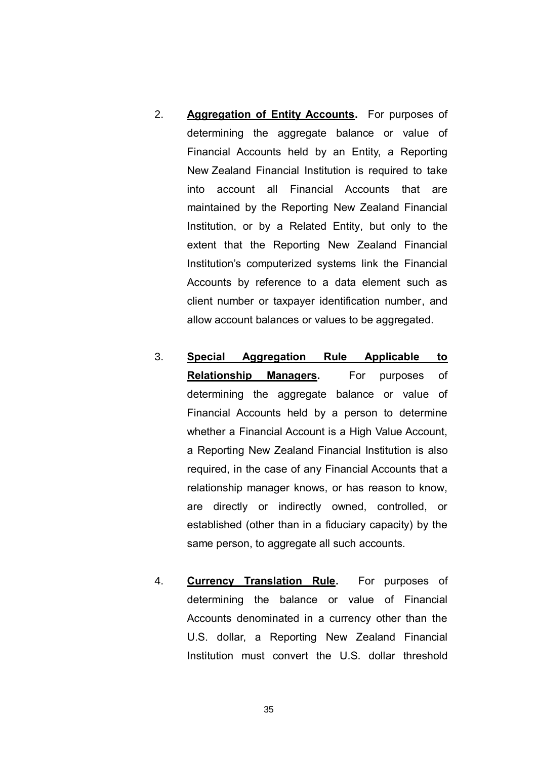- 2. **Aggregation of Entity Accounts.** For purposes of determining the aggregate balance or value of Financial Accounts held by an Entity, a Reporting New Zealand Financial Institution is required to take into account all Financial Accounts that are maintained by the Reporting New Zealand Financial Institution, or by a Related Entity, but only to the extent that the Reporting New Zealand Financial Institution's computerized systems link the Financial Accounts by reference to a data element such as client number or taxpayer identification number, and allow account balances or values to be aggregated.
- 3. **Special Aggregation Rule Applicable to Relationship Managers.** For purposes of determining the aggregate balance or value of Financial Accounts held by a person to determine whether a Financial Account is a High Value Account, a Reporting New Zealand Financial Institution is also required, in the case of any Financial Accounts that a relationship manager knows, or has reason to know, are directly or indirectly owned, controlled, or established (other than in a fiduciary capacity) by the same person, to aggregate all such accounts.
- 4. **Currency Translation Rule.** For purposes of determining the balance or value of Financial Accounts denominated in a currency other than the U.S. dollar, a Reporting New Zealand Financial Institution must convert the U.S. dollar threshold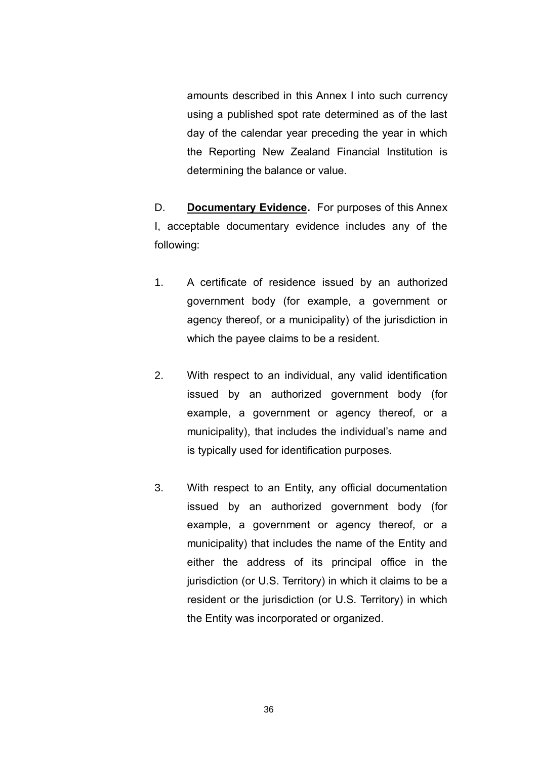amounts described in this Annex I into such currency using a published spot rate determined as of the last day of the calendar year preceding the year in which the Reporting New Zealand Financial Institution is determining the balance or value.

D. **Documentary Evidence.** For purposes of this Annex I, acceptable documentary evidence includes any of the following:

- 1. A certificate of residence issued by an authorized government body (for example, a government or agency thereof, or a municipality) of the jurisdiction in which the payee claims to be a resident.
- 2. With respect to an individual, any valid identification issued by an authorized government body (for example, a government or agency thereof, or a municipality), that includes the individual's name and is typically used for identification purposes.
- 3. With respect to an Entity, any official documentation issued by an authorized government body (for example, a government or agency thereof, or a municipality) that includes the name of the Entity and either the address of its principal office in the jurisdiction (or U.S. Territory) in which it claims to be a resident or the jurisdiction (or U.S. Territory) in which the Entity was incorporated or organized.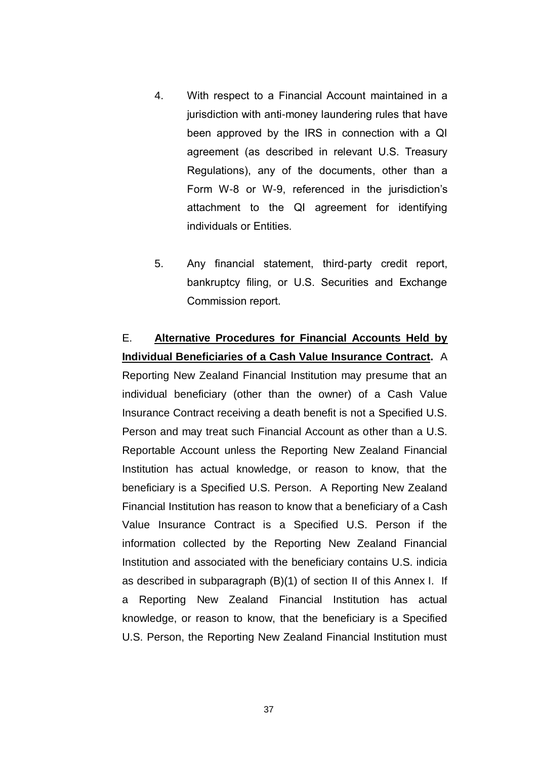- 4. With respect to a Financial Account maintained in a jurisdiction with anti-money laundering rules that have been approved by the IRS in connection with a QI agreement (as described in relevant U.S. Treasury Regulations), any of the documents, other than a Form W-8 or W-9, referenced in the jurisdiction's attachment to the QI agreement for identifying individuals or Entities.
- 5. Any financial statement, third-party credit report, bankruptcy filing, or U.S. Securities and Exchange Commission report.

# E. **Alternative Procedures for Financial Accounts Held by Individual Beneficiaries of a Cash Value Insurance Contract.** A Reporting New Zealand Financial Institution may presume that an individual beneficiary (other than the owner) of a Cash Value Insurance Contract receiving a death benefit is not a Specified U.S. Person and may treat such Financial Account as other than a U.S. Reportable Account unless the Reporting New Zealand Financial Institution has actual knowledge, or reason to know, that the beneficiary is a Specified U.S. Person. A Reporting New Zealand Financial Institution has reason to know that a beneficiary of a Cash Value Insurance Contract is a Specified U.S. Person if the information collected by the Reporting New Zealand Financial Institution and associated with the beneficiary contains U.S. indicia as described in subparagraph (B)(1) of section II of this Annex I. If a Reporting New Zealand Financial Institution has actual knowledge, or reason to know, that the beneficiary is a Specified U.S. Person, the Reporting New Zealand Financial Institution must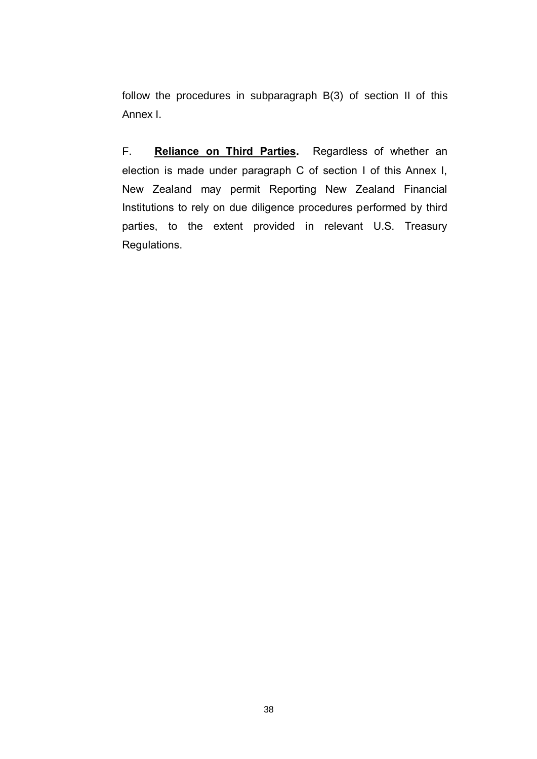follow the procedures in subparagraph B(3) of section II of this Annex I.

F. **Reliance on Third Parties.** Regardless of whether an election is made under paragraph C of section I of this Annex I, New Zealand may permit Reporting New Zealand Financial Institutions to rely on due diligence procedures performed by third parties, to the extent provided in relevant U.S. Treasury Regulations.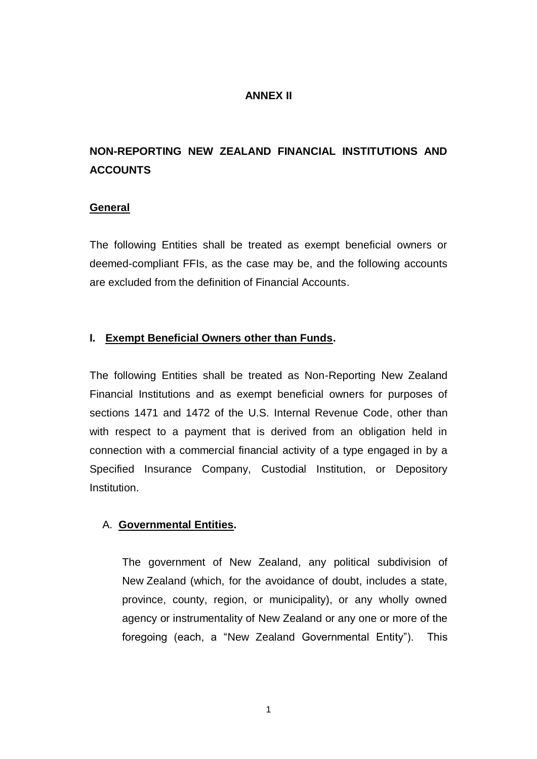### **ANNEX II**

# **NON-REPORTING NEW ZEALAND FINANCIAL INSTITUTIONS AND ACCOUNTS**

### **General**

The following Entities shall be treated as exempt beneficial owners or deemed-compliant FFIs, as the case may be, and the following accounts are excluded from the definition of Financial Accounts.

### **I. Exempt Beneficial Owners other than Funds.**

The following Entities shall be treated as Non-Reporting New Zealand Financial Institutions and as exempt beneficial owners for purposes of sections 1471 and 1472 of the U.S. Internal Revenue Code, other than with respect to a payment that is derived from an obligation held in connection with a commercial financial activity of a type engaged in by a Specified Insurance Company, Custodial Institution, or Depository Institution.

## A. **Governmental Entities.**

The government of New Zealand, any political subdivision of New Zealand (which, for the avoidance of doubt, includes a state, province, county, region, or municipality), or any wholly owned agency or instrumentality of New Zealand or any one or more of the foregoing (each, a "New Zealand Governmental Entity"). This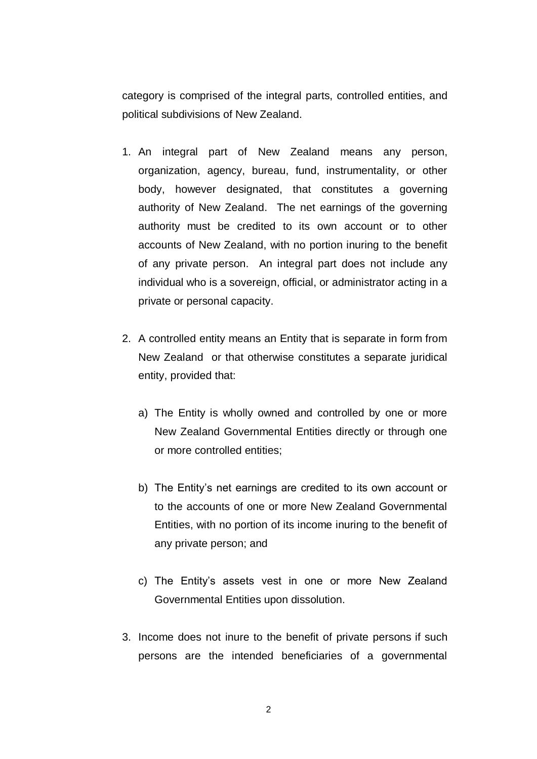category is comprised of the integral parts, controlled entities, and political subdivisions of New Zealand.

- 1. An integral part of New Zealand means any person, organization, agency, bureau, fund, instrumentality, or other body, however designated, that constitutes a governing authority of New Zealand. The net earnings of the governing authority must be credited to its own account or to other accounts of New Zealand, with no portion inuring to the benefit of any private person. An integral part does not include any individual who is a sovereign, official, or administrator acting in a private or personal capacity.
- 2. A controlled entity means an Entity that is separate in form from New Zealand or that otherwise constitutes a separate juridical entity, provided that:
	- a) The Entity is wholly owned and controlled by one or more New Zealand Governmental Entities directly or through one or more controlled entities;
	- b) The Entity's net earnings are credited to its own account or to the accounts of one or more New Zealand Governmental Entities, with no portion of its income inuring to the benefit of any private person; and
	- c) The Entity's assets vest in one or more New Zealand Governmental Entities upon dissolution.
- 3. Income does not inure to the benefit of private persons if such persons are the intended beneficiaries of a governmental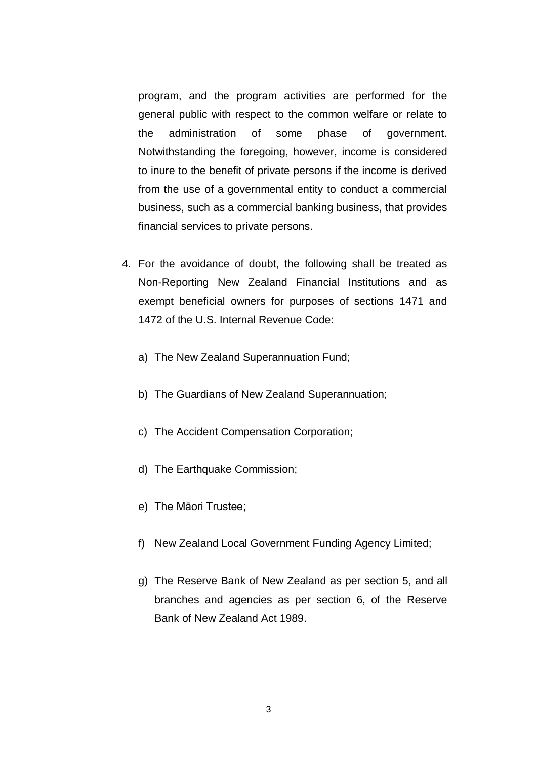program, and the program activities are performed for the general public with respect to the common welfare or relate to the administration of some phase of government. Notwithstanding the foregoing, however, income is considered to inure to the benefit of private persons if the income is derived from the use of a governmental entity to conduct a commercial business, such as a commercial banking business, that provides financial services to private persons.

- 4. For the avoidance of doubt, the following shall be treated as Non-Reporting New Zealand Financial Institutions and as exempt beneficial owners for purposes of sections 1471 and 1472 of the U.S. Internal Revenue Code:
	- a) The New Zealand Superannuation Fund;
	- b) The Guardians of New Zealand Superannuation;
	- c) The Accident Compensation Corporation;
	- d) The Earthquake Commission;
	- e) The Māori Trustee;
	- f) New Zealand Local Government Funding Agency Limited;
	- g) The Reserve Bank of New Zealand as per section 5, and all branches and agencies as per section 6, of the Reserve Bank of New Zealand Act 1989.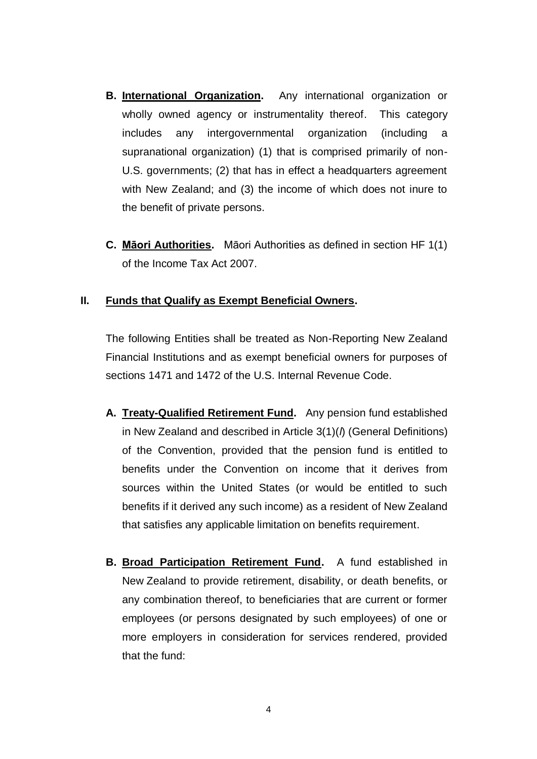- **B. International Organization.** Any international organization or wholly owned agency or instrumentality thereof. This category includes any intergovernmental organization (including a supranational organization) (1) that is comprised primarily of non-U.S. governments; (2) that has in effect a headquarters agreement with New Zealand; and (3) the income of which does not inure to the benefit of private persons.
- **C. Māori Authorities.** Māori Authorities as defined in section HF 1(1) of the Income Tax Act 2007.

#### **II. Funds that Qualify as Exempt Beneficial Owners.**

The following Entities shall be treated as Non-Reporting New Zealand Financial Institutions and as exempt beneficial owners for purposes of sections 1471 and 1472 of the U.S. Internal Revenue Code.

- **A. Treaty-Qualified Retirement Fund.** Any pension fund established in New Zealand and described in Article 3(1)(*l*) (General Definitions) of the Convention, provided that the pension fund is entitled to benefits under the Convention on income that it derives from sources within the United States (or would be entitled to such benefits if it derived any such income) as a resident of New Zealand that satisfies any applicable limitation on benefits requirement.
- **B. Broad Participation Retirement Fund.** A fund established in New Zealand to provide retirement, disability, or death benefits, or any combination thereof, to beneficiaries that are current or former employees (or persons designated by such employees) of one or more employers in consideration for services rendered, provided that the fund: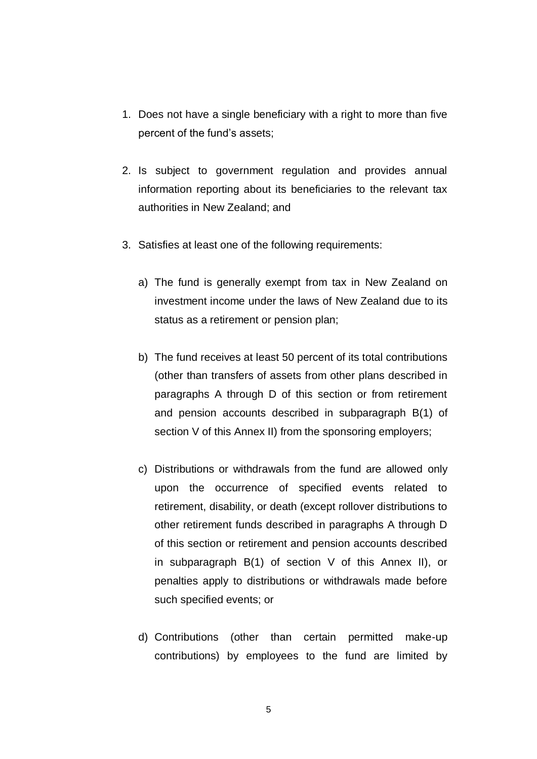- 1. Does not have a single beneficiary with a right to more than five percent of the fund's assets;
- 2. Is subject to government regulation and provides annual information reporting about its beneficiaries to the relevant tax authorities in New Zealand; and
- 3. Satisfies at least one of the following requirements:
	- a) The fund is generally exempt from tax in New Zealand on investment income under the laws of New Zealand due to its status as a retirement or pension plan;
	- b) The fund receives at least 50 percent of its total contributions (other than transfers of assets from other plans described in paragraphs A through D of this section or from retirement and pension accounts described in subparagraph B(1) of section V of this Annex II) from the sponsoring employers;
	- c) Distributions or withdrawals from the fund are allowed only upon the occurrence of specified events related to retirement, disability, or death (except rollover distributions to other retirement funds described in paragraphs A through D of this section or retirement and pension accounts described in subparagraph B(1) of section V of this Annex II), or penalties apply to distributions or withdrawals made before such specified events; or
	- d) Contributions (other than certain permitted make-up contributions) by employees to the fund are limited by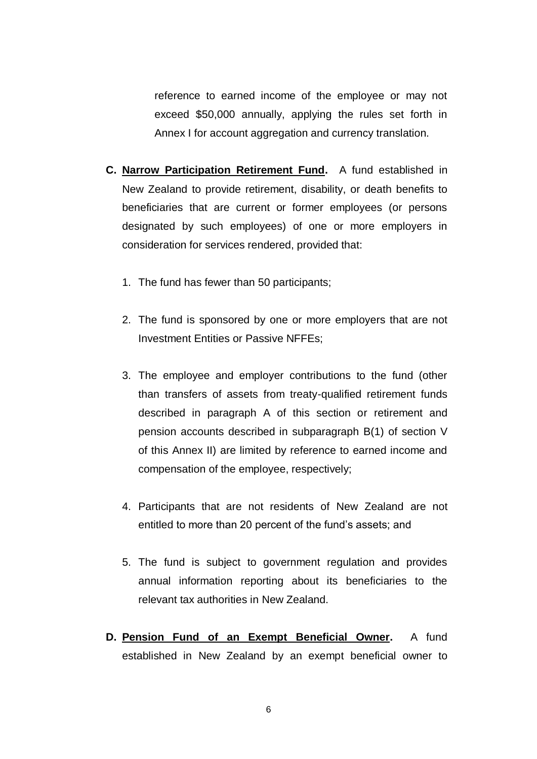reference to earned income of the employee or may not exceed \$50,000 annually, applying the rules set forth in Annex I for account aggregation and currency translation.

- **C. Narrow Participation Retirement Fund.** A fund established in New Zealand to provide retirement, disability, or death benefits to beneficiaries that are current or former employees (or persons designated by such employees) of one or more employers in consideration for services rendered, provided that:
	- 1. The fund has fewer than 50 participants;
	- 2. The fund is sponsored by one or more employers that are not Investment Entities or Passive NFFEs;
	- 3. The employee and employer contributions to the fund (other than transfers of assets from treaty-qualified retirement funds described in paragraph A of this section or retirement and pension accounts described in subparagraph B(1) of section V of this Annex II) are limited by reference to earned income and compensation of the employee, respectively;
	- 4. Participants that are not residents of New Zealand are not entitled to more than 20 percent of the fund's assets; and
	- 5. The fund is subject to government regulation and provides annual information reporting about its beneficiaries to the relevant tax authorities in New Zealand.
- **D. Pension Fund of an Exempt Beneficial Owner.** A fund established in New Zealand by an exempt beneficial owner to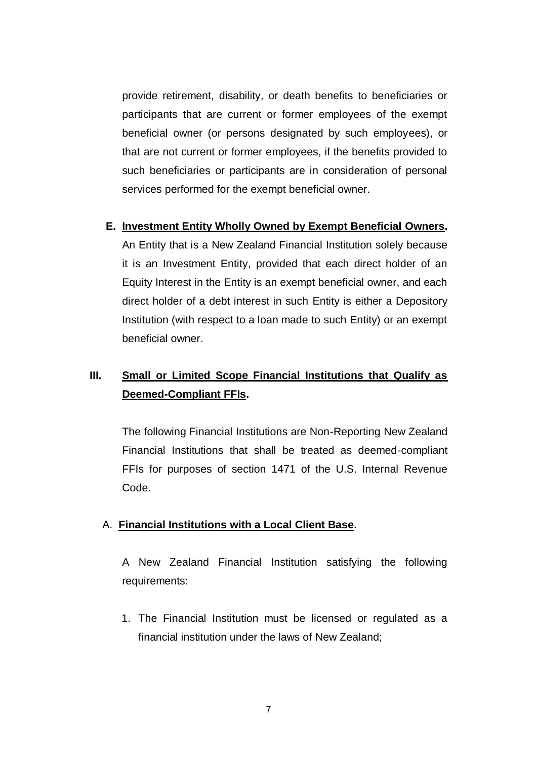provide retirement, disability, or death benefits to beneficiaries or participants that are current or former employees of the exempt beneficial owner (or persons designated by such employees), or that are not current or former employees, if the benefits provided to such beneficiaries or participants are in consideration of personal services performed for the exempt beneficial owner.

#### **E. Investment Entity Wholly Owned by Exempt Beneficial Owners.**

An Entity that is a New Zealand Financial Institution solely because it is an Investment Entity, provided that each direct holder of an Equity Interest in the Entity is an exempt beneficial owner, and each direct holder of a debt interest in such Entity is either a Depository Institution (with respect to a loan made to such Entity) or an exempt beneficial owner.

# **III. Small or Limited Scope Financial Institutions that Qualify as Deemed-Compliant FFIs.**

The following Financial Institutions are Non-Reporting New Zealand Financial Institutions that shall be treated as deemed-compliant FFIs for purposes of section 1471 of the U.S. Internal Revenue Code.

### A. **Financial Institutions with a Local Client Base.**

A New Zealand Financial Institution satisfying the following requirements:

1. The Financial Institution must be licensed or regulated as a financial institution under the laws of New Zealand;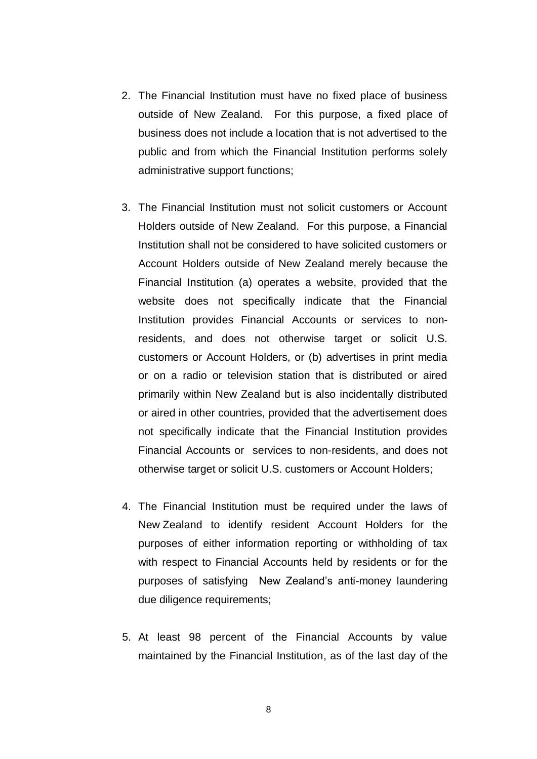- 2. The Financial Institution must have no fixed place of business outside of New Zealand. For this purpose, a fixed place of business does not include a location that is not advertised to the public and from which the Financial Institution performs solely administrative support functions;
- 3. The Financial Institution must not solicit customers or Account Holders outside of New Zealand. For this purpose, a Financial Institution shall not be considered to have solicited customers or Account Holders outside of New Zealand merely because the Financial Institution (a) operates a website, provided that the website does not specifically indicate that the Financial Institution provides Financial Accounts or services to nonresidents, and does not otherwise target or solicit U.S. customers or Account Holders, or (b) advertises in print media or on a radio or television station that is distributed or aired primarily within New Zealand but is also incidentally distributed or aired in other countries, provided that the advertisement does not specifically indicate that the Financial Institution provides Financial Accounts or services to non-residents, and does not otherwise target or solicit U.S. customers or Account Holders;
- 4. The Financial Institution must be required under the laws of New Zealand to identify resident Account Holders for the purposes of either information reporting or withholding of tax with respect to Financial Accounts held by residents or for the purposes of satisfying New Zealand's anti-money laundering due diligence requirements;
- 5. At least 98 percent of the Financial Accounts by value maintained by the Financial Institution, as of the last day of the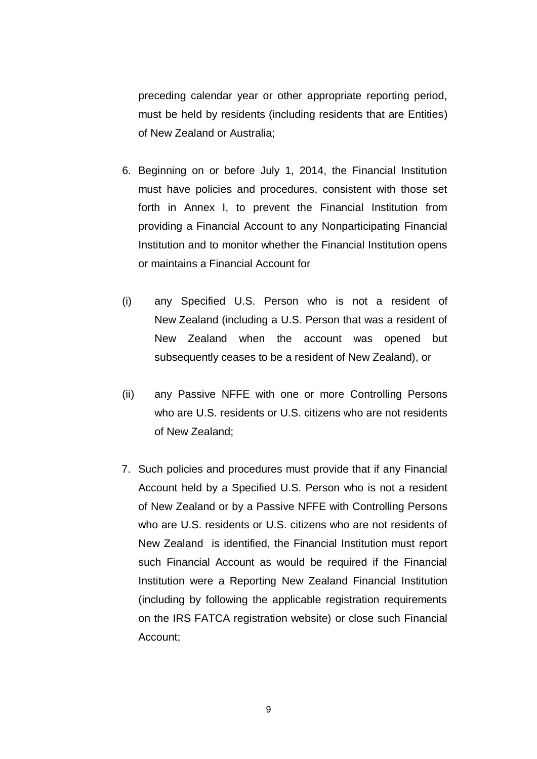preceding calendar year or other appropriate reporting period, must be held by residents (including residents that are Entities) of New Zealand or Australia;

- 6. Beginning on or before July 1, 2014, the Financial Institution must have policies and procedures, consistent with those set forth in Annex I, to prevent the Financial Institution from providing a Financial Account to any Nonparticipating Financial Institution and to monitor whether the Financial Institution opens or maintains a Financial Account for
- (i) any Specified U.S. Person who is not a resident of New Zealand (including a U.S. Person that was a resident of New Zealand when the account was opened but subsequently ceases to be a resident of New Zealand), or
- (ii) any Passive NFFE with one or more Controlling Persons who are U.S. residents or U.S. citizens who are not residents of New Zealand;
- 7. Such policies and procedures must provide that if any Financial Account held by a Specified U.S. Person who is not a resident of New Zealand or by a Passive NFFE with Controlling Persons who are U.S. residents or U.S. citizens who are not residents of New Zealand is identified, the Financial Institution must report such Financial Account as would be required if the Financial Institution were a Reporting New Zealand Financial Institution (including by following the applicable registration requirements on the IRS FATCA registration website) or close such Financial Account;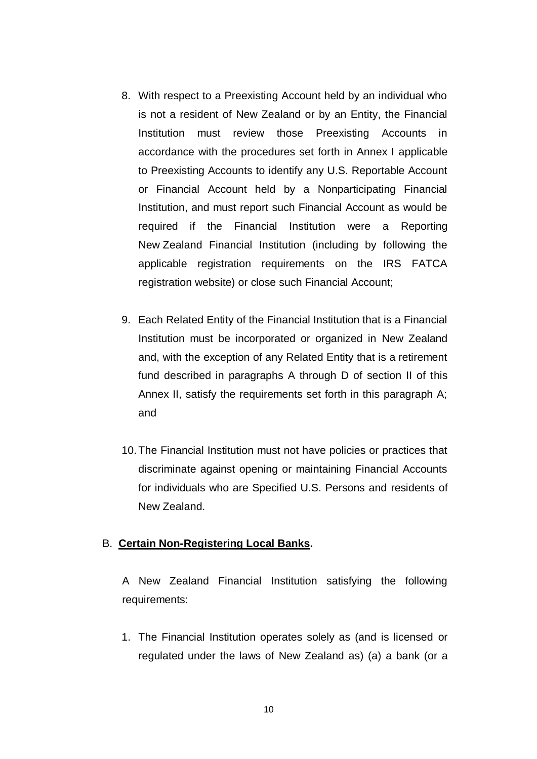- 8. With respect to a Preexisting Account held by an individual who is not a resident of New Zealand or by an Entity, the Financial Institution must review those Preexisting Accounts in accordance with the procedures set forth in Annex I applicable to Preexisting Accounts to identify any U.S. Reportable Account or Financial Account held by a Nonparticipating Financial Institution, and must report such Financial Account as would be required if the Financial Institution were a Reporting New Zealand Financial Institution (including by following the applicable registration requirements on the IRS FATCA registration website) or close such Financial Account;
- 9. Each Related Entity of the Financial Institution that is a Financial Institution must be incorporated or organized in New Zealand and, with the exception of any Related Entity that is a retirement fund described in paragraphs A through D of section II of this Annex II, satisfy the requirements set forth in this paragraph A; and
- 10.The Financial Institution must not have policies or practices that discriminate against opening or maintaining Financial Accounts for individuals who are Specified U.S. Persons and residents of New Zealand.

### B. **Certain Non-Registering Local Banks.**

A New Zealand Financial Institution satisfying the following requirements:

1. The Financial Institution operates solely as (and is licensed or regulated under the laws of New Zealand as) (a) a bank (or a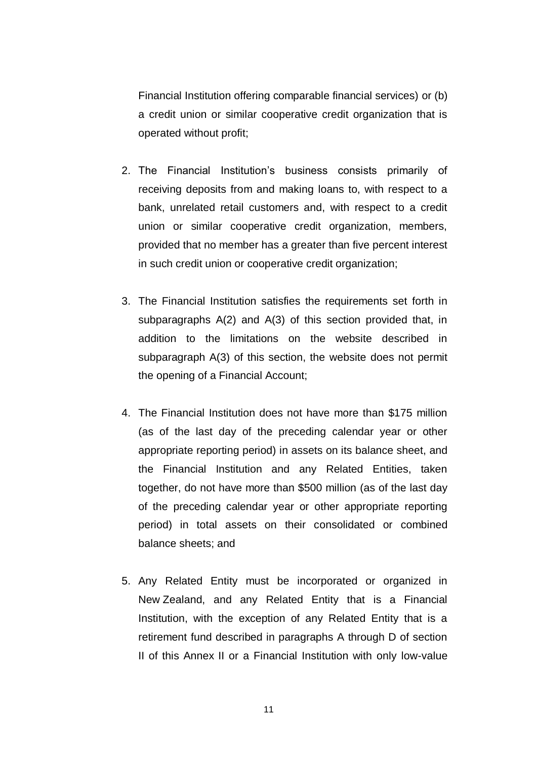Financial Institution offering comparable financial services) or (b) a credit union or similar cooperative credit organization that is operated without profit;

- 2. The Financial Institution's business consists primarily of receiving deposits from and making loans to, with respect to a bank, unrelated retail customers and, with respect to a credit union or similar cooperative credit organization, members, provided that no member has a greater than five percent interest in such credit union or cooperative credit organization;
- 3. The Financial Institution satisfies the requirements set forth in subparagraphs A(2) and A(3) of this section provided that, in addition to the limitations on the website described in subparagraph A(3) of this section, the website does not permit the opening of a Financial Account;
- 4. The Financial Institution does not have more than \$175 million (as of the last day of the preceding calendar year or other appropriate reporting period) in assets on its balance sheet, and the Financial Institution and any Related Entities, taken together, do not have more than \$500 million (as of the last day of the preceding calendar year or other appropriate reporting period) in total assets on their consolidated or combined balance sheets; and
- 5. Any Related Entity must be incorporated or organized in New Zealand, and any Related Entity that is a Financial Institution, with the exception of any Related Entity that is a retirement fund described in paragraphs A through D of section II of this Annex II or a Financial Institution with only low-value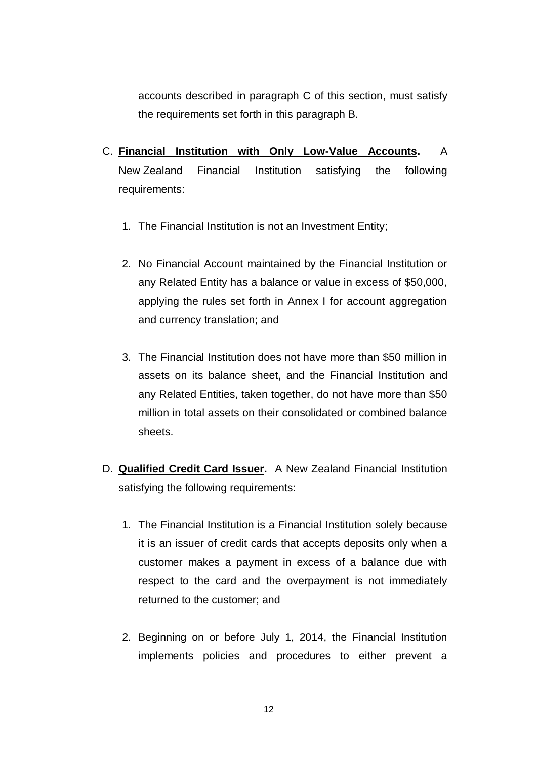accounts described in paragraph C of this section, must satisfy the requirements set forth in this paragraph B.

- C. **Financial Institution with Only Low-Value Accounts.** A New Zealand Financial Institution satisfying the following requirements:
	- 1. The Financial Institution is not an Investment Entity;
	- 2. No Financial Account maintained by the Financial Institution or any Related Entity has a balance or value in excess of \$50,000, applying the rules set forth in Annex I for account aggregation and currency translation; and
	- 3. The Financial Institution does not have more than \$50 million in assets on its balance sheet, and the Financial Institution and any Related Entities, taken together, do not have more than \$50 million in total assets on their consolidated or combined balance sheets.
- D. **Qualified Credit Card Issuer.** A New Zealand Financial Institution satisfying the following requirements:
	- 1. The Financial Institution is a Financial Institution solely because it is an issuer of credit cards that accepts deposits only when a customer makes a payment in excess of a balance due with respect to the card and the overpayment is not immediately returned to the customer; and
	- 2. Beginning on or before July 1, 2014, the Financial Institution implements policies and procedures to either prevent a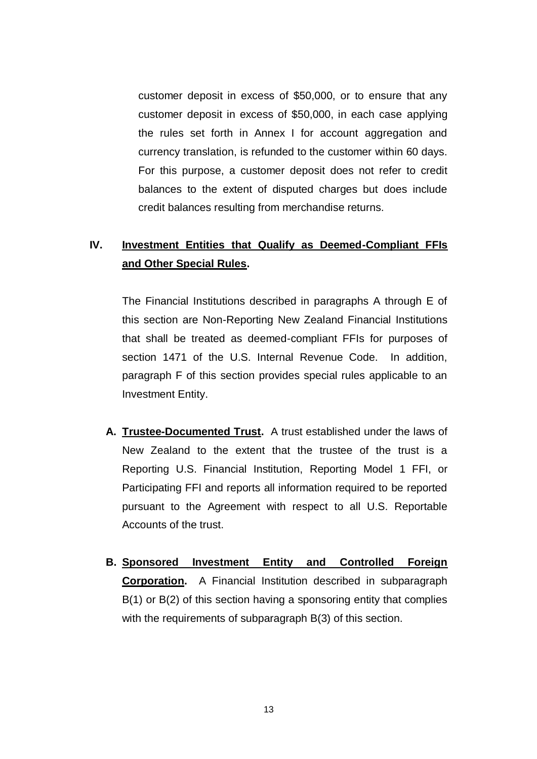customer deposit in excess of \$50,000, or to ensure that any customer deposit in excess of \$50,000, in each case applying the rules set forth in Annex I for account aggregation and currency translation, is refunded to the customer within 60 days. For this purpose, a customer deposit does not refer to credit balances to the extent of disputed charges but does include credit balances resulting from merchandise returns.

# **IV. Investment Entities that Qualify as Deemed-Compliant FFIs and Other Special Rules.**

The Financial Institutions described in paragraphs A through E of this section are Non-Reporting New Zealand Financial Institutions that shall be treated as deemed-compliant FFIs for purposes of section 1471 of the U.S. Internal Revenue Code. In addition, paragraph F of this section provides special rules applicable to an Investment Entity.

- **A. Trustee-Documented Trust.** A trust established under the laws of New Zealand to the extent that the trustee of the trust is a Reporting U.S. Financial Institution, Reporting Model 1 FFI, or Participating FFI and reports all information required to be reported pursuant to the Agreement with respect to all U.S. Reportable Accounts of the trust.
- **B. Sponsored Investment Entity and Controlled Foreign Corporation.** A Financial Institution described in subparagraph B(1) or B(2) of this section having a sponsoring entity that complies with the requirements of subparagraph B(3) of this section.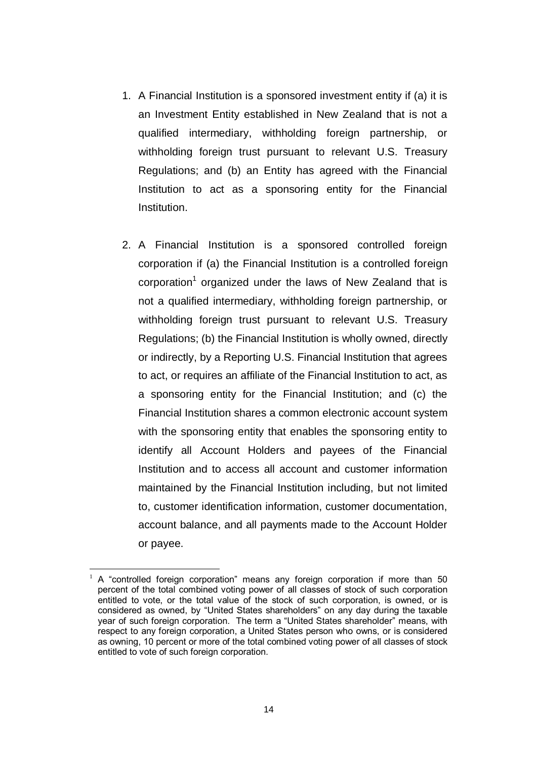- 1. A Financial Institution is a sponsored investment entity if (a) it is an Investment Entity established in New Zealand that is not a qualified intermediary, withholding foreign partnership, or withholding foreign trust pursuant to relevant U.S. Treasury Regulations; and (b) an Entity has agreed with the Financial Institution to act as a sponsoring entity for the Financial Institution.
- 2. A Financial Institution is a sponsored controlled foreign corporation if (a) the Financial Institution is a controlled foreign corporation<sup>1</sup> organized under the laws of New Zealand that is not a qualified intermediary, withholding foreign partnership, or withholding foreign trust pursuant to relevant U.S. Treasury Regulations; (b) the Financial Institution is wholly owned, directly or indirectly, by a Reporting U.S. Financial Institution that agrees to act, or requires an affiliate of the Financial Institution to act, as a sponsoring entity for the Financial Institution; and (c) the Financial Institution shares a common electronic account system with the sponsoring entity that enables the sponsoring entity to identify all Account Holders and payees of the Financial Institution and to access all account and customer information maintained by the Financial Institution including, but not limited to, customer identification information, customer documentation, account balance, and all payments made to the Account Holder or payee.

1

<sup>1</sup> A "controlled foreign corporation" means any foreign corporation if more than 50 percent of the total combined voting power of all classes of stock of such corporation entitled to vote, or the total value of the stock of such corporation, is owned, or is considered as owned, by "United States shareholders" on any day during the taxable year of such foreign corporation. The term a "United States shareholder" means, with respect to any foreign corporation, a United States person who owns, or is considered as owning, 10 percent or more of the total combined voting power of all classes of stock entitled to vote of such foreign corporation.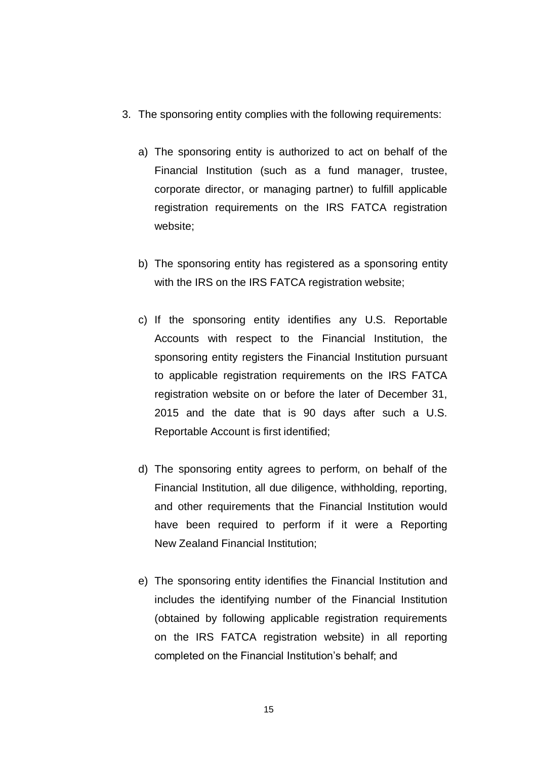- 3. The sponsoring entity complies with the following requirements:
	- a) The sponsoring entity is authorized to act on behalf of the Financial Institution (such as a fund manager, trustee, corporate director, or managing partner) to fulfill applicable registration requirements on the IRS FATCA registration website;
	- b) The sponsoring entity has registered as a sponsoring entity with the IRS on the IRS FATCA registration website:
	- c) If the sponsoring entity identifies any U.S. Reportable Accounts with respect to the Financial Institution, the sponsoring entity registers the Financial Institution pursuant to applicable registration requirements on the IRS FATCA registration website on or before the later of December 31, 2015 and the date that is 90 days after such a U.S. Reportable Account is first identified;
	- d) The sponsoring entity agrees to perform, on behalf of the Financial Institution, all due diligence, withholding, reporting, and other requirements that the Financial Institution would have been required to perform if it were a Reporting New Zealand Financial Institution;
	- e) The sponsoring entity identifies the Financial Institution and includes the identifying number of the Financial Institution (obtained by following applicable registration requirements on the IRS FATCA registration website) in all reporting completed on the Financial Institution's behalf; and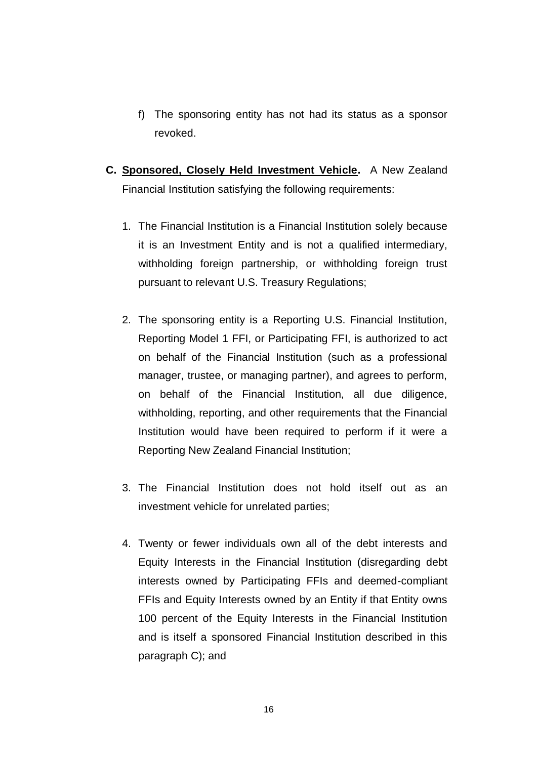- f) The sponsoring entity has not had its status as a sponsor revoked.
- **C. Sponsored, Closely Held Investment Vehicle.** A New Zealand Financial Institution satisfying the following requirements:
	- 1. The Financial Institution is a Financial Institution solely because it is an Investment Entity and is not a qualified intermediary, withholding foreign partnership, or withholding foreign trust pursuant to relevant U.S. Treasury Regulations;
	- 2. The sponsoring entity is a Reporting U.S. Financial Institution, Reporting Model 1 FFI, or Participating FFI, is authorized to act on behalf of the Financial Institution (such as a professional manager, trustee, or managing partner), and agrees to perform, on behalf of the Financial Institution, all due diligence, withholding, reporting, and other requirements that the Financial Institution would have been required to perform if it were a Reporting New Zealand Financial Institution;
	- 3. The Financial Institution does not hold itself out as an investment vehicle for unrelated parties;
	- 4. Twenty or fewer individuals own all of the debt interests and Equity Interests in the Financial Institution (disregarding debt interests owned by Participating FFIs and deemed-compliant FFIs and Equity Interests owned by an Entity if that Entity owns 100 percent of the Equity Interests in the Financial Institution and is itself a sponsored Financial Institution described in this paragraph C); and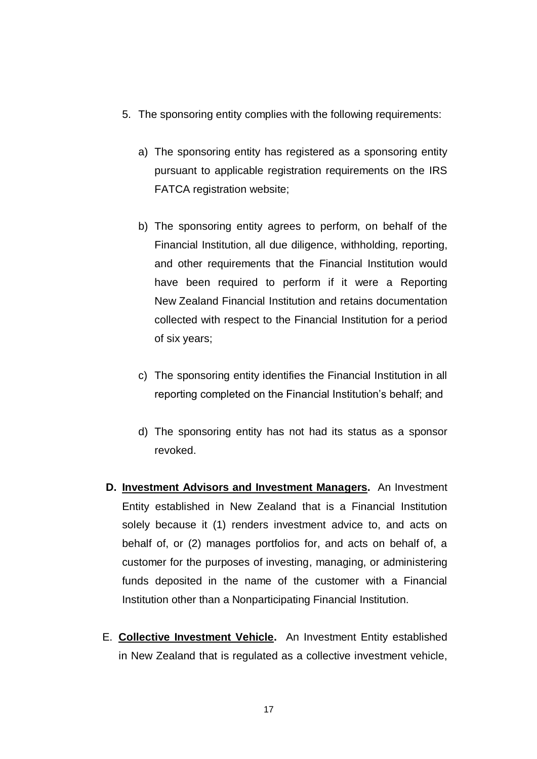- 5. The sponsoring entity complies with the following requirements:
	- a) The sponsoring entity has registered as a sponsoring entity pursuant to applicable registration requirements on the IRS FATCA registration website;
	- b) The sponsoring entity agrees to perform, on behalf of the Financial Institution, all due diligence, withholding, reporting, and other requirements that the Financial Institution would have been required to perform if it were a Reporting New Zealand Financial Institution and retains documentation collected with respect to the Financial Institution for a period of six years;
	- c) The sponsoring entity identifies the Financial Institution in all reporting completed on the Financial Institution's behalf; and
	- d) The sponsoring entity has not had its status as a sponsor revoked.
- **D. Investment Advisors and Investment Managers.** An Investment Entity established in New Zealand that is a Financial Institution solely because it (1) renders investment advice to, and acts on behalf of, or (2) manages portfolios for, and acts on behalf of, a customer for the purposes of investing, managing, or administering funds deposited in the name of the customer with a Financial Institution other than a Nonparticipating Financial Institution.
- E. **Collective Investment Vehicle.** An Investment Entity established in New Zealand that is regulated as a collective investment vehicle,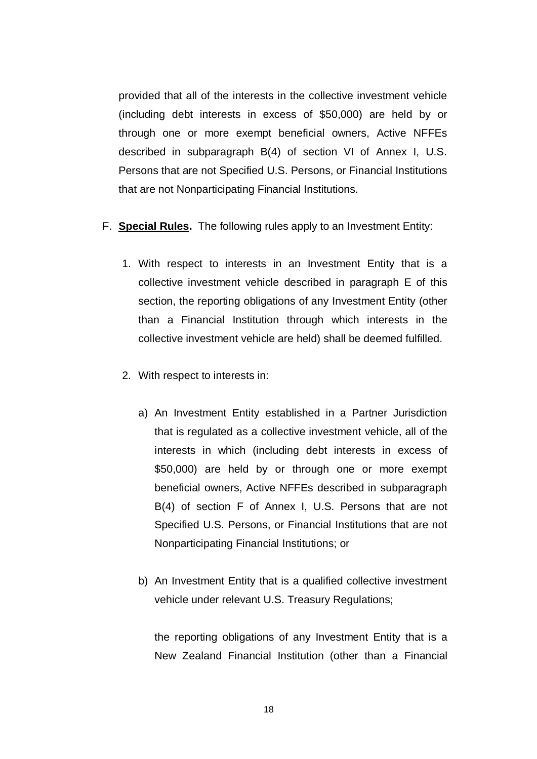provided that all of the interests in the collective investment vehicle (including debt interests in excess of \$50,000) are held by or through one or more exempt beneficial owners, Active NFFEs described in subparagraph B(4) of section VI of Annex I, U.S. Persons that are not Specified U.S. Persons, or Financial Institutions that are not Nonparticipating Financial Institutions.

- F. **Special Rules.** The following rules apply to an Investment Entity:
	- 1. With respect to interests in an Investment Entity that is a collective investment vehicle described in paragraph E of this section, the reporting obligations of any Investment Entity (other than a Financial Institution through which interests in the collective investment vehicle are held) shall be deemed fulfilled.
	- 2. With respect to interests in:
		- a) An Investment Entity established in a Partner Jurisdiction that is regulated as a collective investment vehicle, all of the interests in which (including debt interests in excess of \$50,000) are held by or through one or more exempt beneficial owners, Active NFFEs described in subparagraph B(4) of section F of Annex I, U.S. Persons that are not Specified U.S. Persons, or Financial Institutions that are not Nonparticipating Financial Institutions; or
		- b) An Investment Entity that is a qualified collective investment vehicle under relevant U.S. Treasury Regulations;

the reporting obligations of any Investment Entity that is a New Zealand Financial Institution (other than a Financial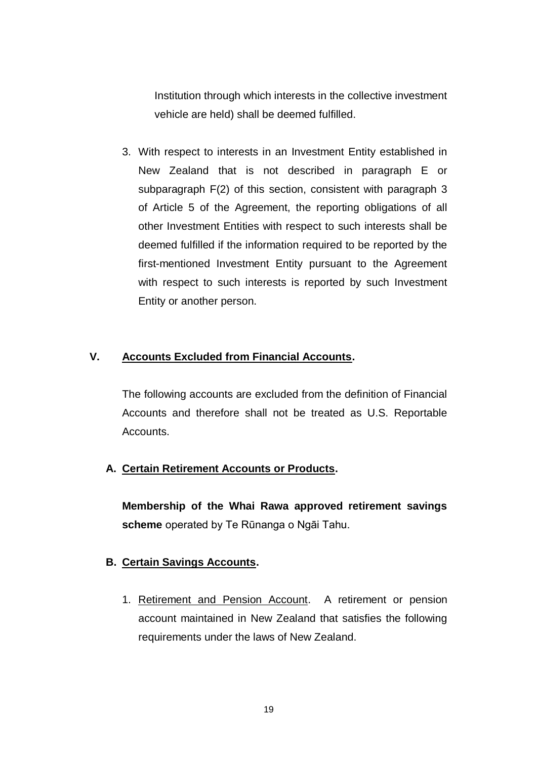Institution through which interests in the collective investment vehicle are held) shall be deemed fulfilled.

3. With respect to interests in an Investment Entity established in New Zealand that is not described in paragraph E or subparagraph F(2) of this section, consistent with paragraph 3 of Article 5 of the Agreement, the reporting obligations of all other Investment Entities with respect to such interests shall be deemed fulfilled if the information required to be reported by the first-mentioned Investment Entity pursuant to the Agreement with respect to such interests is reported by such Investment Entity or another person.

### **V. Accounts Excluded from Financial Accounts.**

The following accounts are excluded from the definition of Financial Accounts and therefore shall not be treated as U.S. Reportable Accounts.

### **A. Certain Retirement Accounts or Products.**

**Membership of the Whai Rawa approved retirement savings scheme** operated by Te Rūnanga o Ngāi Tahu.

### **B. Certain Savings Accounts.**

1. Retirement and Pension Account. A retirement or pension account maintained in New Zealand that satisfies the following requirements under the laws of New Zealand.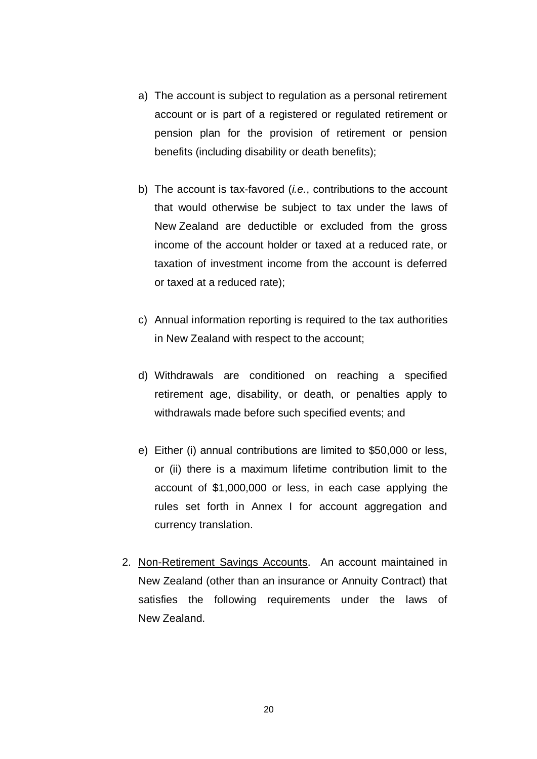- a) The account is subject to regulation as a personal retirement account or is part of a registered or regulated retirement or pension plan for the provision of retirement or pension benefits (including disability or death benefits);
- b) The account is tax-favored (*i.e.*, contributions to the account that would otherwise be subject to tax under the laws of New Zealand are deductible or excluded from the gross income of the account holder or taxed at a reduced rate, or taxation of investment income from the account is deferred or taxed at a reduced rate);
- c) Annual information reporting is required to the tax authorities in New Zealand with respect to the account;
- d) Withdrawals are conditioned on reaching a specified retirement age, disability, or death, or penalties apply to withdrawals made before such specified events; and
- e) Either (i) annual contributions are limited to \$50,000 or less, or (ii) there is a maximum lifetime contribution limit to the account of \$1,000,000 or less, in each case applying the rules set forth in Annex I for account aggregation and currency translation.
- 2. Non-Retirement Savings Accounts. An account maintained in New Zealand (other than an insurance or Annuity Contract) that satisfies the following requirements under the laws of New Zealand.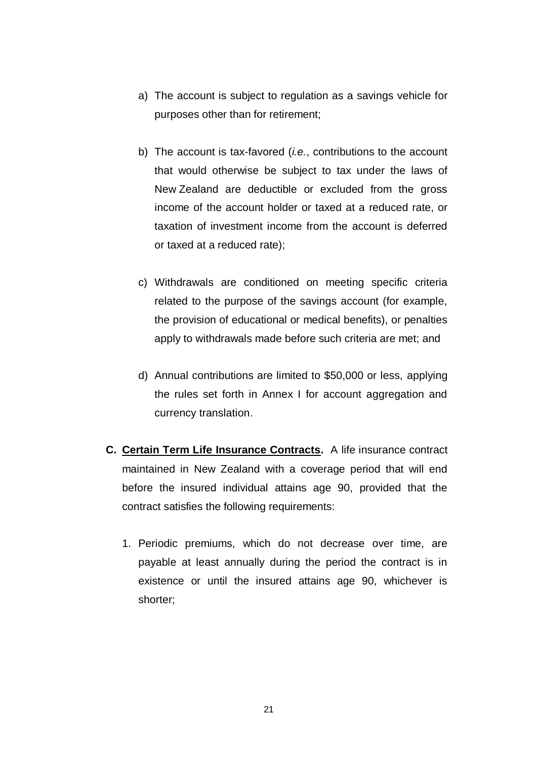- a) The account is subject to regulation as a savings vehicle for purposes other than for retirement;
- b) The account is tax-favored (*i.e.*, contributions to the account that would otherwise be subject to tax under the laws of New Zealand are deductible or excluded from the gross income of the account holder or taxed at a reduced rate, or taxation of investment income from the account is deferred or taxed at a reduced rate);
- c) Withdrawals are conditioned on meeting specific criteria related to the purpose of the savings account (for example, the provision of educational or medical benefits), or penalties apply to withdrawals made before such criteria are met; and
- d) Annual contributions are limited to \$50,000 or less, applying the rules set forth in Annex I for account aggregation and currency translation.
- **C. Certain Term Life Insurance Contracts.** A life insurance contract maintained in New Zealand with a coverage period that will end before the insured individual attains age 90, provided that the contract satisfies the following requirements:
	- 1. Periodic premiums, which do not decrease over time, are payable at least annually during the period the contract is in existence or until the insured attains age 90, whichever is shorter;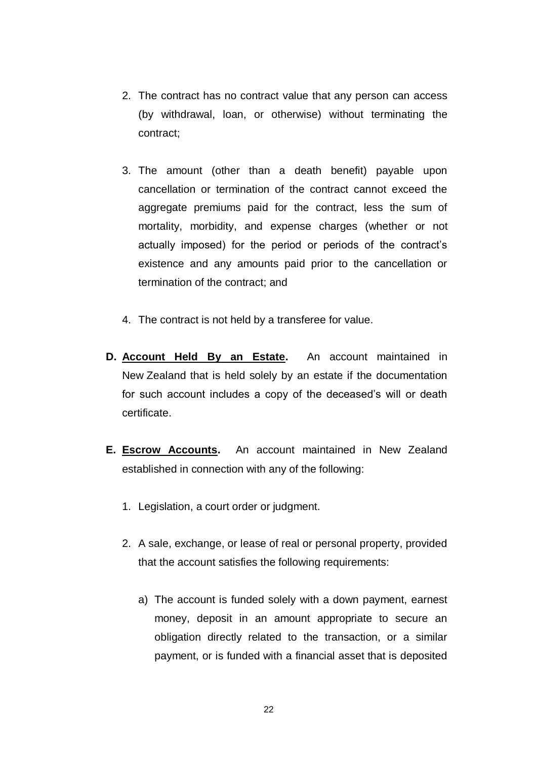- 2. The contract has no contract value that any person can access (by withdrawal, loan, or otherwise) without terminating the contract;
- 3. The amount (other than a death benefit) payable upon cancellation or termination of the contract cannot exceed the aggregate premiums paid for the contract, less the sum of mortality, morbidity, and expense charges (whether or not actually imposed) for the period or periods of the contract's existence and any amounts paid prior to the cancellation or termination of the contract; and
- 4. The contract is not held by a transferee for value.
- **D. Account Held By an Estate.** An account maintained in New Zealand that is held solely by an estate if the documentation for such account includes a copy of the deceased's will or death certificate.
- **E. Escrow Accounts.** An account maintained in New Zealand established in connection with any of the following:
	- 1. Legislation, a court order or judgment.
	- 2. A sale, exchange, or lease of real or personal property, provided that the account satisfies the following requirements:
		- a) The account is funded solely with a down payment, earnest money, deposit in an amount appropriate to secure an obligation directly related to the transaction, or a similar payment, or is funded with a financial asset that is deposited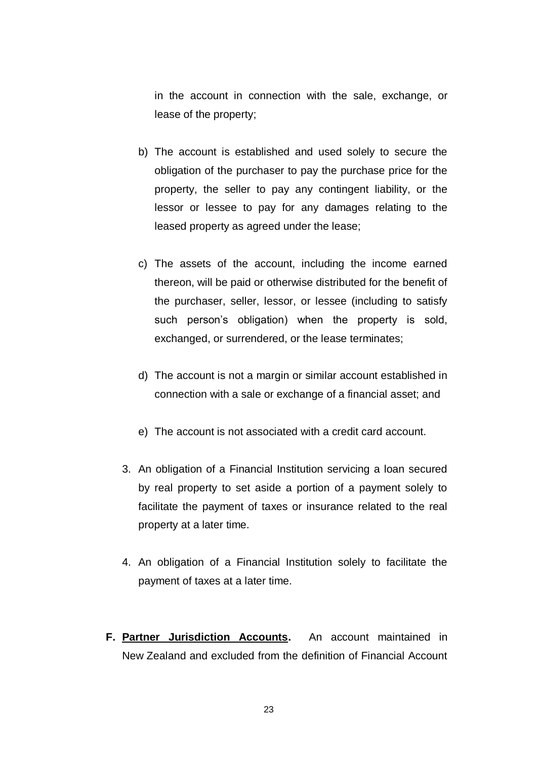in the account in connection with the sale, exchange, or lease of the property;

- b) The account is established and used solely to secure the obligation of the purchaser to pay the purchase price for the property, the seller to pay any contingent liability, or the lessor or lessee to pay for any damages relating to the leased property as agreed under the lease;
- c) The assets of the account, including the income earned thereon, will be paid or otherwise distributed for the benefit of the purchaser, seller, lessor, or lessee (including to satisfy such person's obligation) when the property is sold, exchanged, or surrendered, or the lease terminates;
- d) The account is not a margin or similar account established in connection with a sale or exchange of a financial asset; and
- e) The account is not associated with a credit card account.
- 3. An obligation of a Financial Institution servicing a loan secured by real property to set aside a portion of a payment solely to facilitate the payment of taxes or insurance related to the real property at a later time.
- 4. An obligation of a Financial Institution solely to facilitate the payment of taxes at a later time.
- **F. Partner Jurisdiction Accounts.** An account maintained in New Zealand and excluded from the definition of Financial Account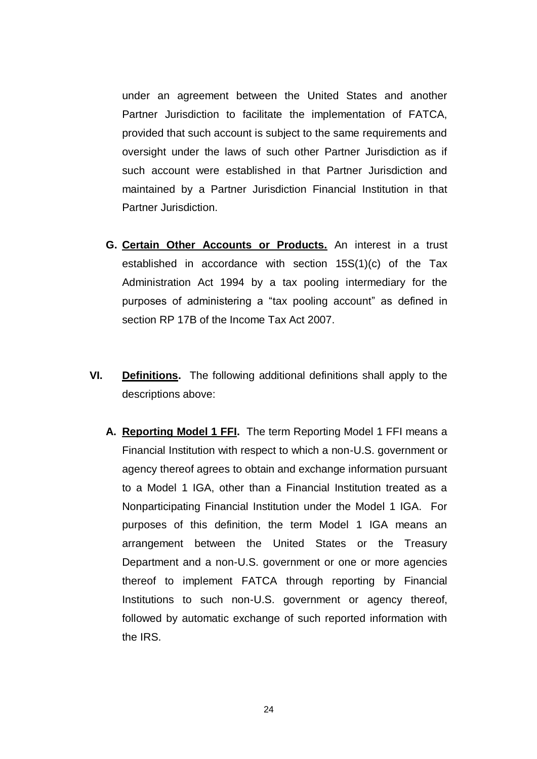under an agreement between the United States and another Partner Jurisdiction to facilitate the implementation of FATCA, provided that such account is subject to the same requirements and oversight under the laws of such other Partner Jurisdiction as if such account were established in that Partner Jurisdiction and maintained by a Partner Jurisdiction Financial Institution in that Partner Jurisdiction.

- **G. Certain Other Accounts or Products.** An interest in a trust established in accordance with section 15S(1)(c) of the Tax Administration Act 1994 by a tax pooling intermediary for the purposes of administering a "tax pooling account" as defined in section RP 17B of the Income Tax Act 2007.
- **VI. Definitions.** The following additional definitions shall apply to the descriptions above:
	- **A. Reporting Model 1 FFI.** The term Reporting Model 1 FFI means a Financial Institution with respect to which a non-U.S. government or agency thereof agrees to obtain and exchange information pursuant to a Model 1 IGA, other than a Financial Institution treated as a Nonparticipating Financial Institution under the Model 1 IGA. For purposes of this definition, the term Model 1 IGA means an arrangement between the United States or the Treasury Department and a non-U.S. government or one or more agencies thereof to implement FATCA through reporting by Financial Institutions to such non-U.S. government or agency thereof, followed by automatic exchange of such reported information with the IRS.